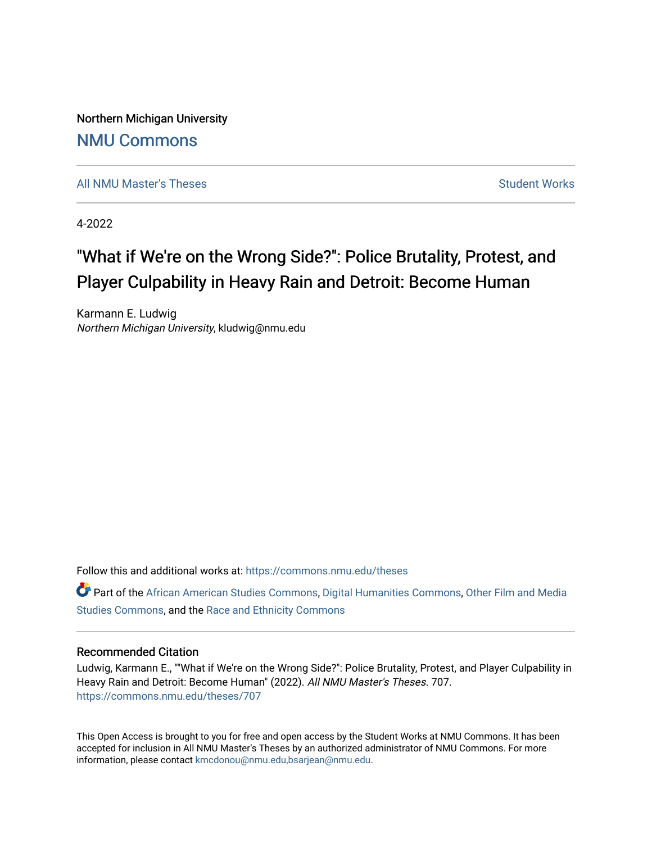Northern Michigan University [NMU Commons](https://commons.nmu.edu/) 

[All NMU Master's Theses](https://commons.nmu.edu/theses) [Student Works](https://commons.nmu.edu/student_works) Student Works Student Works

4-2022

# "What if We're on the Wrong Side?": Police Brutality, Protest, and Player Culpability in Heavy Rain and Detroit: Become Human

Karmann E. Ludwig Northern Michigan University, kludwig@nmu.edu

Follow this and additional works at: [https://commons.nmu.edu/theses](https://commons.nmu.edu/theses?utm_source=commons.nmu.edu%2Ftheses%2F707&utm_medium=PDF&utm_campaign=PDFCoverPages)

Part of the [African American Studies Commons,](http://network.bepress.com/hgg/discipline/567?utm_source=commons.nmu.edu%2Ftheses%2F707&utm_medium=PDF&utm_campaign=PDFCoverPages) [Digital Humanities Commons](http://network.bepress.com/hgg/discipline/1286?utm_source=commons.nmu.edu%2Ftheses%2F707&utm_medium=PDF&utm_campaign=PDFCoverPages), [Other Film and Media](http://network.bepress.com/hgg/discipline/565?utm_source=commons.nmu.edu%2Ftheses%2F707&utm_medium=PDF&utm_campaign=PDFCoverPages)  [Studies Commons,](http://network.bepress.com/hgg/discipline/565?utm_source=commons.nmu.edu%2Ftheses%2F707&utm_medium=PDF&utm_campaign=PDFCoverPages) and the [Race and Ethnicity Commons](http://network.bepress.com/hgg/discipline/426?utm_source=commons.nmu.edu%2Ftheses%2F707&utm_medium=PDF&utm_campaign=PDFCoverPages)

### Recommended Citation

Ludwig, Karmann E., ""What if We're on the Wrong Side?": Police Brutality, Protest, and Player Culpability in Heavy Rain and Detroit: Become Human" (2022). All NMU Master's Theses. 707. [https://commons.nmu.edu/theses/707](https://commons.nmu.edu/theses/707?utm_source=commons.nmu.edu%2Ftheses%2F707&utm_medium=PDF&utm_campaign=PDFCoverPages) 

This Open Access is brought to you for free and open access by the Student Works at NMU Commons. It has been accepted for inclusion in All NMU Master's Theses by an authorized administrator of NMU Commons. For more information, please contact [kmcdonou@nmu.edu,bsarjean@nmu.edu](mailto:kmcdonou@nmu.edu,bsarjean@nmu.edu).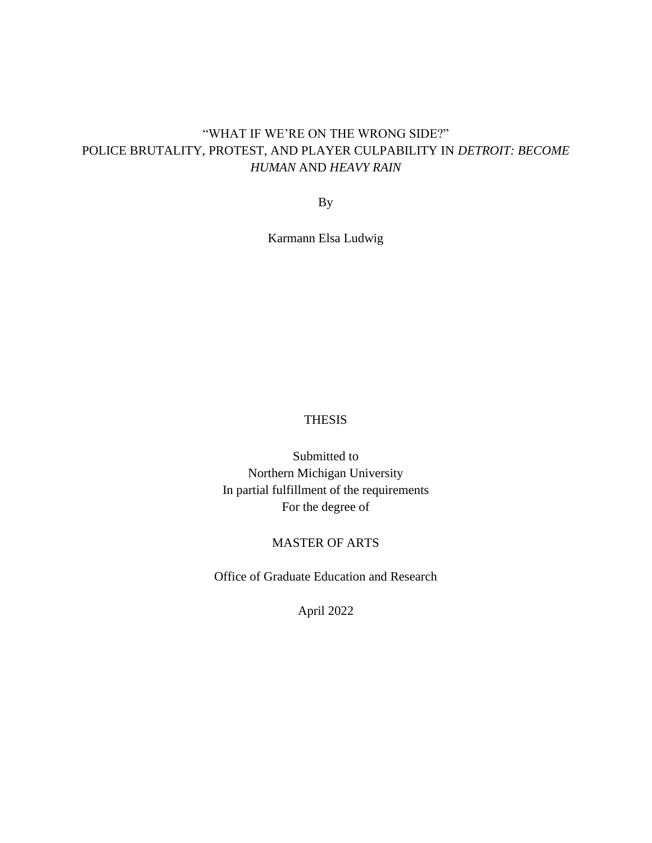### "WHAT IF WE'RE ON THE WRONG SIDE?" POLICE BRUTALITY, PROTEST, AND PLAYER CULPABILITY IN *DETROIT: BECOME HUMAN* AND *HEAVY RAIN*

By

Karmann Elsa Ludwig

### THESIS

Submitted to Northern Michigan University In partial fulfillment of the requirements For the degree of

### MASTER OF ARTS

Office of Graduate Education and Research

April 2022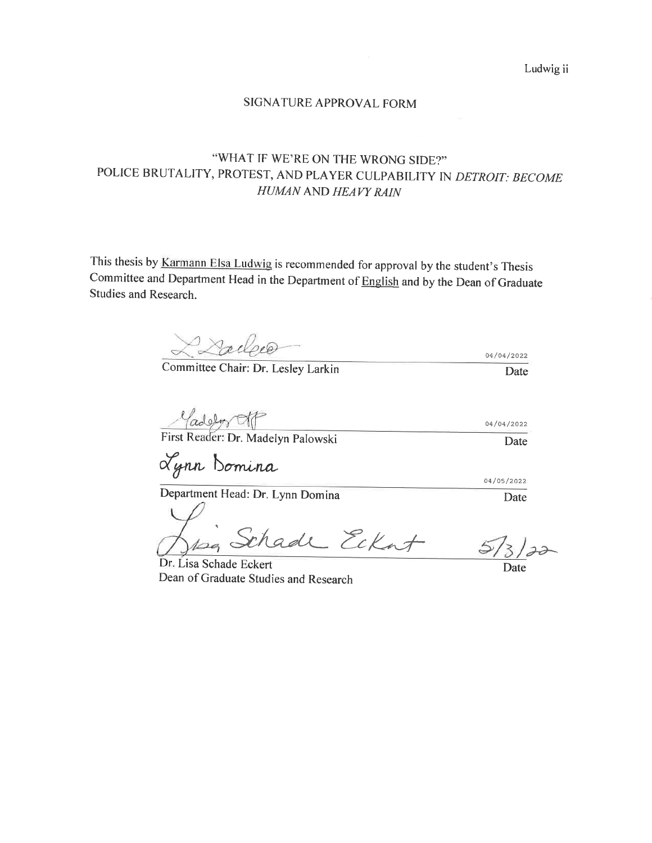Ludwig ii

### SIGNATURE APPROVAL FORM

## "WHAT IF WE'RE ON THE WRONG SIDE?" POLICE BRUTALITY, PROTEST, AND PLAYER CULPABILITY IN DETROIT: BECOME HUMAN AND HEAVY RAIN

This thesis by Karmann Elsa Ludwig is recommended for approval by the student's Thesis Committee and Department Head in the Department of English and by the Dean of Graduate Studies and Research.

Lailee

Committee Chair: Dr. Lesley Larkin

 $\frac{\sqrt{(\text{ad})\cdot \sqrt{(\text{ad})\cdot \sqrt{(\text{ad})\cdot \sqrt{(\text{ad})\cdot \sqrt{(\text{ad})\cdot \sqrt{(\text{ad})\cdot \sqrt{(\text{ad})\cdot \sqrt{(\text{ad})\cdot \sqrt{(\text{ad})\cdot \sqrt{(\text{ad})\cdot \sqrt{(\text{ad})\cdot \sqrt{(\text{ad})\cdot \sqrt{(\text{ad})\cdot \sqrt{(\text{ad})\cdot \sqrt{(\text{ad})\cdot \sqrt{(\text{ad})\cdot \sqrt{(\text{ad})\cdot \sqrt{(\text{ad})\cdot \sqrt{(\text{ad})\cdot \sqrt{(\text{ad})\cdot \sqrt{(\text{ad})\cdot \sqrt{(\text{ad})$ 04/04/2022 Date

Lynn Bomina

ade Eckat Dr. Lisa Schade Eckert

04/05/2022

Date

04/04/2022

Date

Date

Dean of Graduate Studies and Research

Department Head: Dr. Lynn Domina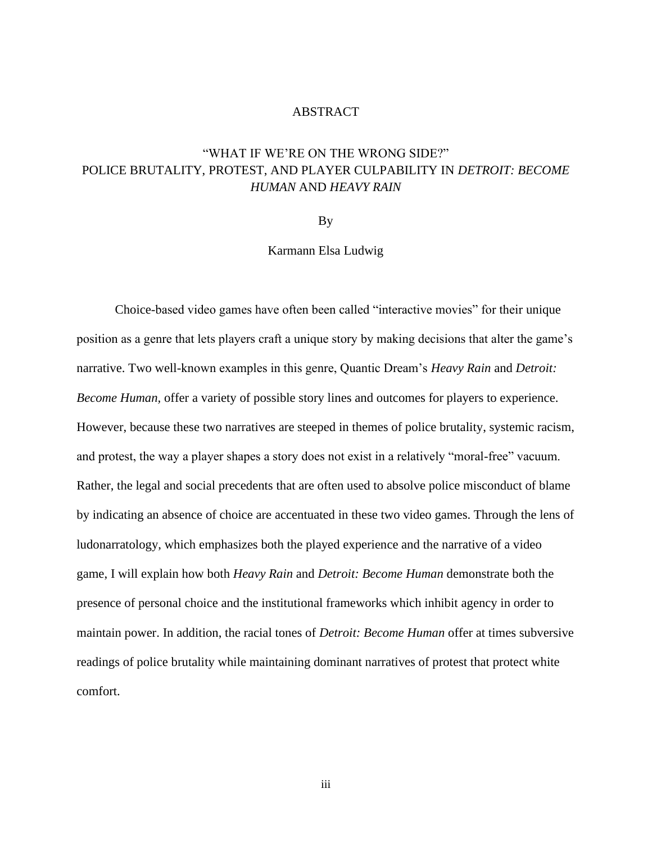### ABSTRACT

# "WHAT IF WE'RE ON THE WRONG SIDE?" POLICE BRUTALITY, PROTEST, AND PLAYER CULPABILITY IN *DETROIT: BECOME HUMAN* AND *HEAVY RAIN*

By

Karmann Elsa Ludwig

Choice-based video games have often been called "interactive movies" for their unique position as a genre that lets players craft a unique story by making decisions that alter the game's narrative. Two well-known examples in this genre, Quantic Dream's *Heavy Rain* and *Detroit: Become Human,* offer a variety of possible story lines and outcomes for players to experience. However, because these two narratives are steeped in themes of police brutality, systemic racism, and protest, the way a player shapes a story does not exist in a relatively "moral-free" vacuum. Rather, the legal and social precedents that are often used to absolve police misconduct of blame by indicating an absence of choice are accentuated in these two video games. Through the lens of ludonarratology, which emphasizes both the played experience and the narrative of a video game, I will explain how both *Heavy Rain* and *Detroit: Become Human* demonstrate both the presence of personal choice and the institutional frameworks which inhibit agency in order to maintain power. In addition, the racial tones of *Detroit: Become Human* offer at times subversive readings of police brutality while maintaining dominant narratives of protest that protect white comfort.

iii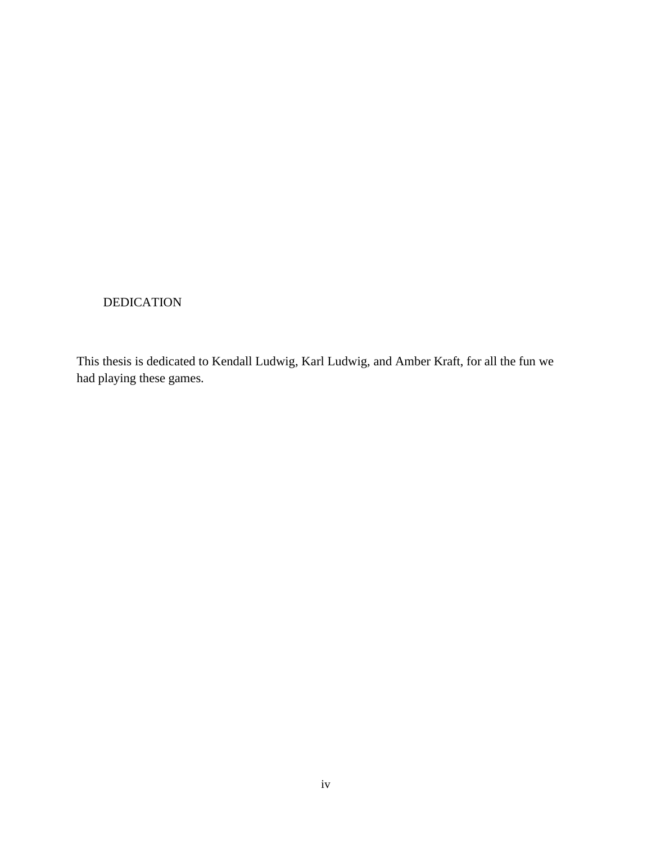### DEDICATION

This thesis is dedicated to Kendall Ludwig, Karl Ludwig, and Amber Kraft, for all the fun we had playing these games.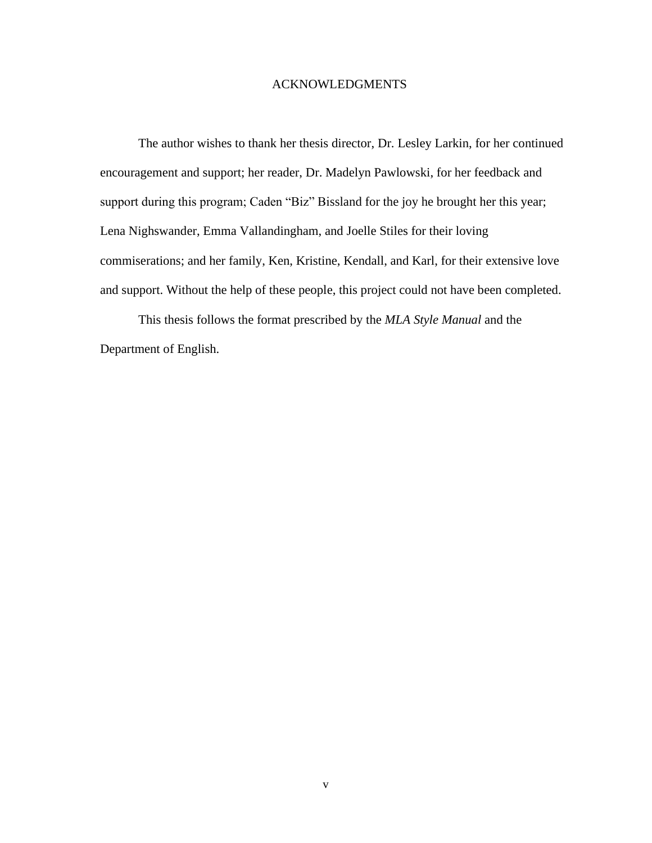#### ACKNOWLEDGMENTS

The author wishes to thank her thesis director, Dr. Lesley Larkin, for her continued encouragement and support; her reader, Dr. Madelyn Pawlowski, for her feedback and support during this program; Caden "Biz" Bissland for the joy he brought her this year; Lena Nighswander, Emma Vallandingham, and Joelle Stiles for their loving commiserations; and her family, Ken, Kristine, Kendall, and Karl, for their extensive love and support. Without the help of these people, this project could not have been completed.

This thesis follows the format prescribed by the *MLA Style Manual* and the Department of English.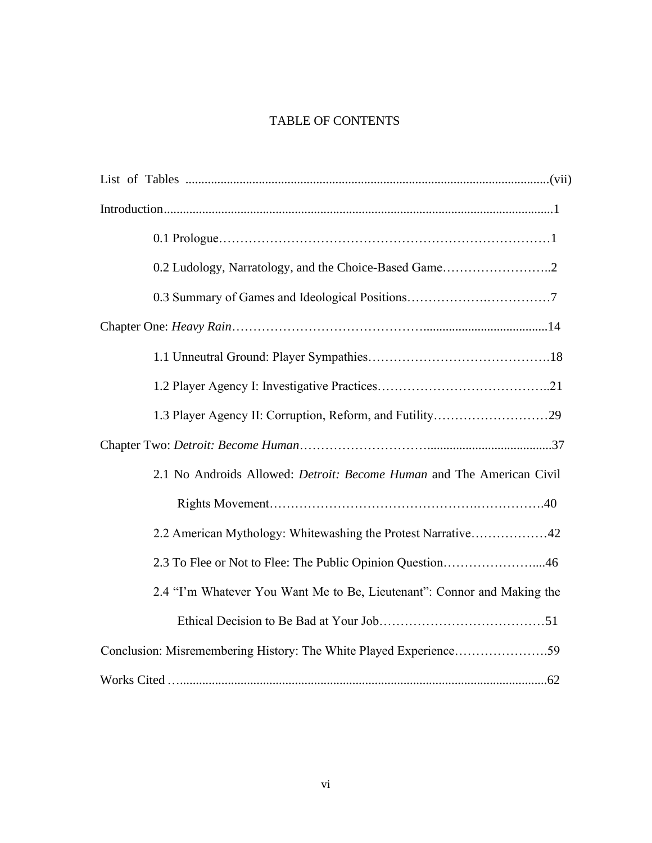# TABLE OF CONTENTS

| 0.2 Ludology, Narratology, and the Choice-Based Game2                   |
|-------------------------------------------------------------------------|
|                                                                         |
|                                                                         |
|                                                                         |
|                                                                         |
|                                                                         |
|                                                                         |
| 2.1 No Androids Allowed: Detroit: Become Human and The American Civil   |
|                                                                         |
| 2.2 American Mythology: Whitewashing the Protest Narrative42            |
| 2.3 To Flee or Not to Flee: The Public Opinion Question46               |
| 2.4 "I'm Whatever You Want Me to Be, Lieutenant": Connor and Making the |
|                                                                         |
| Conclusion: Misremembering History: The White Played Experience59       |
|                                                                         |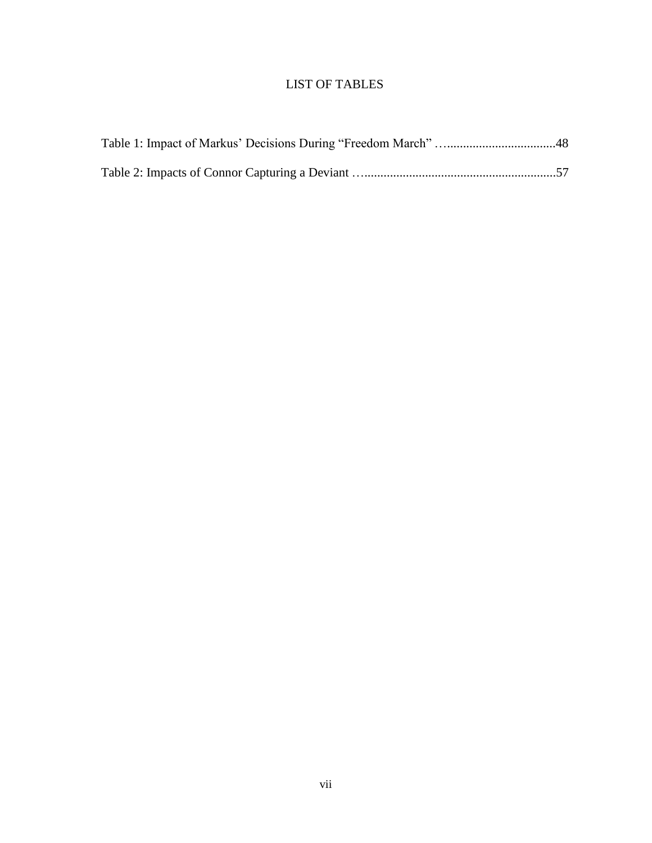## LIST OF TABLES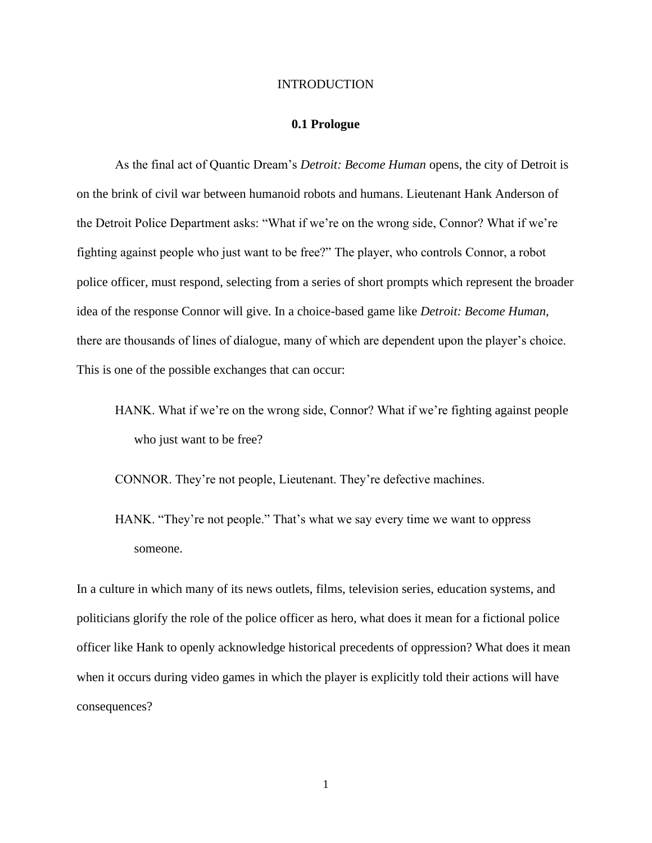#### INTRODUCTION

### **0.1 Prologue**

As the final act of Quantic Dream's *Detroit: Become Human* opens, the city of Detroit is on the brink of civil war between humanoid robots and humans. Lieutenant Hank Anderson of the Detroit Police Department asks: "What if we're on the wrong side, Connor? What if we're fighting against people who just want to be free?" The player, who controls Connor, a robot police officer, must respond, selecting from a series of short prompts which represent the broader idea of the response Connor will give. In a choice-based game like *Detroit: Become Human,*  there are thousands of lines of dialogue, many of which are dependent upon the player's choice. This is one of the possible exchanges that can occur:

HANK. What if we're on the wrong side, Connor? What if we're fighting against people who just want to be free?

CONNOR. They're not people, Lieutenant. They're defective machines.

HANK. "They're not people." That's what we say every time we want to oppress someone.

In a culture in which many of its news outlets, films, television series, education systems, and politicians glorify the role of the police officer as hero, what does it mean for a fictional police officer like Hank to openly acknowledge historical precedents of oppression? What does it mean when it occurs during video games in which the player is explicitly told their actions will have consequences?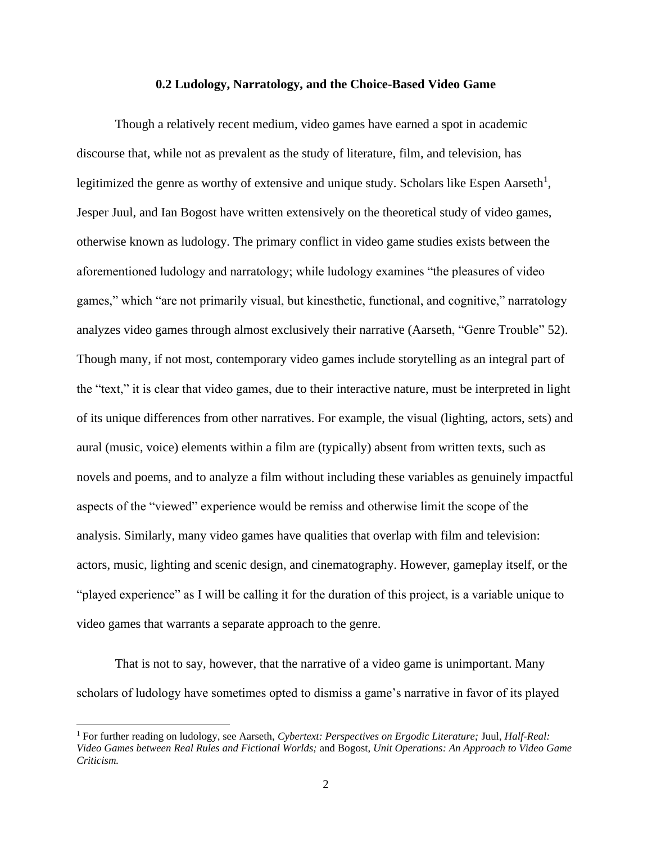#### **0.2 Ludology, Narratology, and the Choice-Based Video Game**

Though a relatively recent medium, video games have earned a spot in academic discourse that, while not as prevalent as the study of literature, film, and television, has legitimized the genre as worthy of extensive and unique study. Scholars like Espen Aarseth<sup>1</sup>, Jesper Juul, and Ian Bogost have written extensively on the theoretical study of video games, otherwise known as ludology. The primary conflict in video game studies exists between the aforementioned ludology and narratology; while ludology examines "the pleasures of video games," which "are not primarily visual, but kinesthetic, functional, and cognitive," narratology analyzes video games through almost exclusively their narrative (Aarseth, "Genre Trouble" 52). Though many, if not most, contemporary video games include storytelling as an integral part of the "text," it is clear that video games, due to their interactive nature, must be interpreted in light of its unique differences from other narratives. For example, the visual (lighting, actors, sets) and aural (music, voice) elements within a film are (typically) absent from written texts, such as novels and poems, and to analyze a film without including these variables as genuinely impactful aspects of the "viewed" experience would be remiss and otherwise limit the scope of the analysis. Similarly, many video games have qualities that overlap with film and television: actors, music, lighting and scenic design, and cinematography. However, gameplay itself, or the "played experience" as I will be calling it for the duration of this project, is a variable unique to video games that warrants a separate approach to the genre.

That is not to say, however, that the narrative of a video game is unimportant. Many scholars of ludology have sometimes opted to dismiss a game's narrative in favor of its played

<sup>1</sup> For further reading on ludology, see Aarseth, *Cybertext: Perspectives on Ergodic Literature;* Juul, *Half-Real: Video Games between Real Rules and Fictional Worlds;* and Bogost, *Unit Operations: An Approach to Video Game Criticism.*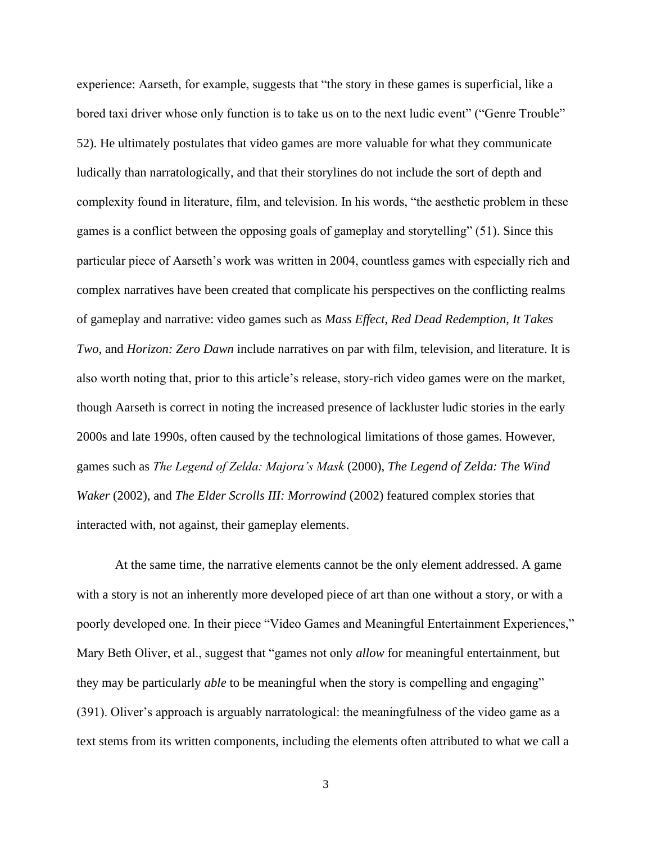experience: Aarseth, for example, suggests that "the story in these games is superficial, like a bored taxi driver whose only function is to take us on to the next ludic event" ("Genre Trouble" 52). He ultimately postulates that video games are more valuable for what they communicate ludically than narratologically, and that their storylines do not include the sort of depth and complexity found in literature, film, and television. In his words, "the aesthetic problem in these games is a conflict between the opposing goals of gameplay and storytelling" (51). Since this particular piece of Aarseth's work was written in 2004, countless games with especially rich and complex narratives have been created that complicate his perspectives on the conflicting realms of gameplay and narrative: video games such as *Mass Effect, Red Dead Redemption, It Takes Two,* and *Horizon: Zero Dawn* include narratives on par with film, television, and literature. It is also worth noting that, prior to this article's release, story-rich video games were on the market, though Aarseth is correct in noting the increased presence of lackluster ludic stories in the early 2000s and late 1990s, often caused by the technological limitations of those games. However, games such as *The Legend of Zelda: Majora's Mask* (2000)*, The Legend of Zelda: The Wind Waker* (2002), and *The Elder Scrolls III: Morrowind* (2002) featured complex stories that interacted with, not against, their gameplay elements.

At the same time, the narrative elements cannot be the only element addressed. A game with a story is not an inherently more developed piece of art than one without a story, or with a poorly developed one. In their piece "Video Games and Meaningful Entertainment Experiences," Mary Beth Oliver, et al., suggest that "games not only *allow* for meaningful entertainment, but they may be particularly *able* to be meaningful when the story is compelling and engaging" (391). Oliver's approach is arguably narratological: the meaningfulness of the video game as a text stems from its written components, including the elements often attributed to what we call a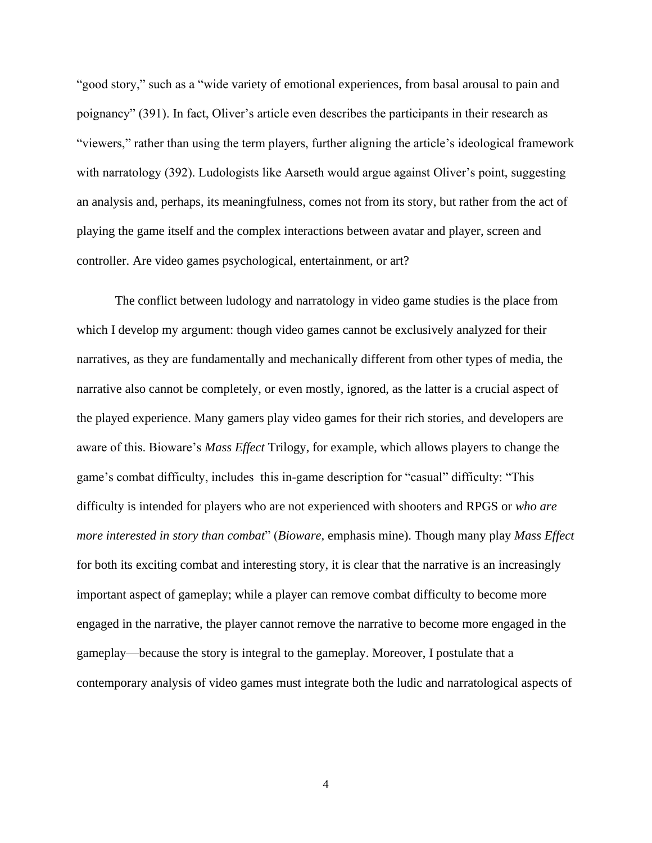"good story," such as a "wide variety of emotional experiences, from basal arousal to pain and poignancy" (391). In fact, Oliver's article even describes the participants in their research as "viewers," rather than using the term players, further aligning the article's ideological framework with narratology (392). Ludologists like Aarseth would argue against Oliver's point, suggesting an analysis and, perhaps, its meaningfulness, comes not from its story, but rather from the act of playing the game itself and the complex interactions between avatar and player, screen and controller. Are video games psychological, entertainment, or art?

The conflict between ludology and narratology in video game studies is the place from which I develop my argument: though video games cannot be exclusively analyzed for their narratives, as they are fundamentally and mechanically different from other types of media, the narrative also cannot be completely, or even mostly, ignored, as the latter is a crucial aspect of the played experience. Many gamers play video games for their rich stories, and developers are aware of this. Bioware's *Mass Effect* Trilogy, for example, which allows players to change the game's combat difficulty, includes this in-game description for "casual" difficulty: "This difficulty is intended for players who are not experienced with shooters and RPGS or *who are more interested in story than combat*" (*Bioware,* emphasis mine). Though many play *Mass Effect*  for both its exciting combat and interesting story, it is clear that the narrative is an increasingly important aspect of gameplay; while a player can remove combat difficulty to become more engaged in the narrative, the player cannot remove the narrative to become more engaged in the gameplay—because the story is integral to the gameplay. Moreover, I postulate that a contemporary analysis of video games must integrate both the ludic and narratological aspects of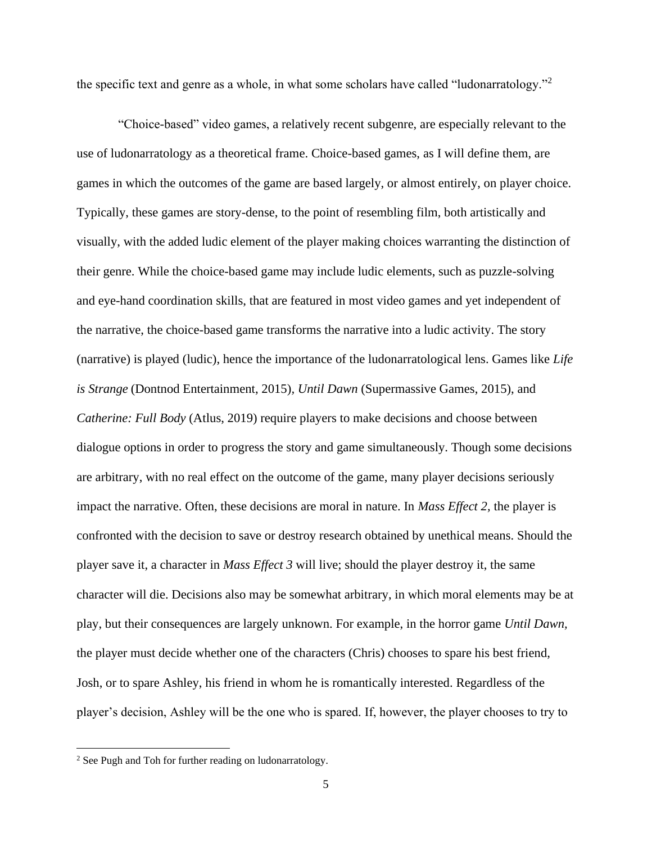the specific text and genre as a whole, in what some scholars have called "ludonarratology."<sup>2</sup>

"Choice-based" video games, a relatively recent subgenre, are especially relevant to the use of ludonarratology as a theoretical frame. Choice-based games, as I will define them, are games in which the outcomes of the game are based largely, or almost entirely, on player choice. Typically, these games are story-dense, to the point of resembling film, both artistically and visually, with the added ludic element of the player making choices warranting the distinction of their genre. While the choice-based game may include ludic elements, such as puzzle-solving and eye-hand coordination skills, that are featured in most video games and yet independent of the narrative, the choice-based game transforms the narrative into a ludic activity. The story (narrative) is played (ludic), hence the importance of the ludonarratological lens. Games like *Life is Strange* (Dontnod Entertainment, 2015)*, Until Dawn* (Supermassive Games, 2015), and *Catherine: Full Body* (Atlus, 2019) require players to make decisions and choose between dialogue options in order to progress the story and game simultaneously. Though some decisions are arbitrary, with no real effect on the outcome of the game, many player decisions seriously impact the narrative. Often, these decisions are moral in nature. In *Mass Effect 2,* the player is confronted with the decision to save or destroy research obtained by unethical means. Should the player save it, a character in *Mass Effect 3* will live; should the player destroy it, the same character will die. Decisions also may be somewhat arbitrary, in which moral elements may be at play, but their consequences are largely unknown. For example, in the horror game *Until Dawn,*  the player must decide whether one of the characters (Chris) chooses to spare his best friend, Josh, or to spare Ashley, his friend in whom he is romantically interested. Regardless of the player's decision, Ashley will be the one who is spared. If, however, the player chooses to try to

<sup>2</sup> See Pugh and Toh for further reading on ludonarratology.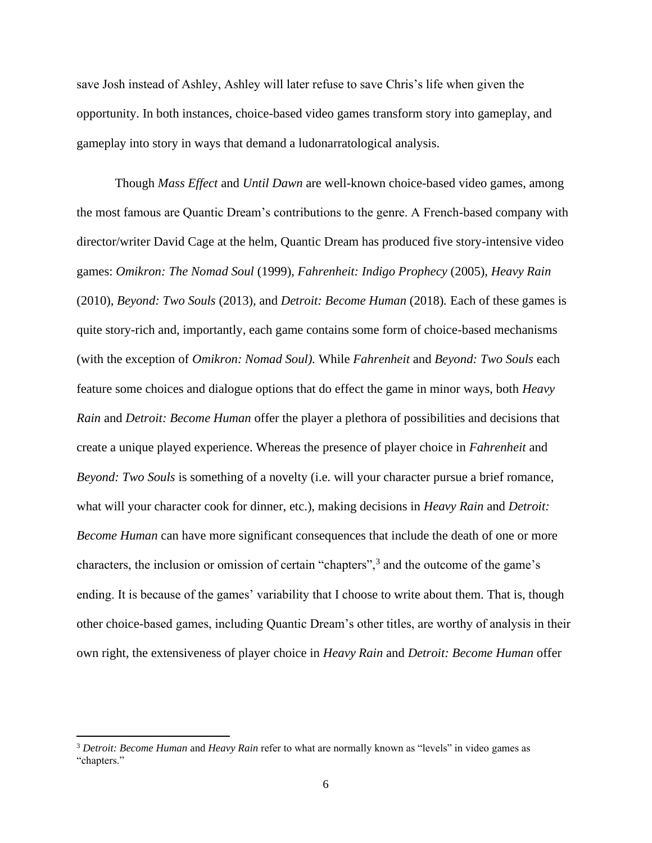save Josh instead of Ashley, Ashley will later refuse to save Chris's life when given the opportunity. In both instances, choice-based video games transform story into gameplay, and gameplay into story in ways that demand a ludonarratological analysis.

Though *Mass Effect* and *Until Dawn* are well-known choice-based video games, among the most famous are Quantic Dream's contributions to the genre. A French-based company with director/writer David Cage at the helm, Quantic Dream has produced five story-intensive video games: *Omikron: The Nomad Soul* (1999)*, Fahrenheit: Indigo Prophecy* (2005)*, Heavy Rain* (2010)*, Beyond: Two Souls* (2013)*,* and *Detroit: Become Human* (2018)*.* Each of these games is quite story-rich and, importantly, each game contains some form of choice-based mechanisms (with the exception of *Omikron: Nomad Soul).* While *Fahrenheit* and *Beyond: Two Souls* each feature some choices and dialogue options that do effect the game in minor ways, both *Heavy Rain* and *Detroit: Become Human* offer the player a plethora of possibilities and decisions that create a unique played experience. Whereas the presence of player choice in *Fahrenheit* and *Beyond: Two Souls* is something of a novelty (i.e. will your character pursue a brief romance, what will your character cook for dinner, etc.), making decisions in *Heavy Rain* and *Detroit: Become Human* can have more significant consequences that include the death of one or more characters, the inclusion or omission of certain "chapters",<sup>3</sup> and the outcome of the game's ending. It is because of the games' variability that I choose to write about them. That is, though other choice-based games, including Quantic Dream's other titles, are worthy of analysis in their own right, the extensiveness of player choice in *Heavy Rain* and *Detroit: Become Human* offer

<sup>3</sup> *Detroit: Become Human* and *Heavy Rain* refer to what are normally known as "levels" in video games as "chapters."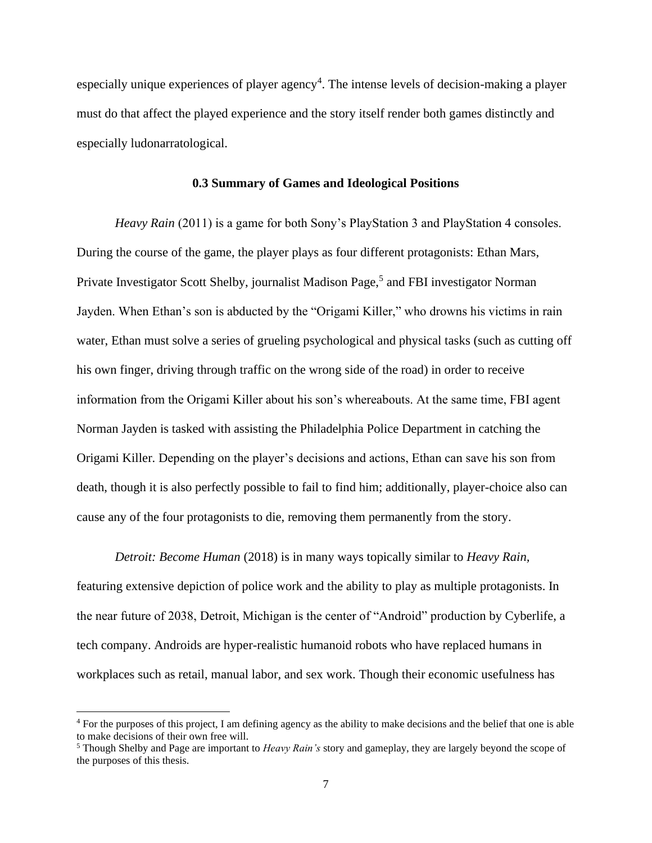especially unique experiences of player agency<sup>4</sup>. The intense levels of decision-making a player must do that affect the played experience and the story itself render both games distinctly and especially ludonarratological.

### **0.3 Summary of Games and Ideological Positions**

*Heavy Rain* (2011) is a game for both Sony's PlayStation 3 and PlayStation 4 consoles. During the course of the game, the player plays as four different protagonists: Ethan Mars, Private Investigator Scott Shelby, journalist Madison Page,<sup>5</sup> and FBI investigator Norman Jayden. When Ethan's son is abducted by the "Origami Killer," who drowns his victims in rain water, Ethan must solve a series of grueling psychological and physical tasks (such as cutting off his own finger, driving through traffic on the wrong side of the road) in order to receive information from the Origami Killer about his son's whereabouts. At the same time, FBI agent Norman Jayden is tasked with assisting the Philadelphia Police Department in catching the Origami Killer. Depending on the player's decisions and actions, Ethan can save his son from death, though it is also perfectly possible to fail to find him; additionally, player-choice also can cause any of the four protagonists to die, removing them permanently from the story.

*Detroit: Become Human* (2018) is in many ways topically similar to *Heavy Rain,*  featuring extensive depiction of police work and the ability to play as multiple protagonists. In the near future of 2038, Detroit, Michigan is the center of "Android" production by Cyberlife, a tech company. Androids are hyper-realistic humanoid robots who have replaced humans in workplaces such as retail, manual labor, and sex work. Though their economic usefulness has

<sup>&</sup>lt;sup>4</sup> For the purposes of this project, I am defining agency as the ability to make decisions and the belief that one is able to make decisions of their own free will.

<sup>5</sup> Though Shelby and Page are important to *Heavy Rain's* story and gameplay, they are largely beyond the scope of the purposes of this thesis.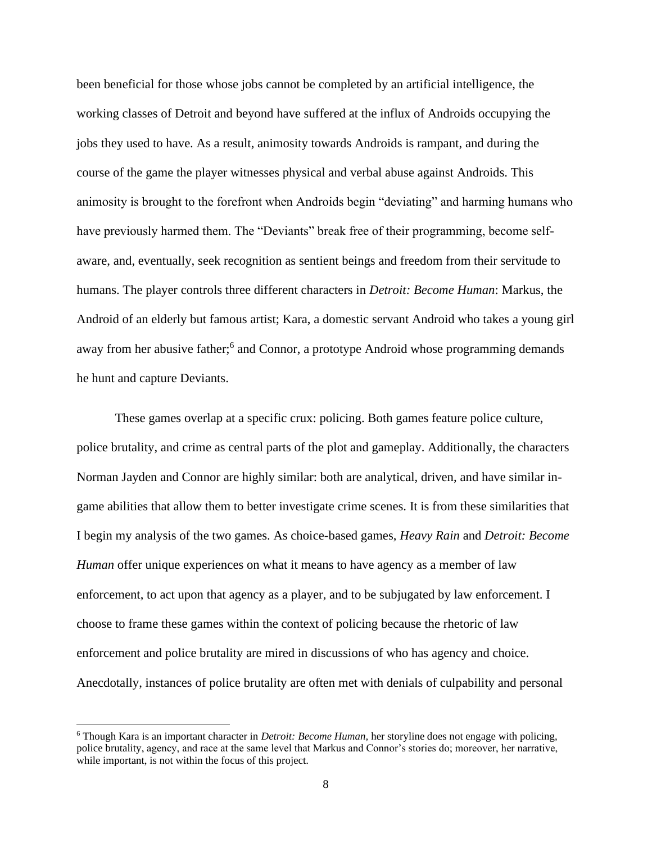been beneficial for those whose jobs cannot be completed by an artificial intelligence, the working classes of Detroit and beyond have suffered at the influx of Androids occupying the jobs they used to have. As a result, animosity towards Androids is rampant, and during the course of the game the player witnesses physical and verbal abuse against Androids. This animosity is brought to the forefront when Androids begin "deviating" and harming humans who have previously harmed them. The "Deviants" break free of their programming, become selfaware, and, eventually, seek recognition as sentient beings and freedom from their servitude to humans. The player controls three different characters in *Detroit: Become Human*: Markus, the Android of an elderly but famous artist; Kara, a domestic servant Android who takes a young girl away from her abusive father;<sup>6</sup> and Connor, a prototype Android whose programming demands he hunt and capture Deviants.

These games overlap at a specific crux: policing. Both games feature police culture, police brutality, and crime as central parts of the plot and gameplay. Additionally, the characters Norman Jayden and Connor are highly similar: both are analytical, driven, and have similar ingame abilities that allow them to better investigate crime scenes. It is from these similarities that I begin my analysis of the two games. As choice-based games, *Heavy Rain* and *Detroit: Become Human* offer unique experiences on what it means to have agency as a member of law enforcement, to act upon that agency as a player, and to be subjugated by law enforcement. I choose to frame these games within the context of policing because the rhetoric of law enforcement and police brutality are mired in discussions of who has agency and choice. Anecdotally, instances of police brutality are often met with denials of culpability and personal

<sup>6</sup> Though Kara is an important character in *Detroit: Become Human,* her storyline does not engage with policing, police brutality, agency, and race at the same level that Markus and Connor's stories do; moreover, her narrative, while important, is not within the focus of this project.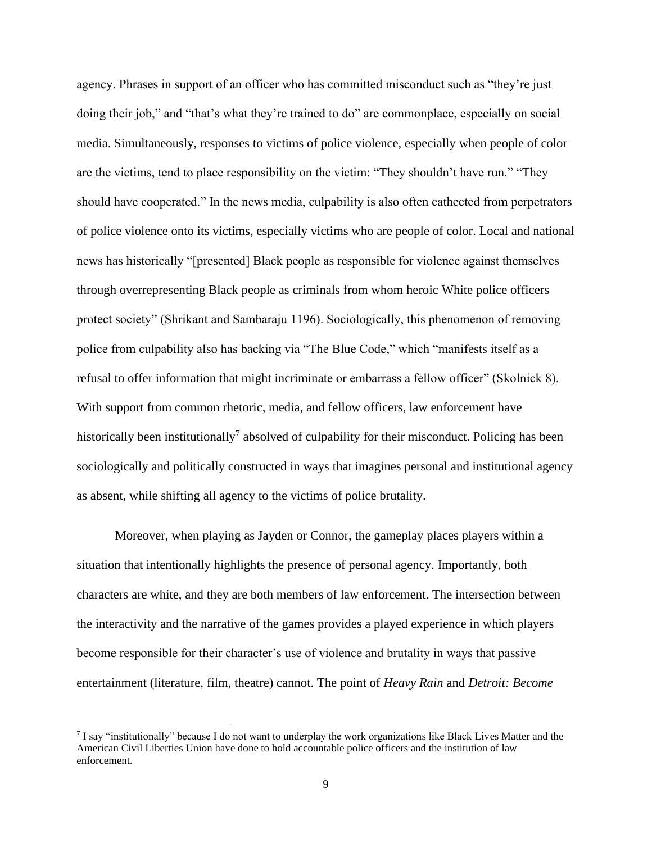agency. Phrases in support of an officer who has committed misconduct such as "they're just doing their job," and "that's what they're trained to do" are commonplace, especially on social media. Simultaneously, responses to victims of police violence, especially when people of color are the victims, tend to place responsibility on the victim: "They shouldn't have run." "They should have cooperated." In the news media, culpability is also often cathected from perpetrators of police violence onto its victims, especially victims who are people of color. Local and national news has historically "[presented] Black people as responsible for violence against themselves through overrepresenting Black people as criminals from whom heroic White police officers protect society" (Shrikant and Sambaraju 1196). Sociologically, this phenomenon of removing police from culpability also has backing via "The Blue Code," which "manifests itself as a refusal to offer information that might incriminate or embarrass a fellow officer" (Skolnick 8). With support from common rhetoric, media, and fellow officers, law enforcement have historically been institutionally<sup>7</sup> absolved of culpability for their misconduct. Policing has been sociologically and politically constructed in ways that imagines personal and institutional agency as absent, while shifting all agency to the victims of police brutality.

Moreover, when playing as Jayden or Connor, the gameplay places players within a situation that intentionally highlights the presence of personal agency. Importantly, both characters are white, and they are both members of law enforcement. The intersection between the interactivity and the narrative of the games provides a played experience in which players become responsible for their character's use of violence and brutality in ways that passive entertainment (literature, film, theatre) cannot. The point of *Heavy Rain* and *Detroit: Become* 

<sup>&</sup>lt;sup>7</sup> I say "institutionally" because I do not want to underplay the work organizations like Black Lives Matter and the American Civil Liberties Union have done to hold accountable police officers and the institution of law enforcement.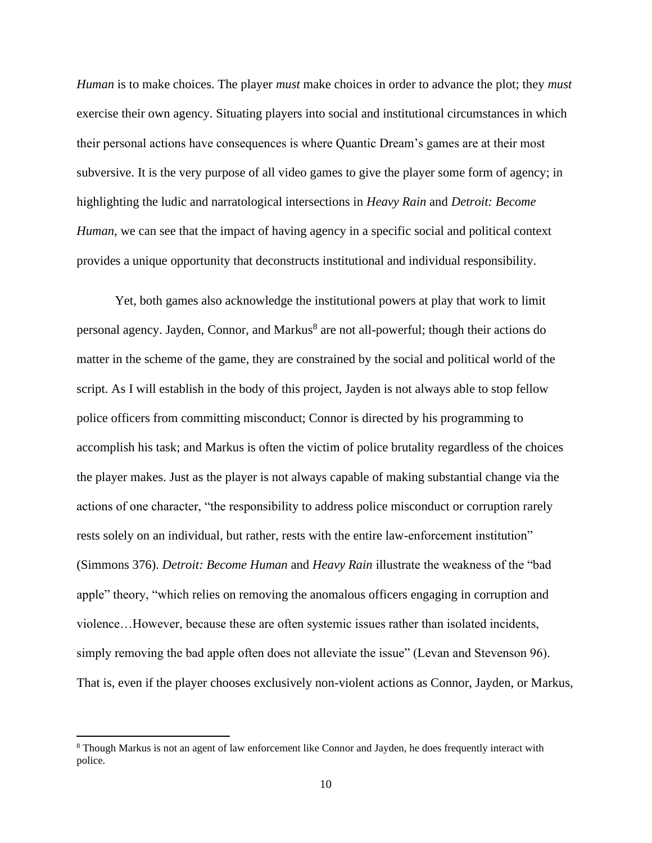*Human* is to make choices. The player *must* make choices in order to advance the plot; they *must*  exercise their own agency. Situating players into social and institutional circumstances in which their personal actions have consequences is where Quantic Dream's games are at their most subversive. It is the very purpose of all video games to give the player some form of agency; in highlighting the ludic and narratological intersections in *Heavy Rain* and *Detroit: Become Human*, we can see that the impact of having agency in a specific social and political context provides a unique opportunity that deconstructs institutional and individual responsibility.

Yet, both games also acknowledge the institutional powers at play that work to limit personal agency. Jayden, Connor, and Markus<sup>8</sup> are not all-powerful; though their actions do matter in the scheme of the game, they are constrained by the social and political world of the script. As I will establish in the body of this project, Jayden is not always able to stop fellow police officers from committing misconduct; Connor is directed by his programming to accomplish his task; and Markus is often the victim of police brutality regardless of the choices the player makes. Just as the player is not always capable of making substantial change via the actions of one character, "the responsibility to address police misconduct or corruption rarely rests solely on an individual, but rather, rests with the entire law-enforcement institution" (Simmons 376). *Detroit: Become Human* and *Heavy Rain* illustrate the weakness of the "bad apple" theory, "which relies on removing the anomalous officers engaging in corruption and violence…However, because these are often systemic issues rather than isolated incidents, simply removing the bad apple often does not alleviate the issue" (Levan and Stevenson 96). That is, even if the player chooses exclusively non-violent actions as Connor, Jayden, or Markus,

<sup>8</sup> Though Markus is not an agent of law enforcement like Connor and Jayden, he does frequently interact with police.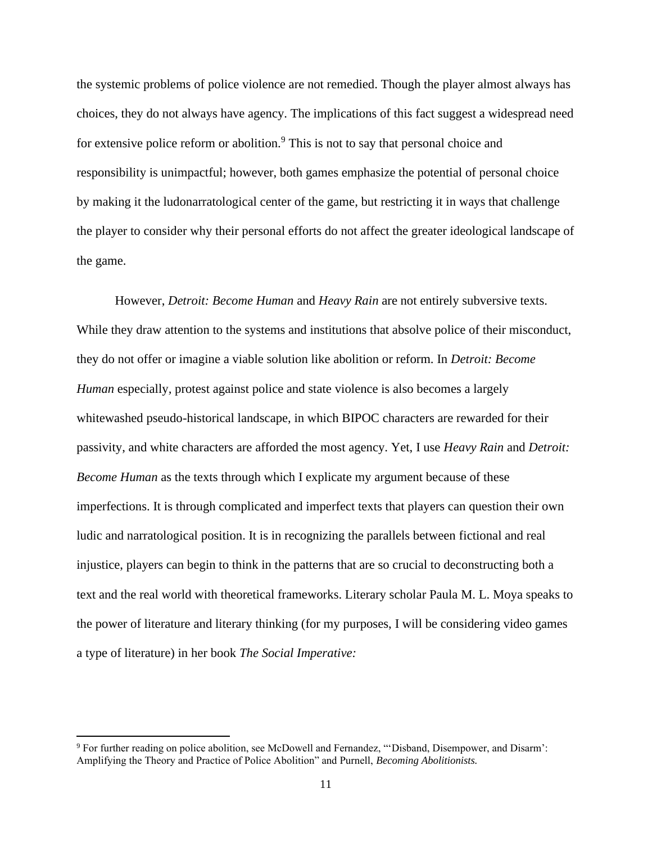the systemic problems of police violence are not remedied. Though the player almost always has choices, they do not always have agency. The implications of this fact suggest a widespread need for extensive police reform or abolition.<sup>9</sup> This is not to say that personal choice and responsibility is unimpactful; however, both games emphasize the potential of personal choice by making it the ludonarratological center of the game, but restricting it in ways that challenge the player to consider why their personal efforts do not affect the greater ideological landscape of the game.

However, *Detroit: Become Human* and *Heavy Rain* are not entirely subversive texts. While they draw attention to the systems and institutions that absolve police of their misconduct, they do not offer or imagine a viable solution like abolition or reform. In *Detroit: Become Human* especially*,* protest against police and state violence is also becomes a largely whitewashed pseudo-historical landscape, in which BIPOC characters are rewarded for their passivity, and white characters are afforded the most agency. Yet, I use *Heavy Rain* and *Detroit: Become Human* as the texts through which I explicate my argument because of these imperfections. It is through complicated and imperfect texts that players can question their own ludic and narratological position. It is in recognizing the parallels between fictional and real injustice, players can begin to think in the patterns that are so crucial to deconstructing both a text and the real world with theoretical frameworks. Literary scholar Paula M. L. Moya speaks to the power of literature and literary thinking (for my purposes, I will be considering video games a type of literature) in her book *The Social Imperative:* 

<sup>9</sup> For further reading on police abolition, see McDowell and Fernandez, "'Disband, Disempower, and Disarm': Amplifying the Theory and Practice of Police Abolition" and Purnell, *Becoming Abolitionists.*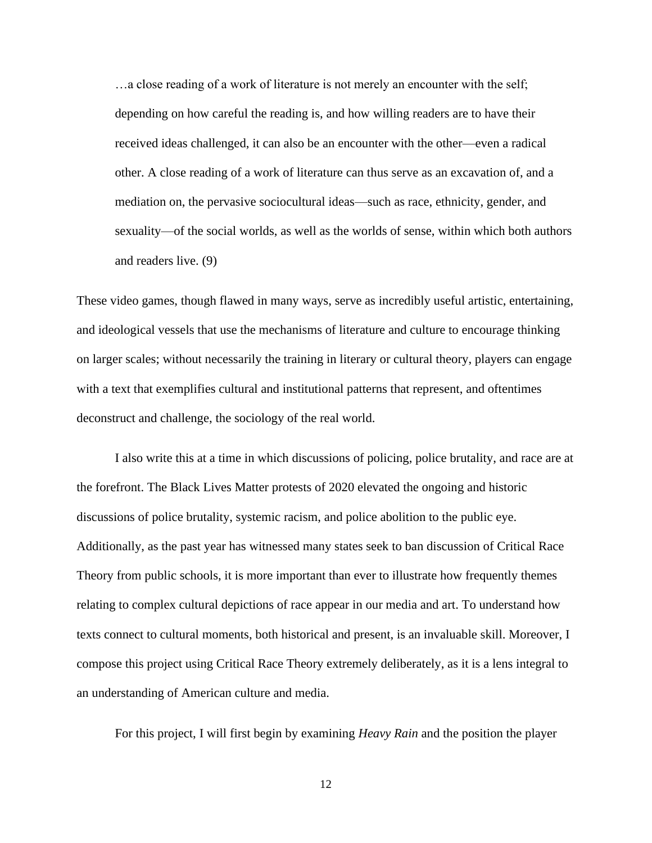…a close reading of a work of literature is not merely an encounter with the self; depending on how careful the reading is, and how willing readers are to have their received ideas challenged, it can also be an encounter with the other—even a radical other. A close reading of a work of literature can thus serve as an excavation of, and a mediation on, the pervasive sociocultural ideas—such as race, ethnicity, gender, and sexuality—of the social worlds, as well as the worlds of sense, within which both authors and readers live. (9)

These video games, though flawed in many ways, serve as incredibly useful artistic, entertaining, and ideological vessels that use the mechanisms of literature and culture to encourage thinking on larger scales; without necessarily the training in literary or cultural theory, players can engage with a text that exemplifies cultural and institutional patterns that represent, and oftentimes deconstruct and challenge, the sociology of the real world.

I also write this at a time in which discussions of policing, police brutality, and race are at the forefront. The Black Lives Matter protests of 2020 elevated the ongoing and historic discussions of police brutality, systemic racism, and police abolition to the public eye. Additionally, as the past year has witnessed many states seek to ban discussion of Critical Race Theory from public schools, it is more important than ever to illustrate how frequently themes relating to complex cultural depictions of race appear in our media and art. To understand how texts connect to cultural moments, both historical and present, is an invaluable skill. Moreover, I compose this project using Critical Race Theory extremely deliberately, as it is a lens integral to an understanding of American culture and media.

For this project, I will first begin by examining *Heavy Rain* and the position the player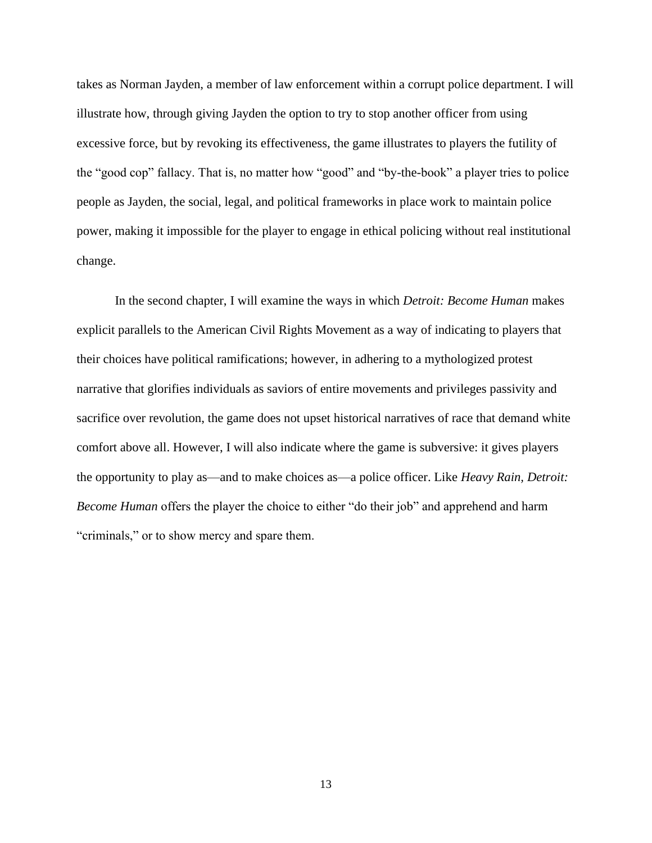takes as Norman Jayden, a member of law enforcement within a corrupt police department. I will illustrate how, through giving Jayden the option to try to stop another officer from using excessive force, but by revoking its effectiveness, the game illustrates to players the futility of the "good cop" fallacy. That is, no matter how "good" and "by-the-book" a player tries to police people as Jayden, the social, legal, and political frameworks in place work to maintain police power, making it impossible for the player to engage in ethical policing without real institutional change.

In the second chapter, I will examine the ways in which *Detroit: Become Human* makes explicit parallels to the American Civil Rights Movement as a way of indicating to players that their choices have political ramifications; however, in adhering to a mythologized protest narrative that glorifies individuals as saviors of entire movements and privileges passivity and sacrifice over revolution, the game does not upset historical narratives of race that demand white comfort above all. However, I will also indicate where the game is subversive: it gives players the opportunity to play as—and to make choices as—a police officer. Like *Heavy Rain, Detroit: Become Human* offers the player the choice to either "do their job" and apprehend and harm "criminals," or to show mercy and spare them.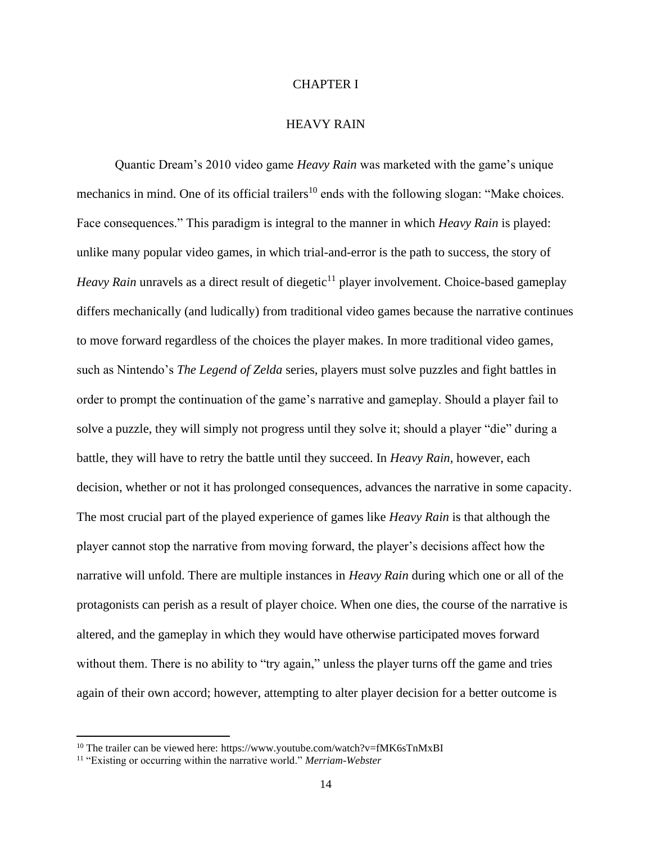### CHAPTER I

### HEAVY RAIN

Quantic Dream's 2010 video game *Heavy Rain* was marketed with the game's unique mechanics in mind. One of its official trailers<sup>10</sup> ends with the following slogan: "Make choices. Face consequences." This paradigm is integral to the manner in which *Heavy Rain* is played: unlike many popular video games, in which trial-and-error is the path to success, the story of *Heavy Rain* unravels as a direct result of diegetic<sup>11</sup> player involvement. Choice-based gameplay differs mechanically (and ludically) from traditional video games because the narrative continues to move forward regardless of the choices the player makes. In more traditional video games, such as Nintendo's *The Legend of Zelda* series, players must solve puzzles and fight battles in order to prompt the continuation of the game's narrative and gameplay. Should a player fail to solve a puzzle, they will simply not progress until they solve it; should a player "die" during a battle, they will have to retry the battle until they succeed. In *Heavy Rain,* however, each decision, whether or not it has prolonged consequences, advances the narrative in some capacity. The most crucial part of the played experience of games like *Heavy Rain* is that although the player cannot stop the narrative from moving forward, the player's decisions affect how the narrative will unfold. There are multiple instances in *Heavy Rain* during which one or all of the protagonists can perish as a result of player choice. When one dies, the course of the narrative is altered, and the gameplay in which they would have otherwise participated moves forward without them. There is no ability to "try again," unless the player turns off the game and tries again of their own accord; however, attempting to alter player decision for a better outcome is

<sup>&</sup>lt;sup>10</sup> The trailer can be viewed here: https://www.youtube.com/watch?v=fMK6sTnMxBI

<sup>11</sup> "Existing or occurring within the narrative world." *Merriam-Webster*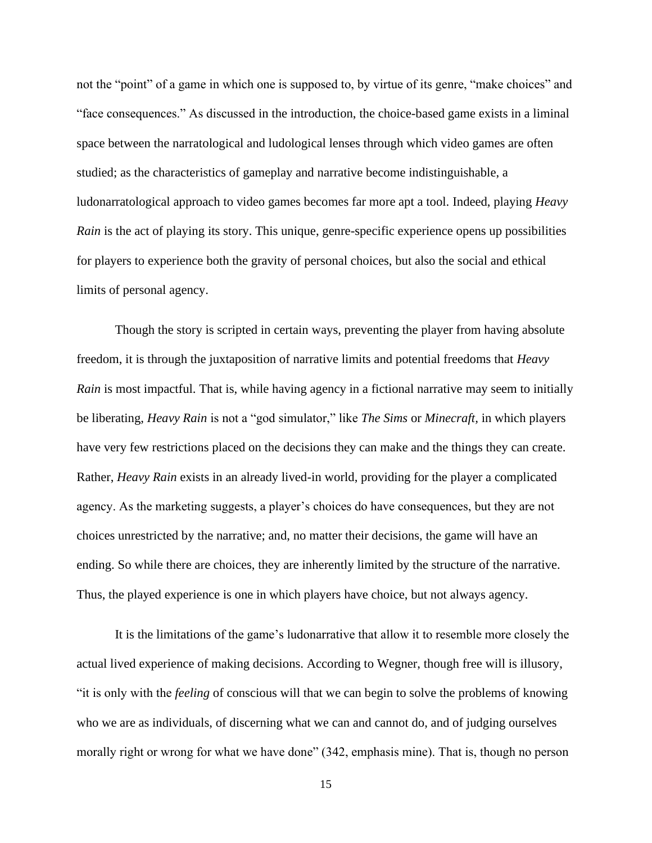not the "point" of a game in which one is supposed to, by virtue of its genre, "make choices" and "face consequences." As discussed in the introduction, the choice-based game exists in a liminal space between the narratological and ludological lenses through which video games are often studied; as the characteristics of gameplay and narrative become indistinguishable, a ludonarratological approach to video games becomes far more apt a tool. Indeed, playing *Heavy Rain* is the act of playing its story. This unique, genre-specific experience opens up possibilities for players to experience both the gravity of personal choices, but also the social and ethical limits of personal agency.

Though the story is scripted in certain ways, preventing the player from having absolute freedom, it is through the juxtaposition of narrative limits and potential freedoms that *Heavy Rain* is most impactful. That is, while having agency in a fictional narrative may seem to initially be liberating, *Heavy Rain* is not a "god simulator," like *The Sims* or *Minecraft,* in which players have very few restrictions placed on the decisions they can make and the things they can create. Rather, *Heavy Rain* exists in an already lived-in world, providing for the player a complicated agency. As the marketing suggests, a player's choices do have consequences, but they are not choices unrestricted by the narrative; and, no matter their decisions, the game will have an ending. So while there are choices, they are inherently limited by the structure of the narrative. Thus, the played experience is one in which players have choice, but not always agency.

It is the limitations of the game's ludonarrative that allow it to resemble more closely the actual lived experience of making decisions. According to Wegner, though free will is illusory, "it is only with the *feeling* of conscious will that we can begin to solve the problems of knowing who we are as individuals, of discerning what we can and cannot do, and of judging ourselves morally right or wrong for what we have done" (342, emphasis mine). That is, though no person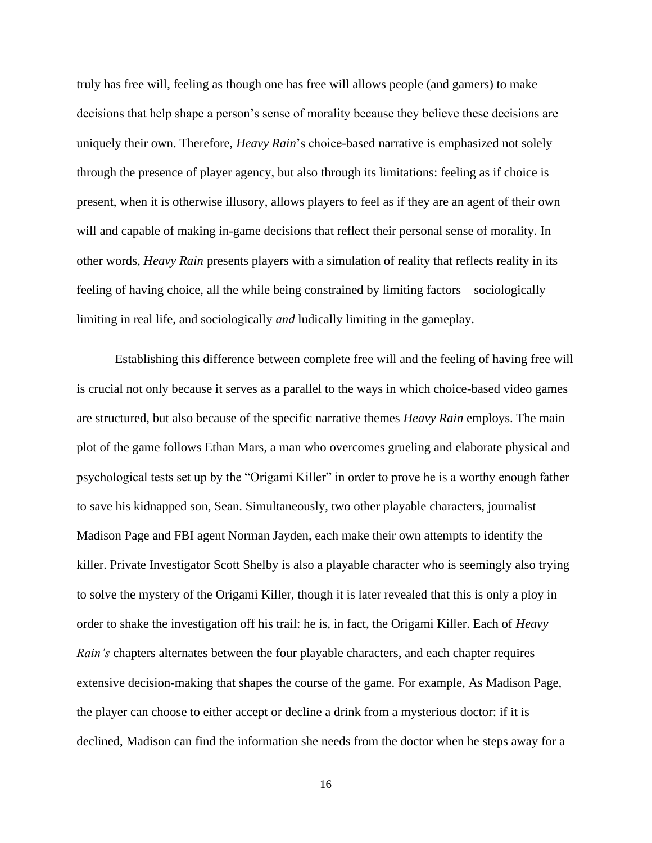truly has free will, feeling as though one has free will allows people (and gamers) to make decisions that help shape a person's sense of morality because they believe these decisions are uniquely their own. Therefore, *Heavy Rain*'s choice-based narrative is emphasized not solely through the presence of player agency, but also through its limitations: feeling as if choice is present, when it is otherwise illusory, allows players to feel as if they are an agent of their own will and capable of making in-game decisions that reflect their personal sense of morality. In other words, *Heavy Rain* presents players with a simulation of reality that reflects reality in its feeling of having choice, all the while being constrained by limiting factors—sociologically limiting in real life, and sociologically *and* ludically limiting in the gameplay.

Establishing this difference between complete free will and the feeling of having free will is crucial not only because it serves as a parallel to the ways in which choice-based video games are structured, but also because of the specific narrative themes *Heavy Rain* employs. The main plot of the game follows Ethan Mars, a man who overcomes grueling and elaborate physical and psychological tests set up by the "Origami Killer" in order to prove he is a worthy enough father to save his kidnapped son, Sean. Simultaneously, two other playable characters, journalist Madison Page and FBI agent Norman Jayden, each make their own attempts to identify the killer. Private Investigator Scott Shelby is also a playable character who is seemingly also trying to solve the mystery of the Origami Killer, though it is later revealed that this is only a ploy in order to shake the investigation off his trail: he is, in fact, the Origami Killer. Each of *Heavy Rain's* chapters alternates between the four playable characters, and each chapter requires extensive decision-making that shapes the course of the game. For example, As Madison Page, the player can choose to either accept or decline a drink from a mysterious doctor: if it is declined, Madison can find the information she needs from the doctor when he steps away for a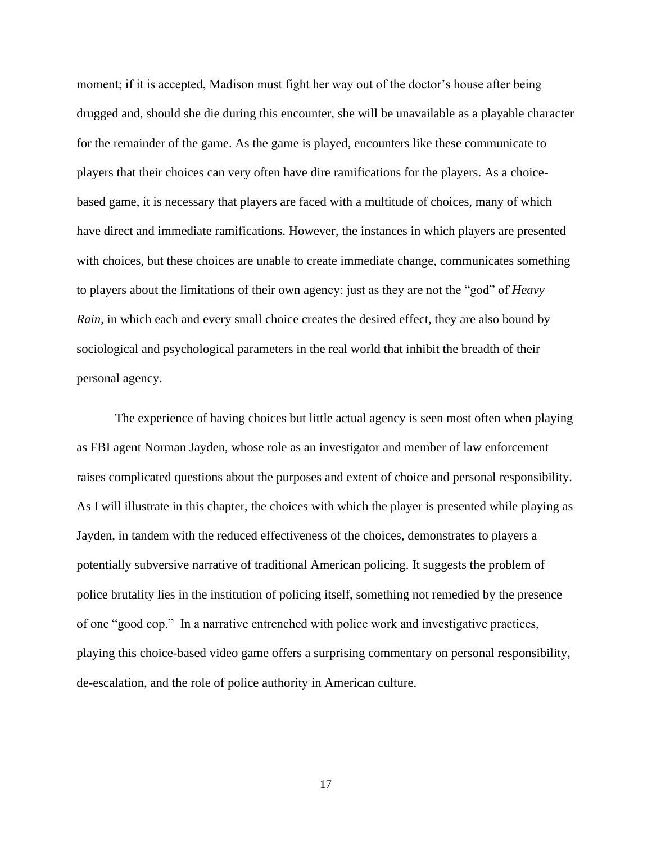moment; if it is accepted, Madison must fight her way out of the doctor's house after being drugged and, should she die during this encounter, she will be unavailable as a playable character for the remainder of the game. As the game is played, encounters like these communicate to players that their choices can very often have dire ramifications for the players. As a choicebased game, it is necessary that players are faced with a multitude of choices, many of which have direct and immediate ramifications. However, the instances in which players are presented with choices, but these choices are unable to create immediate change, communicates something to players about the limitations of their own agency: just as they are not the "god" of *Heavy Rain,* in which each and every small choice creates the desired effect, they are also bound by sociological and psychological parameters in the real world that inhibit the breadth of their personal agency.

The experience of having choices but little actual agency is seen most often when playing as FBI agent Norman Jayden, whose role as an investigator and member of law enforcement raises complicated questions about the purposes and extent of choice and personal responsibility. As I will illustrate in this chapter, the choices with which the player is presented while playing as Jayden, in tandem with the reduced effectiveness of the choices, demonstrates to players a potentially subversive narrative of traditional American policing. It suggests the problem of police brutality lies in the institution of policing itself, something not remedied by the presence of one "good cop." In a narrative entrenched with police work and investigative practices, playing this choice-based video game offers a surprising commentary on personal responsibility, de-escalation, and the role of police authority in American culture.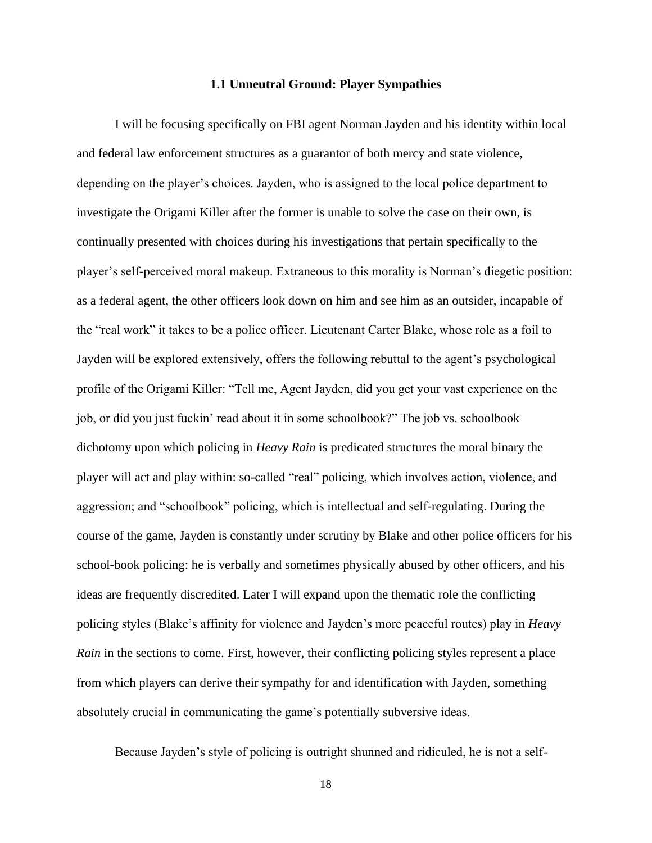### **1.1 Unneutral Ground: Player Sympathies**

I will be focusing specifically on FBI agent Norman Jayden and his identity within local and federal law enforcement structures as a guarantor of both mercy and state violence, depending on the player's choices. Jayden, who is assigned to the local police department to investigate the Origami Killer after the former is unable to solve the case on their own, is continually presented with choices during his investigations that pertain specifically to the player's self-perceived moral makeup. Extraneous to this morality is Norman's diegetic position: as a federal agent, the other officers look down on him and see him as an outsider, incapable of the "real work" it takes to be a police officer. Lieutenant Carter Blake, whose role as a foil to Jayden will be explored extensively, offers the following rebuttal to the agent's psychological profile of the Origami Killer: "Tell me, Agent Jayden, did you get your vast experience on the job, or did you just fuckin' read about it in some schoolbook?" The job vs. schoolbook dichotomy upon which policing in *Heavy Rain* is predicated structures the moral binary the player will act and play within: so-called "real" policing, which involves action, violence, and aggression; and "schoolbook" policing, which is intellectual and self-regulating. During the course of the game, Jayden is constantly under scrutiny by Blake and other police officers for his school-book policing: he is verbally and sometimes physically abused by other officers, and his ideas are frequently discredited. Later I will expand upon the thematic role the conflicting policing styles (Blake's affinity for violence and Jayden's more peaceful routes) play in *Heavy Rain* in the sections to come. First, however, their conflicting policing styles represent a place from which players can derive their sympathy for and identification with Jayden, something absolutely crucial in communicating the game's potentially subversive ideas.

Because Jayden's style of policing is outright shunned and ridiculed, he is not a self-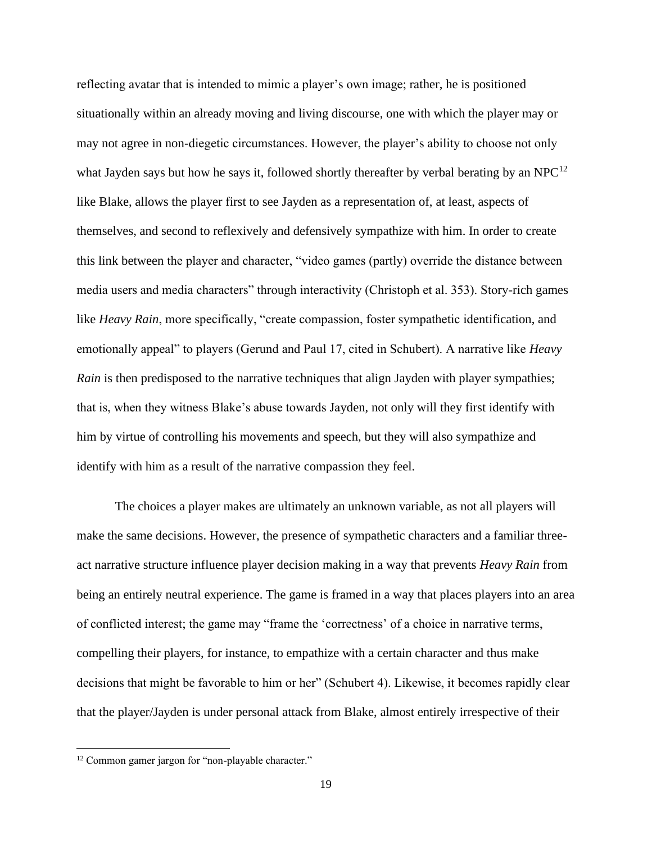reflecting avatar that is intended to mimic a player's own image; rather, he is positioned situationally within an already moving and living discourse, one with which the player may or may not agree in non-diegetic circumstances. However, the player's ability to choose not only what Jayden says but how he says it, followed shortly thereafter by verbal berating by an NPC $^{12}$ like Blake, allows the player first to see Jayden as a representation of, at least, aspects of themselves, and second to reflexively and defensively sympathize with him. In order to create this link between the player and character, "video games (partly) override the distance between media users and media characters" through interactivity (Christoph et al. 353). Story-rich games like *Heavy Rain*, more specifically, "create compassion, foster sympathetic identification, and emotionally appeal" to players (Gerund and Paul 17, cited in Schubert). A narrative like *Heavy Rain* is then predisposed to the narrative techniques that align Jayden with player sympathies; that is, when they witness Blake's abuse towards Jayden, not only will they first identify with him by virtue of controlling his movements and speech, but they will also sympathize and identify with him as a result of the narrative compassion they feel.

The choices a player makes are ultimately an unknown variable, as not all players will make the same decisions. However, the presence of sympathetic characters and a familiar threeact narrative structure influence player decision making in a way that prevents *Heavy Rain* from being an entirely neutral experience. The game is framed in a way that places players into an area of conflicted interest; the game may "frame the 'correctness' of a choice in narrative terms, compelling their players, for instance, to empathize with a certain character and thus make decisions that might be favorable to him or her" (Schubert 4). Likewise, it becomes rapidly clear that the player/Jayden is under personal attack from Blake, almost entirely irrespective of their

<sup>&</sup>lt;sup>12</sup> Common gamer jargon for "non-playable character."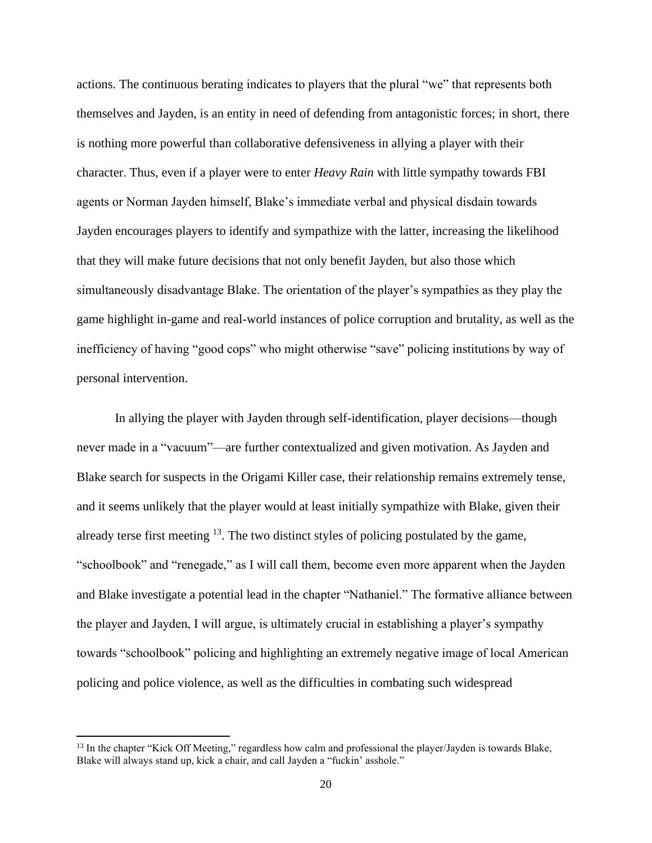actions. The continuous berating indicates to players that the plural "we" that represents both themselves and Jayden, is an entity in need of defending from antagonistic forces; in short, there is nothing more powerful than collaborative defensiveness in allying a player with their character. Thus, even if a player were to enter *Heavy Rain* with little sympathy towards FBI agents or Norman Jayden himself, Blake's immediate verbal and physical disdain towards Jayden encourages players to identify and sympathize with the latter, increasing the likelihood that they will make future decisions that not only benefit Jayden, but also those which simultaneously disadvantage Blake. The orientation of the player's sympathies as they play the game highlight in-game and real-world instances of police corruption and brutality, as well as the inefficiency of having "good cops" who might otherwise "save" policing institutions by way of personal intervention.

In allying the player with Jayden through self-identification, player decisions—though never made in a "vacuum"—are further contextualized and given motivation. As Jayden and Blake search for suspects in the Origami Killer case, their relationship remains extremely tense, and it seems unlikely that the player would at least initially sympathize with Blake, given their already terse first meeting  $^{13}$ . The two distinct styles of policing postulated by the game, "schoolbook" and "renegade," as I will call them, become even more apparent when the Jayden and Blake investigate a potential lead in the chapter "Nathaniel." The formative alliance between the player and Jayden, I will argue, is ultimately crucial in establishing a player's sympathy towards "schoolbook" policing and highlighting an extremely negative image of local American policing and police violence, as well as the difficulties in combating such widespread

<sup>&</sup>lt;sup>13</sup> In the chapter "Kick Off Meeting," regardless how calm and professional the player/Jayden is towards Blake, Blake will always stand up, kick a chair, and call Jayden a "fuckin' asshole."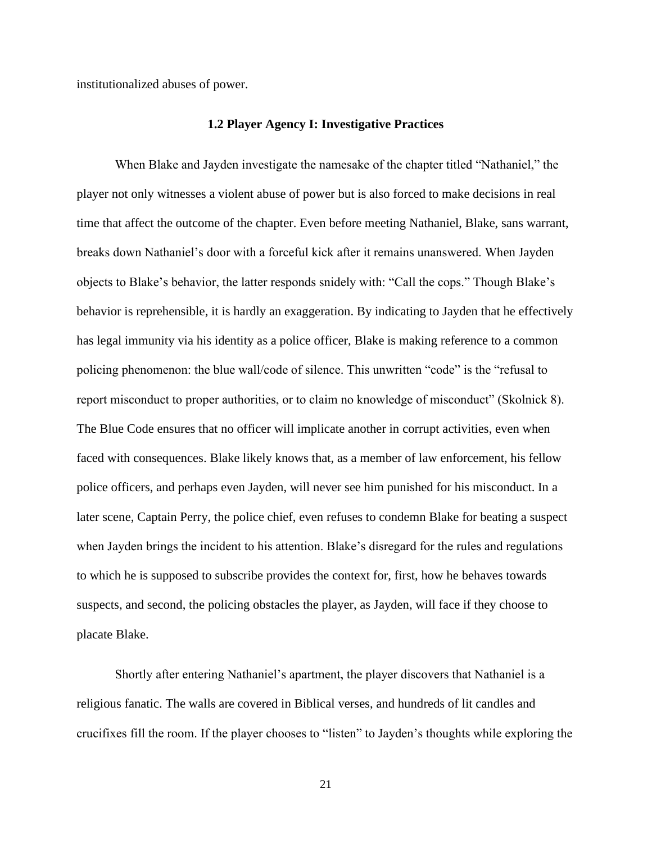institutionalized abuses of power.

#### **1.2 Player Agency I: Investigative Practices**

When Blake and Jayden investigate the namesake of the chapter titled "Nathaniel," the player not only witnesses a violent abuse of power but is also forced to make decisions in real time that affect the outcome of the chapter. Even before meeting Nathaniel, Blake, sans warrant, breaks down Nathaniel's door with a forceful kick after it remains unanswered. When Jayden objects to Blake's behavior, the latter responds snidely with: "Call the cops." Though Blake's behavior is reprehensible, it is hardly an exaggeration. By indicating to Jayden that he effectively has legal immunity via his identity as a police officer, Blake is making reference to a common policing phenomenon: the blue wall/code of silence. This unwritten "code" is the "refusal to report misconduct to proper authorities, or to claim no knowledge of misconduct" (Skolnick 8). The Blue Code ensures that no officer will implicate another in corrupt activities, even when faced with consequences. Blake likely knows that, as a member of law enforcement, his fellow police officers, and perhaps even Jayden, will never see him punished for his misconduct. In a later scene, Captain Perry, the police chief, even refuses to condemn Blake for beating a suspect when Jayden brings the incident to his attention. Blake's disregard for the rules and regulations to which he is supposed to subscribe provides the context for, first, how he behaves towards suspects, and second, the policing obstacles the player, as Jayden, will face if they choose to placate Blake.

Shortly after entering Nathaniel's apartment, the player discovers that Nathaniel is a religious fanatic. The walls are covered in Biblical verses, and hundreds of lit candles and crucifixes fill the room. If the player chooses to "listen" to Jayden's thoughts while exploring the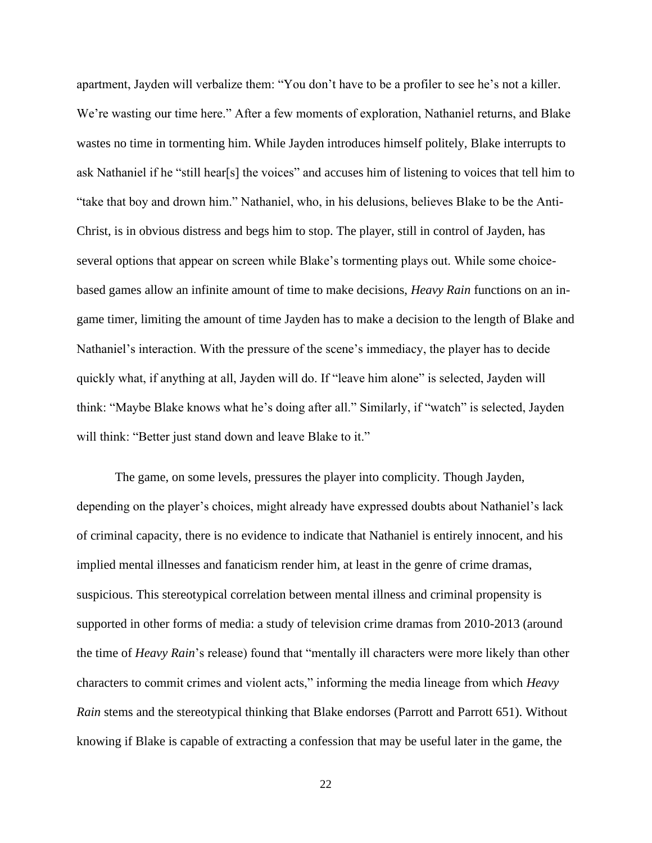apartment, Jayden will verbalize them: "You don't have to be a profiler to see he's not a killer. We're wasting our time here." After a few moments of exploration, Nathaniel returns, and Blake wastes no time in tormenting him. While Jayden introduces himself politely, Blake interrupts to ask Nathaniel if he "still hear[s] the voices" and accuses him of listening to voices that tell him to "take that boy and drown him." Nathaniel, who, in his delusions, believes Blake to be the Anti-Christ, is in obvious distress and begs him to stop. The player, still in control of Jayden, has several options that appear on screen while Blake's tormenting plays out. While some choicebased games allow an infinite amount of time to make decisions, *Heavy Rain* functions on an ingame timer, limiting the amount of time Jayden has to make a decision to the length of Blake and Nathaniel's interaction. With the pressure of the scene's immediacy, the player has to decide quickly what, if anything at all, Jayden will do. If "leave him alone" is selected, Jayden will think: "Maybe Blake knows what he's doing after all." Similarly, if "watch" is selected, Jayden will think: "Better just stand down and leave Blake to it."

The game, on some levels, pressures the player into complicity. Though Jayden, depending on the player's choices, might already have expressed doubts about Nathaniel's lack of criminal capacity, there is no evidence to indicate that Nathaniel is entirely innocent, and his implied mental illnesses and fanaticism render him, at least in the genre of crime dramas, suspicious. This stereotypical correlation between mental illness and criminal propensity is supported in other forms of media: a study of television crime dramas from 2010-2013 (around the time of *Heavy Rain*'s release) found that "mentally ill characters were more likely than other characters to commit crimes and violent acts," informing the media lineage from which *Heavy Rain* stems and the stereotypical thinking that Blake endorses (Parrott and Parrott 651). Without knowing if Blake is capable of extracting a confession that may be useful later in the game, the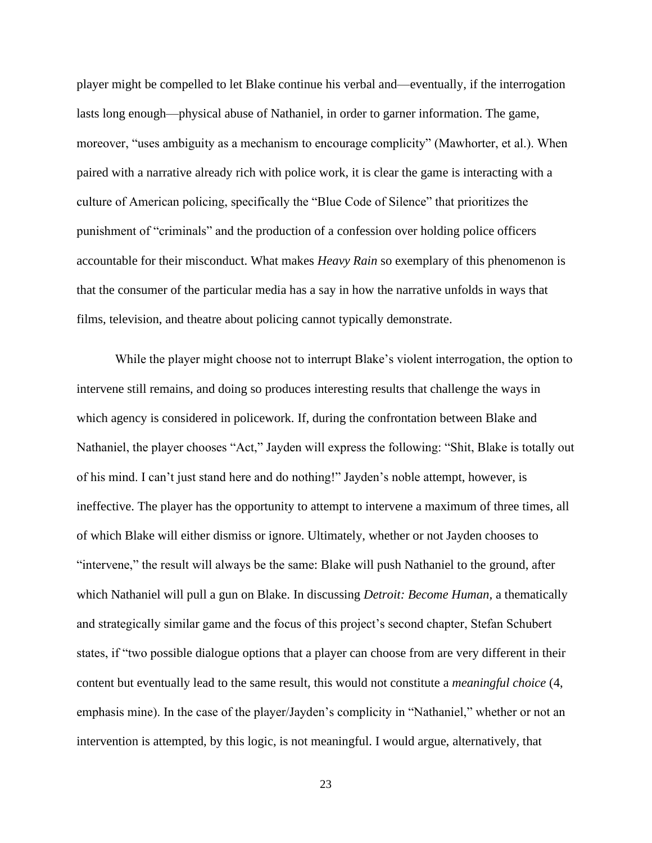player might be compelled to let Blake continue his verbal and—eventually, if the interrogation lasts long enough—physical abuse of Nathaniel, in order to garner information. The game, moreover, "uses ambiguity as a mechanism to encourage complicity" (Mawhorter, et al.). When paired with a narrative already rich with police work, it is clear the game is interacting with a culture of American policing, specifically the "Blue Code of Silence" that prioritizes the punishment of "criminals" and the production of a confession over holding police officers accountable for their misconduct. What makes *Heavy Rain* so exemplary of this phenomenon is that the consumer of the particular media has a say in how the narrative unfolds in ways that films, television, and theatre about policing cannot typically demonstrate.

While the player might choose not to interrupt Blake's violent interrogation, the option to intervene still remains, and doing so produces interesting results that challenge the ways in which agency is considered in policework. If, during the confrontation between Blake and Nathaniel, the player chooses "Act," Jayden will express the following: "Shit, Blake is totally out of his mind. I can't just stand here and do nothing!" Jayden's noble attempt, however, is ineffective. The player has the opportunity to attempt to intervene a maximum of three times, all of which Blake will either dismiss or ignore. Ultimately, whether or not Jayden chooses to "intervene," the result will always be the same: Blake will push Nathaniel to the ground, after which Nathaniel will pull a gun on Blake. In discussing *Detroit: Become Human,* a thematically and strategically similar game and the focus of this project's second chapter, Stefan Schubert states, if "two possible dialogue options that a player can choose from are very different in their content but eventually lead to the same result, this would not constitute a *meaningful choice* (4, emphasis mine). In the case of the player/Jayden's complicity in "Nathaniel," whether or not an intervention is attempted, by this logic, is not meaningful. I would argue, alternatively, that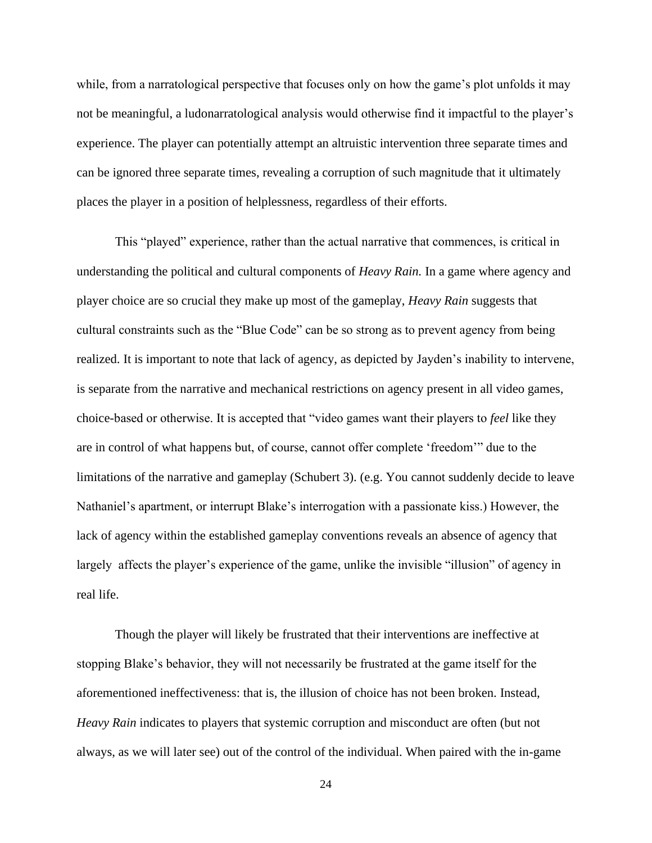while, from a narratological perspective that focuses only on how the game's plot unfolds it may not be meaningful, a ludonarratological analysis would otherwise find it impactful to the player's experience. The player can potentially attempt an altruistic intervention three separate times and can be ignored three separate times, revealing a corruption of such magnitude that it ultimately places the player in a position of helplessness, regardless of their efforts.

This "played" experience, rather than the actual narrative that commences, is critical in understanding the political and cultural components of *Heavy Rain.* In a game where agency and player choice are so crucial they make up most of the gameplay, *Heavy Rain* suggests that cultural constraints such as the "Blue Code" can be so strong as to prevent agency from being realized. It is important to note that lack of agency, as depicted by Jayden's inability to intervene, is separate from the narrative and mechanical restrictions on agency present in all video games, choice-based or otherwise. It is accepted that "video games want their players to *feel* like they are in control of what happens but, of course, cannot offer complete 'freedom'" due to the limitations of the narrative and gameplay (Schubert 3). (e.g. You cannot suddenly decide to leave Nathaniel's apartment, or interrupt Blake's interrogation with a passionate kiss.) However, the lack of agency within the established gameplay conventions reveals an absence of agency that largely affects the player's experience of the game, unlike the invisible "illusion" of agency in real life.

Though the player will likely be frustrated that their interventions are ineffective at stopping Blake's behavior, they will not necessarily be frustrated at the game itself for the aforementioned ineffectiveness: that is, the illusion of choice has not been broken. Instead, *Heavy Rain* indicates to players that systemic corruption and misconduct are often (but not always, as we will later see) out of the control of the individual. When paired with the in-game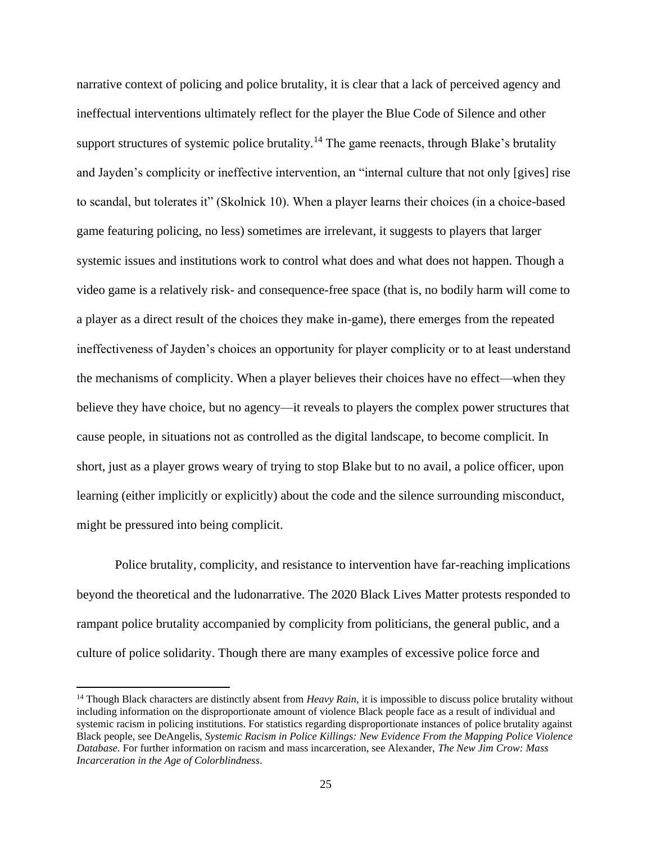narrative context of policing and police brutality, it is clear that a lack of perceived agency and ineffectual interventions ultimately reflect for the player the Blue Code of Silence and other support structures of systemic police brutality*.* <sup>14</sup> The game reenacts, through Blake's brutality and Jayden's complicity or ineffective intervention, an "internal culture that not only [gives] rise to scandal, but tolerates it" (Skolnick 10). When a player learns their choices (in a choice-based game featuring policing, no less) sometimes are irrelevant, it suggests to players that larger systemic issues and institutions work to control what does and what does not happen. Though a video game is a relatively risk- and consequence-free space (that is, no bodily harm will come to a player as a direct result of the choices they make in-game), there emerges from the repeated ineffectiveness of Jayden's choices an opportunity for player complicity or to at least understand the mechanisms of complicity. When a player believes their choices have no effect—when they believe they have choice, but no agency—it reveals to players the complex power structures that cause people, in situations not as controlled as the digital landscape, to become complicit. In short, just as a player grows weary of trying to stop Blake but to no avail, a police officer, upon learning (either implicitly or explicitly) about the code and the silence surrounding misconduct, might be pressured into being complicit.

Police brutality, complicity, and resistance to intervention have far-reaching implications beyond the theoretical and the ludonarrative. The 2020 Black Lives Matter protests responded to rampant police brutality accompanied by complicity from politicians, the general public, and a culture of police solidarity. Though there are many examples of excessive police force and

<sup>&</sup>lt;sup>14</sup> Though Black characters are distinctly absent from *Heavy Rain*, it is impossible to discuss police brutality without including information on the disproportionate amount of violence Black people face as a result of individual and systemic racism in policing institutions. For statistics regarding disproportionate instances of police brutality against Black people, see DeAngelis, *Systemic Racism in Police Killings: New Evidence From the Mapping Police Violence Database.* For further information on racism and mass incarceration, see Alexander, *The New Jim Crow: Mass Incarceration in the Age of Colorblindness*.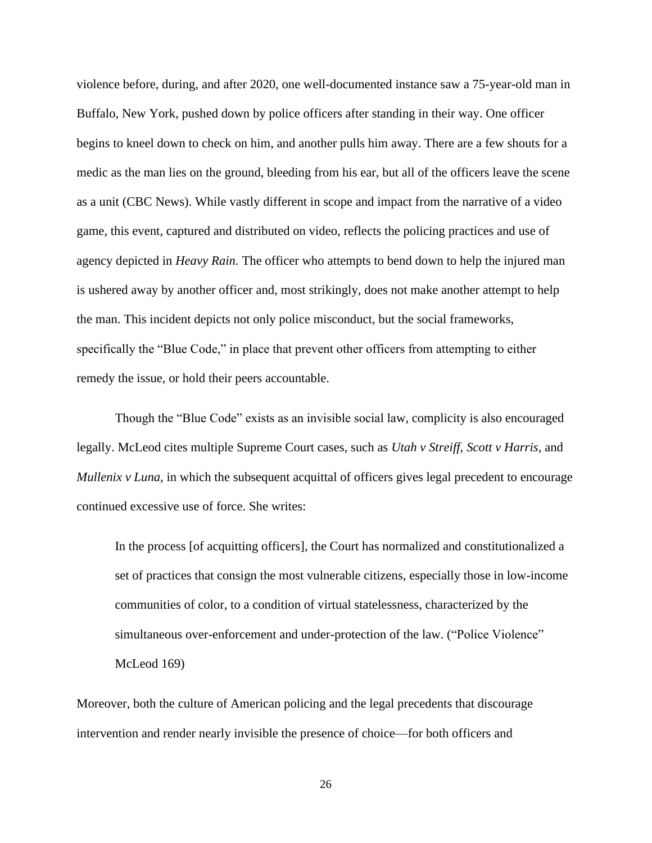violence before, during, and after 2020, one well-documented instance saw a 75-year-old man in Buffalo, New York, pushed down by police officers after standing in their way. One officer begins to kneel down to check on him, and another pulls him away. There are a few shouts for a medic as the man lies on the ground, bleeding from his ear, but all of the officers leave the scene as a unit (CBC News). While vastly different in scope and impact from the narrative of a video game, this event, captured and distributed on video, reflects the policing practices and use of agency depicted in *Heavy Rain.* The officer who attempts to bend down to help the injured man is ushered away by another officer and, most strikingly, does not make another attempt to help the man. This incident depicts not only police misconduct, but the social frameworks, specifically the "Blue Code," in place that prevent other officers from attempting to either remedy the issue, or hold their peers accountable.

Though the "Blue Code" exists as an invisible social law, complicity is also encouraged legally. McLeod cites multiple Supreme Court cases, such as *Utah v Streiff, Scott v Harris,* and *Mullenix v Luna,* in which the subsequent acquittal of officers gives legal precedent to encourage continued excessive use of force. She writes:

In the process [of acquitting officers], the Court has normalized and constitutionalized a set of practices that consign the most vulnerable citizens, especially those in low-income communities of color, to a condition of virtual statelessness, characterized by the simultaneous over-enforcement and under-protection of the law. ("Police Violence" McLeod 169)

Moreover, both the culture of American policing and the legal precedents that discourage intervention and render nearly invisible the presence of choice—for both officers and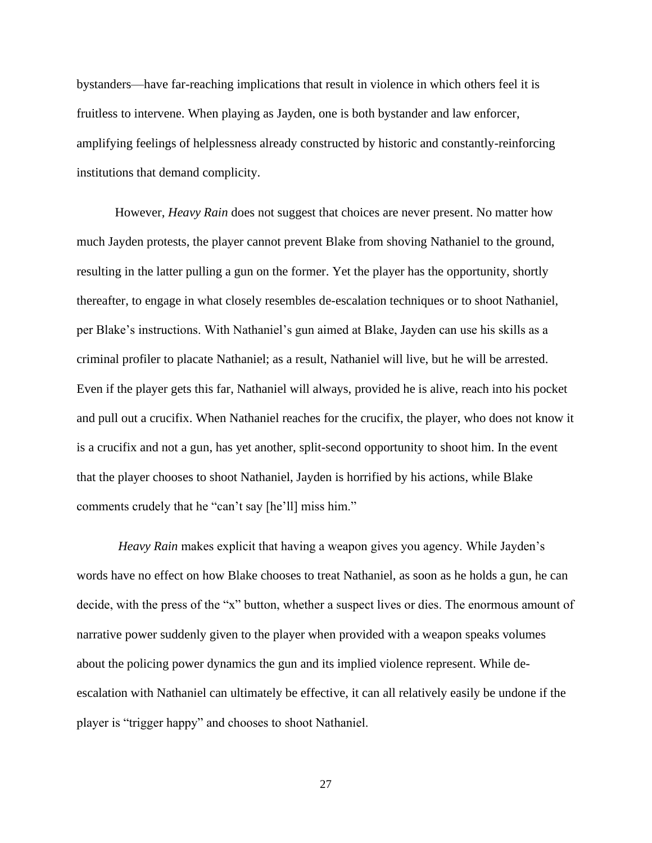bystanders—have far-reaching implications that result in violence in which others feel it is fruitless to intervene. When playing as Jayden, one is both bystander and law enforcer, amplifying feelings of helplessness already constructed by historic and constantly-reinforcing institutions that demand complicity.

However, *Heavy Rain* does not suggest that choices are never present. No matter how much Jayden protests, the player cannot prevent Blake from shoving Nathaniel to the ground, resulting in the latter pulling a gun on the former. Yet the player has the opportunity, shortly thereafter, to engage in what closely resembles de-escalation techniques or to shoot Nathaniel, per Blake's instructions. With Nathaniel's gun aimed at Blake, Jayden can use his skills as a criminal profiler to placate Nathaniel; as a result, Nathaniel will live, but he will be arrested. Even if the player gets this far, Nathaniel will always, provided he is alive, reach into his pocket and pull out a crucifix. When Nathaniel reaches for the crucifix, the player, who does not know it is a crucifix and not a gun, has yet another, split-second opportunity to shoot him. In the event that the player chooses to shoot Nathaniel, Jayden is horrified by his actions, while Blake comments crudely that he "can't say [he'll] miss him."

*Heavy Rain* makes explicit that having a weapon gives you agency. While Jayden's words have no effect on how Blake chooses to treat Nathaniel, as soon as he holds a gun, he can decide, with the press of the "x" button, whether a suspect lives or dies. The enormous amount of narrative power suddenly given to the player when provided with a weapon speaks volumes about the policing power dynamics the gun and its implied violence represent. While deescalation with Nathaniel can ultimately be effective, it can all relatively easily be undone if the player is "trigger happy" and chooses to shoot Nathaniel.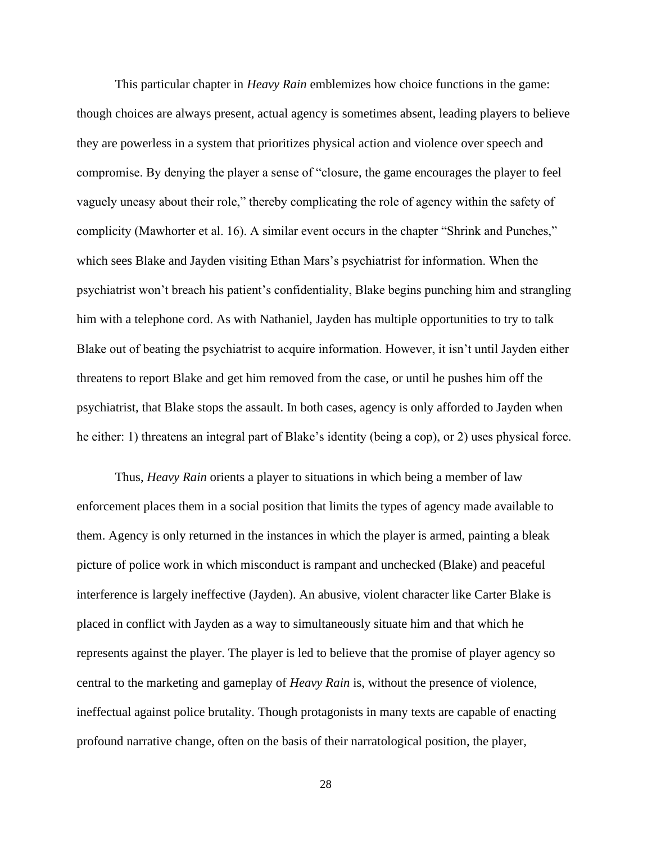This particular chapter in *Heavy Rain* emblemizes how choice functions in the game: though choices are always present, actual agency is sometimes absent, leading players to believe they are powerless in a system that prioritizes physical action and violence over speech and compromise. By denying the player a sense of "closure, the game encourages the player to feel vaguely uneasy about their role," thereby complicating the role of agency within the safety of complicity (Mawhorter et al. 16). A similar event occurs in the chapter "Shrink and Punches," which sees Blake and Jayden visiting Ethan Mars's psychiatrist for information. When the psychiatrist won't breach his patient's confidentiality, Blake begins punching him and strangling him with a telephone cord. As with Nathaniel, Jayden has multiple opportunities to try to talk Blake out of beating the psychiatrist to acquire information. However, it isn't until Jayden either threatens to report Blake and get him removed from the case, or until he pushes him off the psychiatrist, that Blake stops the assault. In both cases, agency is only afforded to Jayden when he either: 1) threatens an integral part of Blake's identity (being a cop), or 2) uses physical force.

Thus, *Heavy Rain* orients a player to situations in which being a member of law enforcement places them in a social position that limits the types of agency made available to them. Agency is only returned in the instances in which the player is armed, painting a bleak picture of police work in which misconduct is rampant and unchecked (Blake) and peaceful interference is largely ineffective (Jayden). An abusive, violent character like Carter Blake is placed in conflict with Jayden as a way to simultaneously situate him and that which he represents against the player. The player is led to believe that the promise of player agency so central to the marketing and gameplay of *Heavy Rain* is, without the presence of violence, ineffectual against police brutality. Though protagonists in many texts are capable of enacting profound narrative change, often on the basis of their narratological position, the player,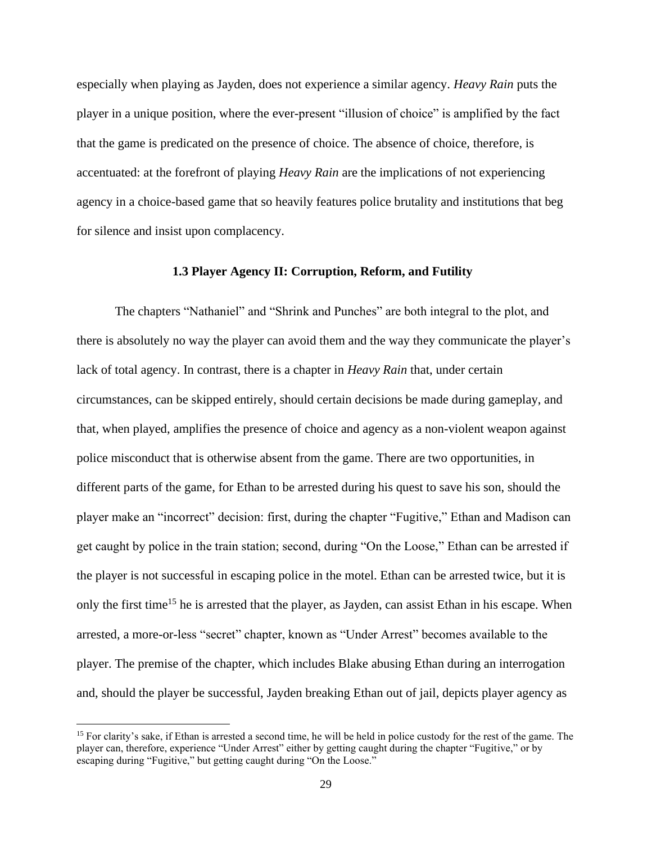especially when playing as Jayden, does not experience a similar agency. *Heavy Rain* puts the player in a unique position, where the ever-present "illusion of choice" is amplified by the fact that the game is predicated on the presence of choice. The absence of choice, therefore, is accentuated: at the forefront of playing *Heavy Rain* are the implications of not experiencing agency in a choice-based game that so heavily features police brutality and institutions that beg for silence and insist upon complacency.

#### **1.3 Player Agency II: Corruption, Reform, and Futility**

The chapters "Nathaniel" and "Shrink and Punches" are both integral to the plot, and there is absolutely no way the player can avoid them and the way they communicate the player's lack of total agency. In contrast, there is a chapter in *Heavy Rain* that, under certain circumstances, can be skipped entirely, should certain decisions be made during gameplay, and that, when played, amplifies the presence of choice and agency as a non-violent weapon against police misconduct that is otherwise absent from the game. There are two opportunities, in different parts of the game, for Ethan to be arrested during his quest to save his son, should the player make an "incorrect" decision: first, during the chapter "Fugitive," Ethan and Madison can get caught by police in the train station; second, during "On the Loose," Ethan can be arrested if the player is not successful in escaping police in the motel. Ethan can be arrested twice, but it is only the first time<sup>15</sup> he is arrested that the player, as Jayden, can assist Ethan in his escape. When arrested, a more-or-less "secret" chapter, known as "Under Arrest" becomes available to the player. The premise of the chapter, which includes Blake abusing Ethan during an interrogation and, should the player be successful, Jayden breaking Ethan out of jail, depicts player agency as

<sup>&</sup>lt;sup>15</sup> For clarity's sake, if Ethan is arrested a second time, he will be held in police custody for the rest of the game. The player can, therefore, experience "Under Arrest" either by getting caught during the chapter "Fugitive," or by escaping during "Fugitive," but getting caught during "On the Loose."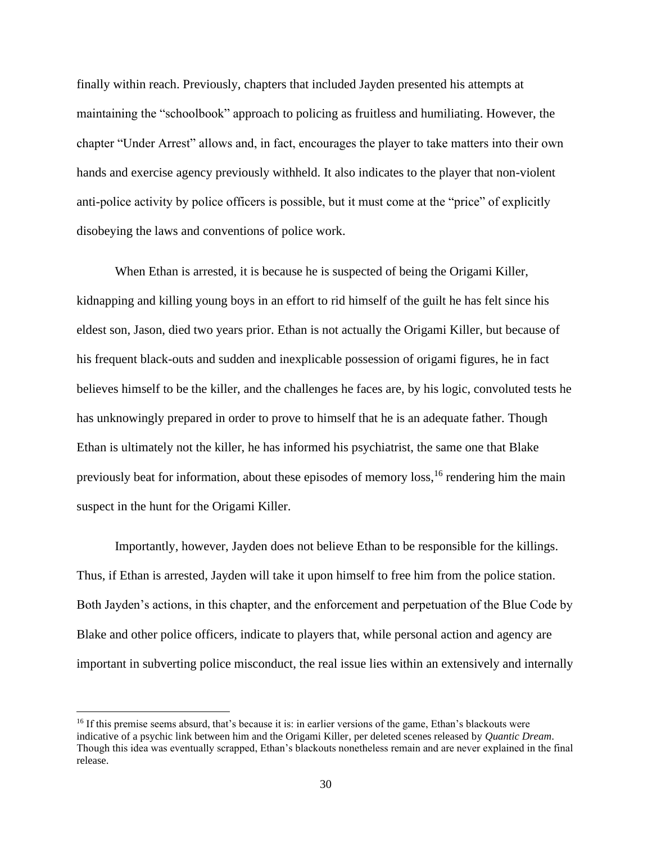finally within reach. Previously, chapters that included Jayden presented his attempts at maintaining the "schoolbook" approach to policing as fruitless and humiliating. However, the chapter "Under Arrest" allows and, in fact, encourages the player to take matters into their own hands and exercise agency previously withheld. It also indicates to the player that non-violent anti-police activity by police officers is possible, but it must come at the "price" of explicitly disobeying the laws and conventions of police work.

When Ethan is arrested, it is because he is suspected of being the Origami Killer, kidnapping and killing young boys in an effort to rid himself of the guilt he has felt since his eldest son, Jason, died two years prior. Ethan is not actually the Origami Killer, but because of his frequent black-outs and sudden and inexplicable possession of origami figures, he in fact believes himself to be the killer, and the challenges he faces are, by his logic, convoluted tests he has unknowingly prepared in order to prove to himself that he is an adequate father. Though Ethan is ultimately not the killer, he has informed his psychiatrist, the same one that Blake previously beat for information, about these episodes of memory loss, <sup>16</sup> rendering him the main suspect in the hunt for the Origami Killer.

Importantly, however, Jayden does not believe Ethan to be responsible for the killings. Thus, if Ethan is arrested, Jayden will take it upon himself to free him from the police station. Both Jayden's actions, in this chapter, and the enforcement and perpetuation of the Blue Code by Blake and other police officers, indicate to players that, while personal action and agency are important in subverting police misconduct, the real issue lies within an extensively and internally

<sup>&</sup>lt;sup>16</sup> If this premise seems absurd, that's because it is: in earlier versions of the game, Ethan's blackouts were indicative of a psychic link between him and the Origami Killer, per deleted scenes released by *Quantic Dream*. Though this idea was eventually scrapped, Ethan's blackouts nonetheless remain and are never explained in the final release.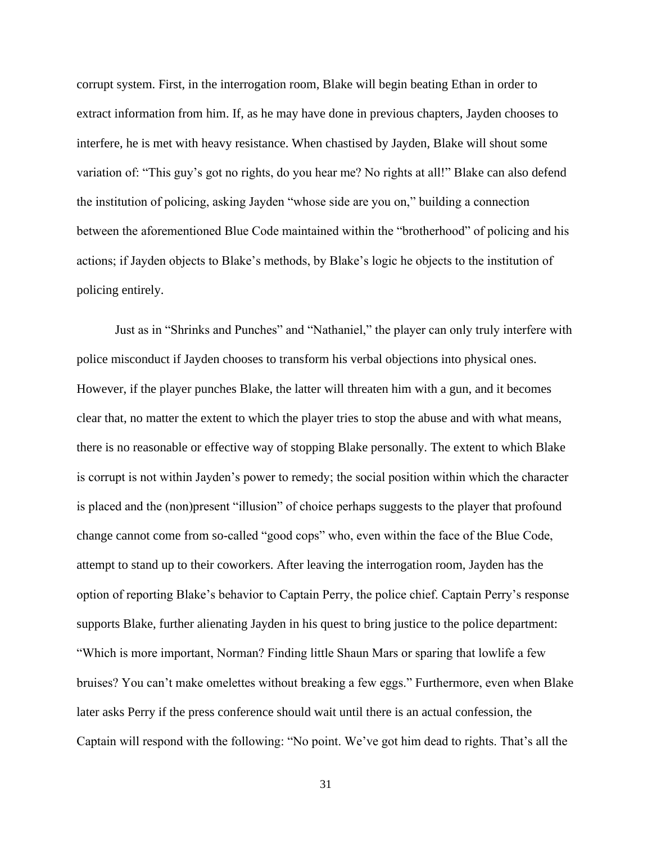corrupt system. First, in the interrogation room, Blake will begin beating Ethan in order to extract information from him. If, as he may have done in previous chapters, Jayden chooses to interfere, he is met with heavy resistance. When chastised by Jayden, Blake will shout some variation of: "This guy's got no rights, do you hear me? No rights at all!" Blake can also defend the institution of policing, asking Jayden "whose side are you on," building a connection between the aforementioned Blue Code maintained within the "brotherhood" of policing and his actions; if Jayden objects to Blake's methods, by Blake's logic he objects to the institution of policing entirely.

Just as in "Shrinks and Punches" and "Nathaniel," the player can only truly interfere with police misconduct if Jayden chooses to transform his verbal objections into physical ones. However, if the player punches Blake, the latter will threaten him with a gun, and it becomes clear that, no matter the extent to which the player tries to stop the abuse and with what means, there is no reasonable or effective way of stopping Blake personally. The extent to which Blake is corrupt is not within Jayden's power to remedy; the social position within which the character is placed and the (non)present "illusion" of choice perhaps suggests to the player that profound change cannot come from so-called "good cops" who, even within the face of the Blue Code, attempt to stand up to their coworkers. After leaving the interrogation room, Jayden has the option of reporting Blake's behavior to Captain Perry, the police chief. Captain Perry's response supports Blake, further alienating Jayden in his quest to bring justice to the police department: "Which is more important, Norman? Finding little Shaun Mars or sparing that lowlife a few bruises? You can't make omelettes without breaking a few eggs." Furthermore, even when Blake later asks Perry if the press conference should wait until there is an actual confession, the Captain will respond with the following: "No point. We've got him dead to rights. That's all the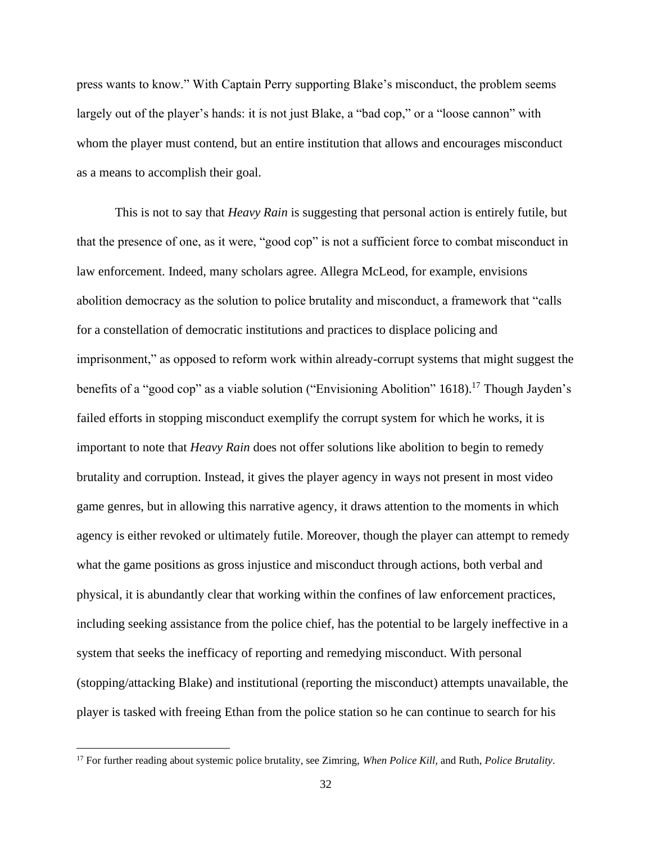press wants to know." With Captain Perry supporting Blake's misconduct, the problem seems largely out of the player's hands: it is not just Blake, a "bad cop," or a "loose cannon" with whom the player must contend, but an entire institution that allows and encourages misconduct as a means to accomplish their goal.

This is not to say that *Heavy Rain* is suggesting that personal action is entirely futile, but that the presence of one, as it were, "good cop" is not a sufficient force to combat misconduct in law enforcement. Indeed, many scholars agree. Allegra McLeod, for example, envisions abolition democracy as the solution to police brutality and misconduct, a framework that "calls for a constellation of democratic institutions and practices to displace policing and imprisonment," as opposed to reform work within already-corrupt systems that might suggest the benefits of a "good cop" as a viable solution ("Envisioning Abolition" 1618).<sup>17</sup> Though Jayden's failed efforts in stopping misconduct exemplify the corrupt system for which he works, it is important to note that *Heavy Rain* does not offer solutions like abolition to begin to remedy brutality and corruption. Instead, it gives the player agency in ways not present in most video game genres, but in allowing this narrative agency, it draws attention to the moments in which agency is either revoked or ultimately futile. Moreover, though the player can attempt to remedy what the game positions as gross injustice and misconduct through actions, both verbal and physical, it is abundantly clear that working within the confines of law enforcement practices, including seeking assistance from the police chief, has the potential to be largely ineffective in a system that seeks the inefficacy of reporting and remedying misconduct. With personal (stopping/attacking Blake) and institutional (reporting the misconduct) attempts unavailable, the player is tasked with freeing Ethan from the police station so he can continue to search for his

<sup>17</sup> For further reading about systemic police brutality, see Zimring, *When Police Kill,* and Ruth, *Police Brutality*.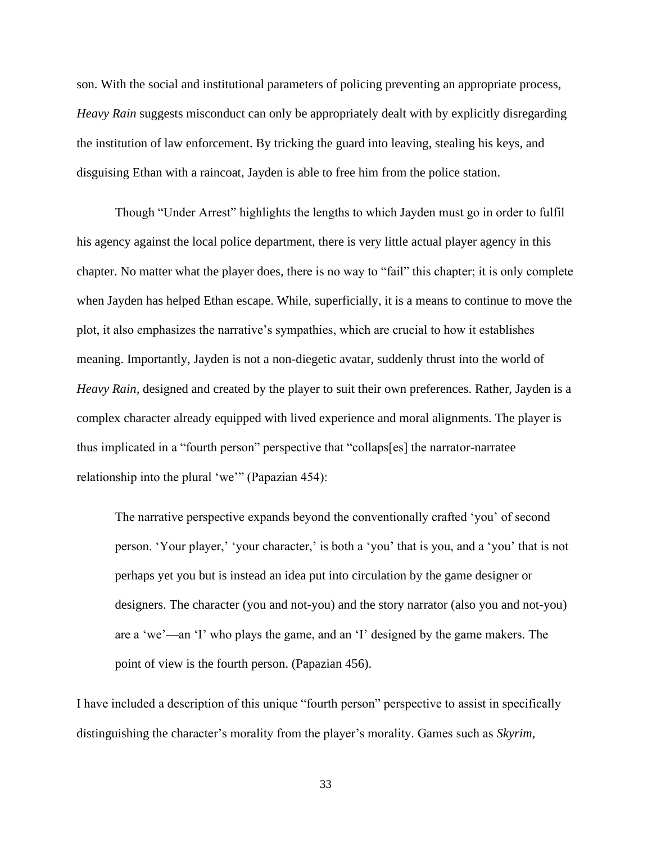son. With the social and institutional parameters of policing preventing an appropriate process, *Heavy Rain* suggests misconduct can only be appropriately dealt with by explicitly disregarding the institution of law enforcement. By tricking the guard into leaving, stealing his keys, and disguising Ethan with a raincoat, Jayden is able to free him from the police station.

Though "Under Arrest" highlights the lengths to which Jayden must go in order to fulfil his agency against the local police department, there is very little actual player agency in this chapter. No matter what the player does, there is no way to "fail" this chapter; it is only complete when Jayden has helped Ethan escape. While, superficially, it is a means to continue to move the plot, it also emphasizes the narrative's sympathies, which are crucial to how it establishes meaning. Importantly, Jayden is not a non-diegetic avatar, suddenly thrust into the world of *Heavy Rain,* designed and created by the player to suit their own preferences. Rather, Jayden is a complex character already equipped with lived experience and moral alignments. The player is thus implicated in a "fourth person" perspective that "collaps[es] the narrator-narratee relationship into the plural 'we'" (Papazian 454):

The narrative perspective expands beyond the conventionally crafted 'you' of second person. 'Your player,' 'your character,' is both a 'you' that is you, and a 'you' that is not perhaps yet you but is instead an idea put into circulation by the game designer or designers. The character (you and not-you) and the story narrator (also you and not-you) are a 'we'—an 'I' who plays the game, and an 'I' designed by the game makers. The point of view is the fourth person. (Papazian 456).

I have included a description of this unique "fourth person" perspective to assist in specifically distinguishing the character's morality from the player's morality. Games such as *Skyrim,*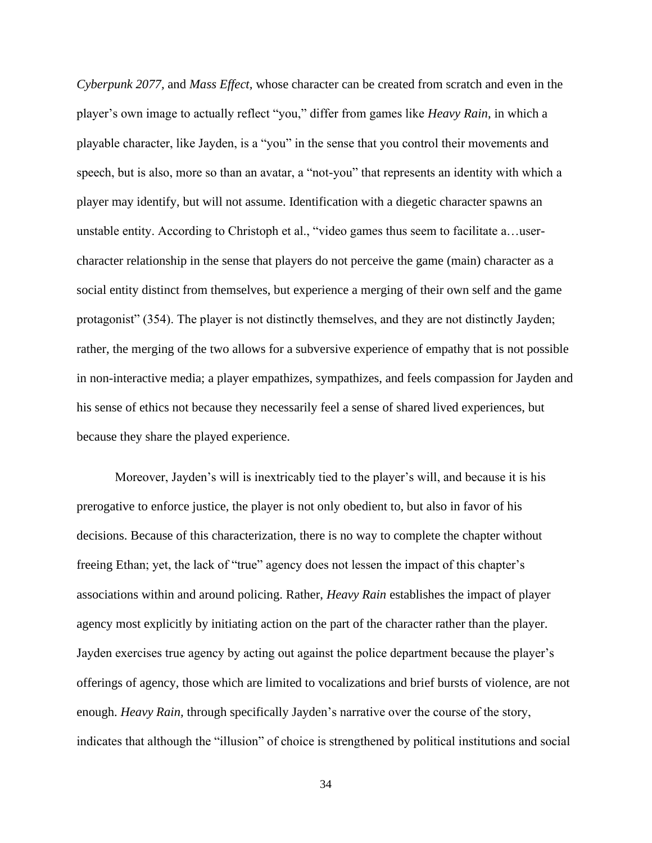*Cyberpunk 2077,* and *Mass Effect,* whose character can be created from scratch and even in the player's own image to actually reflect "you," differ from games like *Heavy Rain*, in which a playable character, like Jayden, is a "you" in the sense that you control their movements and speech, but is also, more so than an avatar, a "not-you" that represents an identity with which a player may identify, but will not assume. Identification with a diegetic character spawns an unstable entity. According to Christoph et al., "video games thus seem to facilitate a…usercharacter relationship in the sense that players do not perceive the game (main) character as a social entity distinct from themselves, but experience a merging of their own self and the game protagonist" (354). The player is not distinctly themselves, and they are not distinctly Jayden; rather, the merging of the two allows for a subversive experience of empathy that is not possible in non-interactive media; a player empathizes, sympathizes, and feels compassion for Jayden and his sense of ethics not because they necessarily feel a sense of shared lived experiences, but because they share the played experience.

Moreover, Jayden's will is inextricably tied to the player's will, and because it is his prerogative to enforce justice, the player is not only obedient to, but also in favor of his decisions. Because of this characterization, there is no way to complete the chapter without freeing Ethan; yet, the lack of "true" agency does not lessen the impact of this chapter's associations within and around policing. Rather, *Heavy Rain* establishes the impact of player agency most explicitly by initiating action on the part of the character rather than the player. Jayden exercises true agency by acting out against the police department because the player's offerings of agency, those which are limited to vocalizations and brief bursts of violence, are not enough. *Heavy Rain,* through specifically Jayden's narrative over the course of the story, indicates that although the "illusion" of choice is strengthened by political institutions and social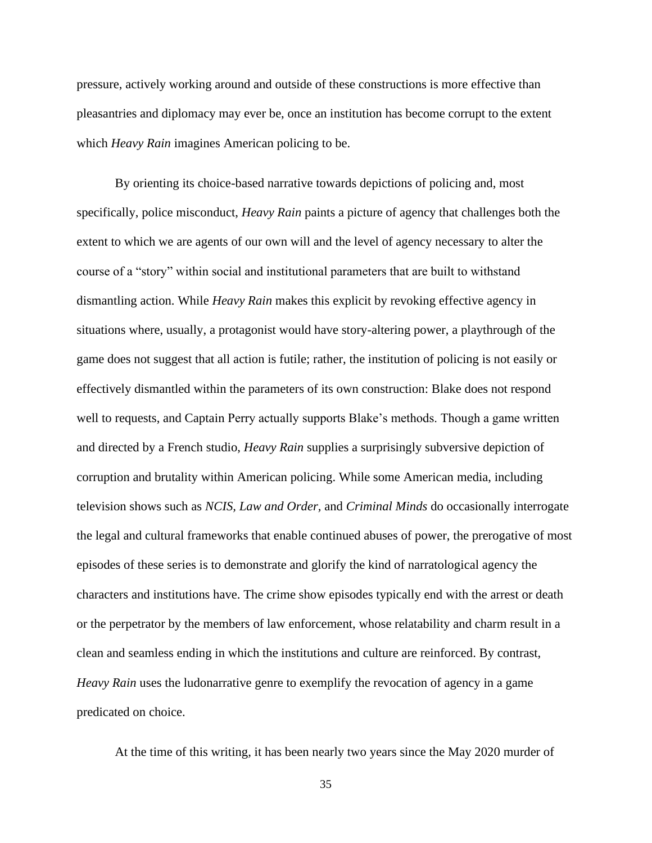pressure, actively working around and outside of these constructions is more effective than pleasantries and diplomacy may ever be, once an institution has become corrupt to the extent which *Heavy Rain* imagines American policing to be.

By orienting its choice-based narrative towards depictions of policing and, most specifically, police misconduct, *Heavy Rain* paints a picture of agency that challenges both the extent to which we are agents of our own will and the level of agency necessary to alter the course of a "story" within social and institutional parameters that are built to withstand dismantling action. While *Heavy Rain* makes this explicit by revoking effective agency in situations where, usually, a protagonist would have story-altering power, a playthrough of the game does not suggest that all action is futile; rather, the institution of policing is not easily or effectively dismantled within the parameters of its own construction: Blake does not respond well to requests, and Captain Perry actually supports Blake's methods. Though a game written and directed by a French studio, *Heavy Rain* supplies a surprisingly subversive depiction of corruption and brutality within American policing. While some American media, including television shows such as *NCIS, Law and Order,* and *Criminal Minds* do occasionally interrogate the legal and cultural frameworks that enable continued abuses of power, the prerogative of most episodes of these series is to demonstrate and glorify the kind of narratological agency the characters and institutions have. The crime show episodes typically end with the arrest or death or the perpetrator by the members of law enforcement, whose relatability and charm result in a clean and seamless ending in which the institutions and culture are reinforced. By contrast, *Heavy Rain* uses the ludonarrative genre to exemplify the revocation of agency in a game predicated on choice.

At the time of this writing, it has been nearly two years since the May 2020 murder of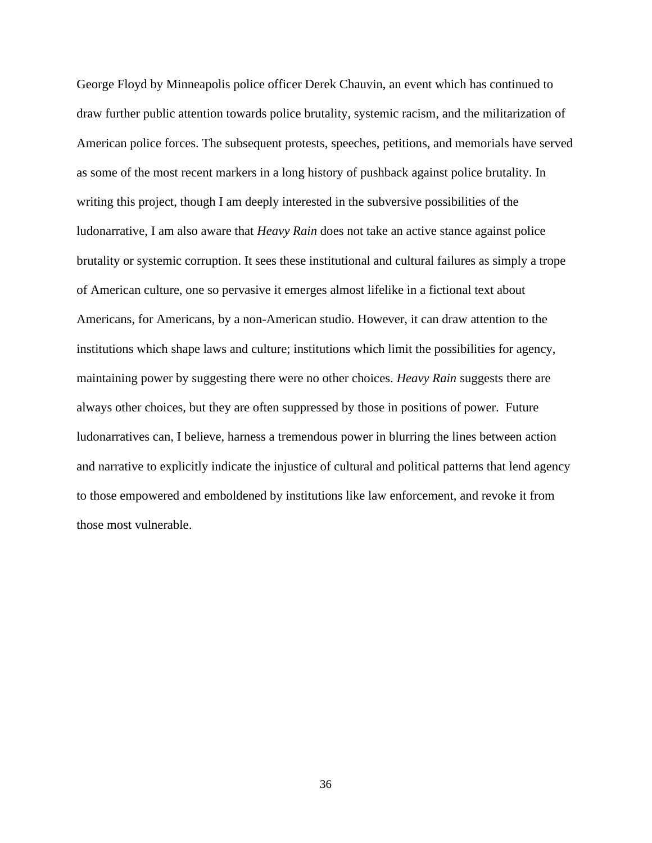George Floyd by Minneapolis police officer Derek Chauvin, an event which has continued to draw further public attention towards police brutality, systemic racism, and the militarization of American police forces. The subsequent protests, speeches, petitions, and memorials have served as some of the most recent markers in a long history of pushback against police brutality. In writing this project, though I am deeply interested in the subversive possibilities of the ludonarrative, I am also aware that *Heavy Rain* does not take an active stance against police brutality or systemic corruption. It sees these institutional and cultural failures as simply a trope of American culture, one so pervasive it emerges almost lifelike in a fictional text about Americans, for Americans, by a non-American studio. However, it can draw attention to the institutions which shape laws and culture; institutions which limit the possibilities for agency, maintaining power by suggesting there were no other choices. *Heavy Rain* suggests there are always other choices, but they are often suppressed by those in positions of power. Future ludonarratives can, I believe, harness a tremendous power in blurring the lines between action and narrative to explicitly indicate the injustice of cultural and political patterns that lend agency to those empowered and emboldened by institutions like law enforcement, and revoke it from those most vulnerable.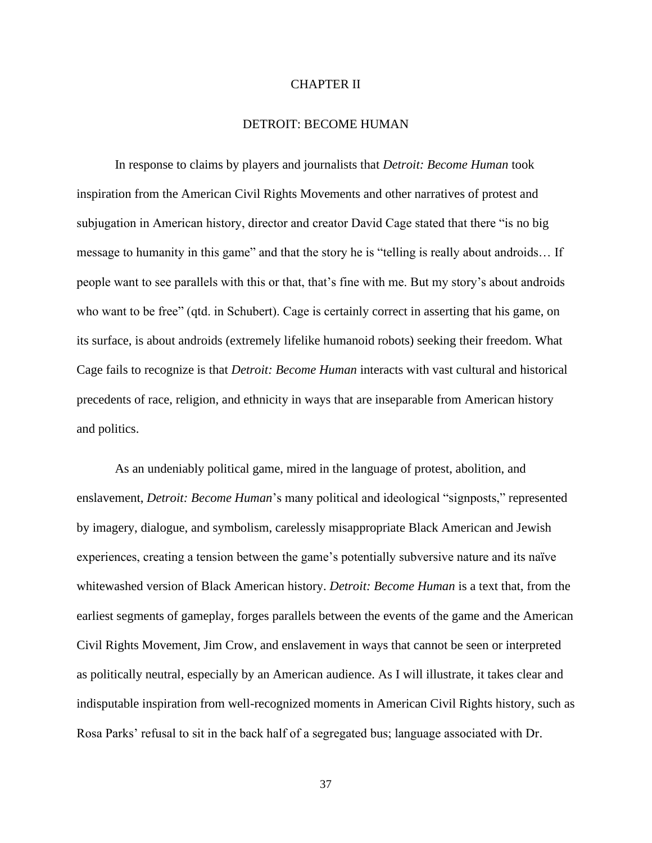#### CHAPTER II

#### DETROIT: BECOME HUMAN

In response to claims by players and journalists that *Detroit: Become Human* took inspiration from the American Civil Rights Movements and other narratives of protest and subjugation in American history, director and creator David Cage stated that there "is no big message to humanity in this game" and that the story he is "telling is really about androids… If people want to see parallels with this or that, that's fine with me. But my story's about androids who want to be free" (qtd. in Schubert). Cage is certainly correct in asserting that his game, on its surface, is about androids (extremely lifelike humanoid robots) seeking their freedom. What Cage fails to recognize is that *Detroit: Become Human* interacts with vast cultural and historical precedents of race, religion, and ethnicity in ways that are inseparable from American history and politics.

As an undeniably political game, mired in the language of protest, abolition, and enslavement, *Detroit: Become Human*'s many political and ideological "signposts," represented by imagery, dialogue, and symbolism, carelessly misappropriate Black American and Jewish experiences, creating a tension between the game's potentially subversive nature and its naïve whitewashed version of Black American history. *Detroit: Become Human* is a text that, from the earliest segments of gameplay, forges parallels between the events of the game and the American Civil Rights Movement, Jim Crow, and enslavement in ways that cannot be seen or interpreted as politically neutral, especially by an American audience. As I will illustrate, it takes clear and indisputable inspiration from well-recognized moments in American Civil Rights history, such as Rosa Parks' refusal to sit in the back half of a segregated bus; language associated with Dr.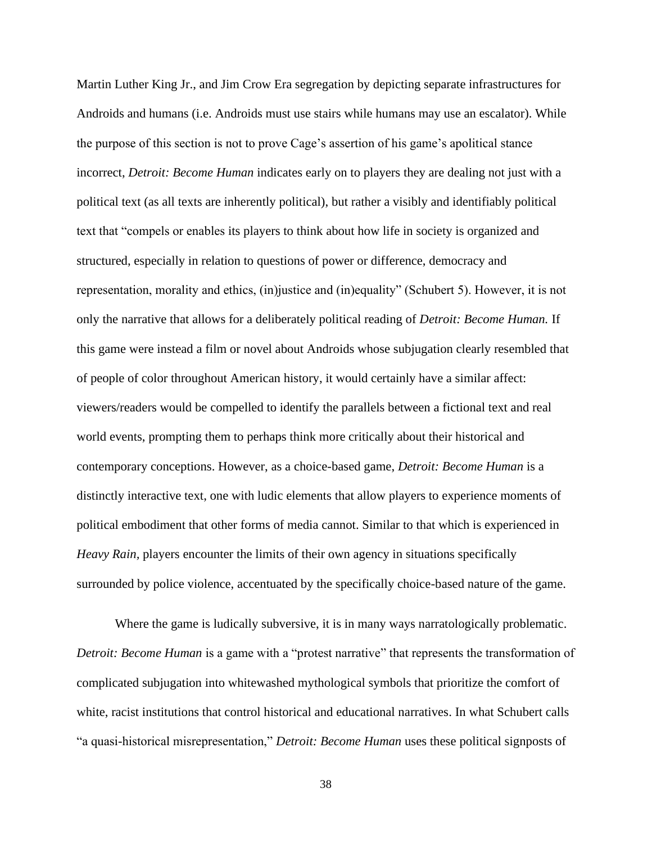Martin Luther King Jr., and Jim Crow Era segregation by depicting separate infrastructures for Androids and humans (i.e. Androids must use stairs while humans may use an escalator). While the purpose of this section is not to prove Cage's assertion of his game's apolitical stance incorrect, *Detroit: Become Human* indicates early on to players they are dealing not just with a political text (as all texts are inherently political), but rather a visibly and identifiably political text that "compels or enables its players to think about how life in society is organized and structured, especially in relation to questions of power or difference, democracy and representation, morality and ethics, (in)justice and (in)equality" (Schubert 5). However, it is not only the narrative that allows for a deliberately political reading of *Detroit: Become Human.* If this game were instead a film or novel about Androids whose subjugation clearly resembled that of people of color throughout American history, it would certainly have a similar affect: viewers/readers would be compelled to identify the parallels between a fictional text and real world events, prompting them to perhaps think more critically about their historical and contemporary conceptions. However, as a choice-based game, *Detroit: Become Human* is a distinctly interactive text, one with ludic elements that allow players to experience moments of political embodiment that other forms of media cannot. Similar to that which is experienced in *Heavy Rain,* players encounter the limits of their own agency in situations specifically surrounded by police violence, accentuated by the specifically choice-based nature of the game.

Where the game is ludically subversive, it is in many ways narratologically problematic. *Detroit: Become Human* is a game with a "protest narrative" that represents the transformation of complicated subjugation into whitewashed mythological symbols that prioritize the comfort of white, racist institutions that control historical and educational narratives. In what Schubert calls "a quasi-historical misrepresentation," *Detroit: Become Human* uses these political signposts of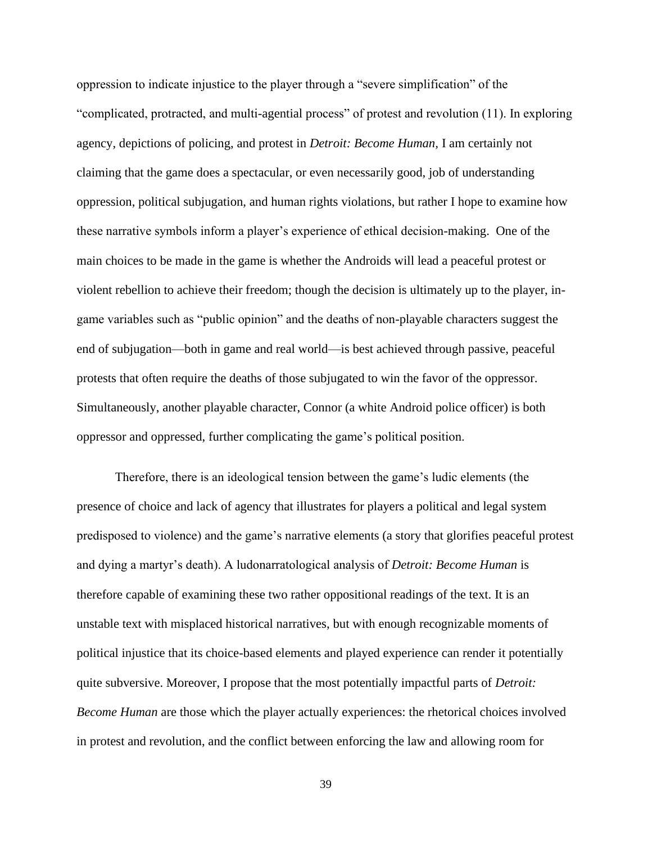oppression to indicate injustice to the player through a "severe simplification" of the "complicated, protracted, and multi-agential process" of protest and revolution (11). In exploring agency, depictions of policing, and protest in *Detroit: Become Human,* I am certainly not claiming that the game does a spectacular, or even necessarily good, job of understanding oppression, political subjugation, and human rights violations, but rather I hope to examine how these narrative symbols inform a player's experience of ethical decision-making. One of the main choices to be made in the game is whether the Androids will lead a peaceful protest or violent rebellion to achieve their freedom; though the decision is ultimately up to the player, ingame variables such as "public opinion" and the deaths of non-playable characters suggest the end of subjugation—both in game and real world—is best achieved through passive, peaceful protests that often require the deaths of those subjugated to win the favor of the oppressor. Simultaneously, another playable character, Connor (a white Android police officer) is both oppressor and oppressed, further complicating the game's political position.

Therefore, there is an ideological tension between the game's ludic elements (the presence of choice and lack of agency that illustrates for players a political and legal system predisposed to violence) and the game's narrative elements (a story that glorifies peaceful protest and dying a martyr's death). A ludonarratological analysis of *Detroit: Become Human* is therefore capable of examining these two rather oppositional readings of the text. It is an unstable text with misplaced historical narratives, but with enough recognizable moments of political injustice that its choice-based elements and played experience can render it potentially quite subversive. Moreover, I propose that the most potentially impactful parts of *Detroit: Become Human* are those which the player actually experiences: the rhetorical choices involved in protest and revolution, and the conflict between enforcing the law and allowing room for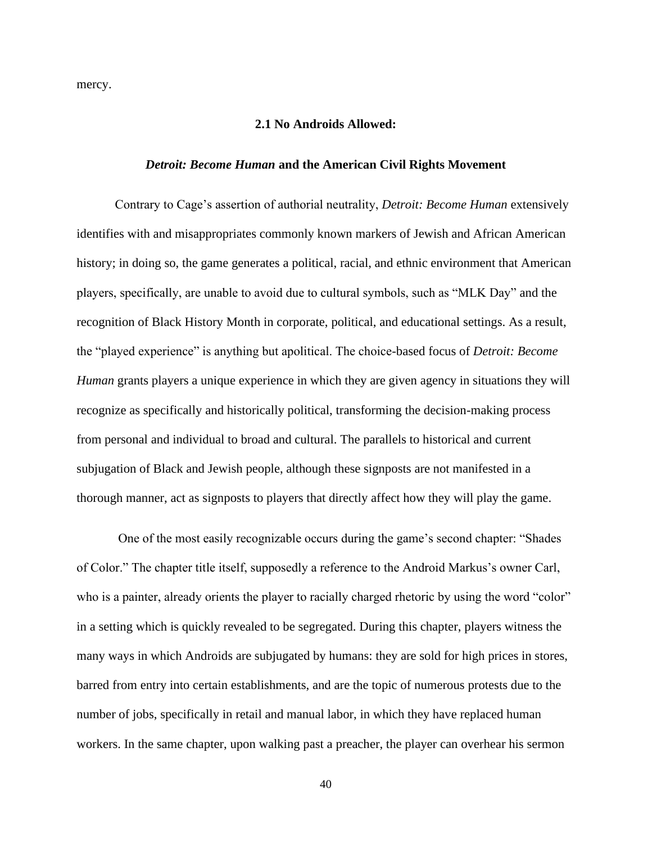mercy.

#### **2.1 No Androids Allowed:**

#### *Detroit: Become Human* **and the American Civil Rights Movement**

Contrary to Cage's assertion of authorial neutrality, *Detroit: Become Human* extensively identifies with and misappropriates commonly known markers of Jewish and African American history; in doing so, the game generates a political, racial, and ethnic environment that American players, specifically, are unable to avoid due to cultural symbols, such as "MLK Day" and the recognition of Black History Month in corporate, political, and educational settings. As a result, the "played experience" is anything but apolitical. The choice-based focus of *Detroit: Become Human* grants players a unique experience in which they are given agency in situations they will recognize as specifically and historically political, transforming the decision-making process from personal and individual to broad and cultural. The parallels to historical and current subjugation of Black and Jewish people, although these signposts are not manifested in a thorough manner, act as signposts to players that directly affect how they will play the game.

One of the most easily recognizable occurs during the game's second chapter: "Shades of Color." The chapter title itself, supposedly a reference to the Android Markus's owner Carl, who is a painter, already orients the player to racially charged rhetoric by using the word "color" in a setting which is quickly revealed to be segregated. During this chapter, players witness the many ways in which Androids are subjugated by humans: they are sold for high prices in stores, barred from entry into certain establishments, and are the topic of numerous protests due to the number of jobs, specifically in retail and manual labor, in which they have replaced human workers. In the same chapter, upon walking past a preacher, the player can overhear his sermon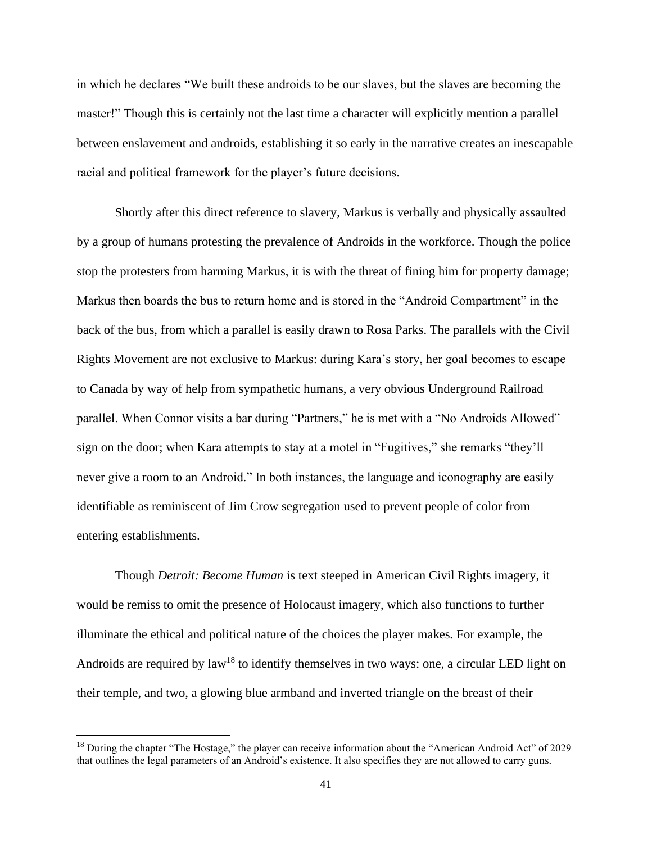in which he declares "We built these androids to be our slaves, but the slaves are becoming the master!" Though this is certainly not the last time a character will explicitly mention a parallel between enslavement and androids, establishing it so early in the narrative creates an inescapable racial and political framework for the player's future decisions.

Shortly after this direct reference to slavery, Markus is verbally and physically assaulted by a group of humans protesting the prevalence of Androids in the workforce. Though the police stop the protesters from harming Markus, it is with the threat of fining him for property damage; Markus then boards the bus to return home and is stored in the "Android Compartment" in the back of the bus, from which a parallel is easily drawn to Rosa Parks. The parallels with the Civil Rights Movement are not exclusive to Markus: during Kara's story, her goal becomes to escape to Canada by way of help from sympathetic humans, a very obvious Underground Railroad parallel. When Connor visits a bar during "Partners," he is met with a "No Androids Allowed" sign on the door; when Kara attempts to stay at a motel in "Fugitives," she remarks "they'll never give a room to an Android." In both instances, the language and iconography are easily identifiable as reminiscent of Jim Crow segregation used to prevent people of color from entering establishments.

Though *Detroit: Become Human* is text steeped in American Civil Rights imagery, it would be remiss to omit the presence of Holocaust imagery, which also functions to further illuminate the ethical and political nature of the choices the player makes*.* For example, the Androids are required by  $law<sup>18</sup>$  to identify themselves in two ways: one, a circular LED light on their temple, and two, a glowing blue armband and inverted triangle on the breast of their

<sup>&</sup>lt;sup>18</sup> During the chapter "The Hostage," the player can receive information about the "American Android Act" of 2029 that outlines the legal parameters of an Android's existence. It also specifies they are not allowed to carry guns.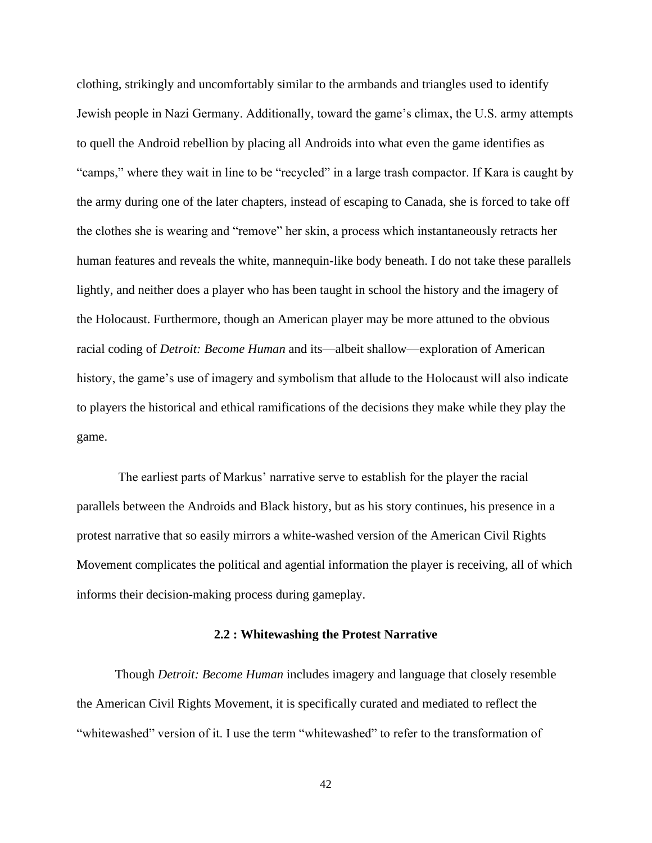clothing, strikingly and uncomfortably similar to the armbands and triangles used to identify Jewish people in Nazi Germany. Additionally, toward the game's climax, the U.S. army attempts to quell the Android rebellion by placing all Androids into what even the game identifies as "camps," where they wait in line to be "recycled" in a large trash compactor. If Kara is caught by the army during one of the later chapters, instead of escaping to Canada, she is forced to take off the clothes she is wearing and "remove" her skin, a process which instantaneously retracts her human features and reveals the white, mannequin-like body beneath. I do not take these parallels lightly, and neither does a player who has been taught in school the history and the imagery of the Holocaust. Furthermore, though an American player may be more attuned to the obvious racial coding of *Detroit: Become Human* and its—albeit shallow—exploration of American history, the game's use of imagery and symbolism that allude to the Holocaust will also indicate to players the historical and ethical ramifications of the decisions they make while they play the game.

The earliest parts of Markus' narrative serve to establish for the player the racial parallels between the Androids and Black history, but as his story continues, his presence in a protest narrative that so easily mirrors a white-washed version of the American Civil Rights Movement complicates the political and agential information the player is receiving, all of which informs their decision-making process during gameplay.

#### **2.2 : Whitewashing the Protest Narrative**

Though *Detroit: Become Human* includes imagery and language that closely resemble the American Civil Rights Movement, it is specifically curated and mediated to reflect the "whitewashed" version of it. I use the term "whitewashed" to refer to the transformation of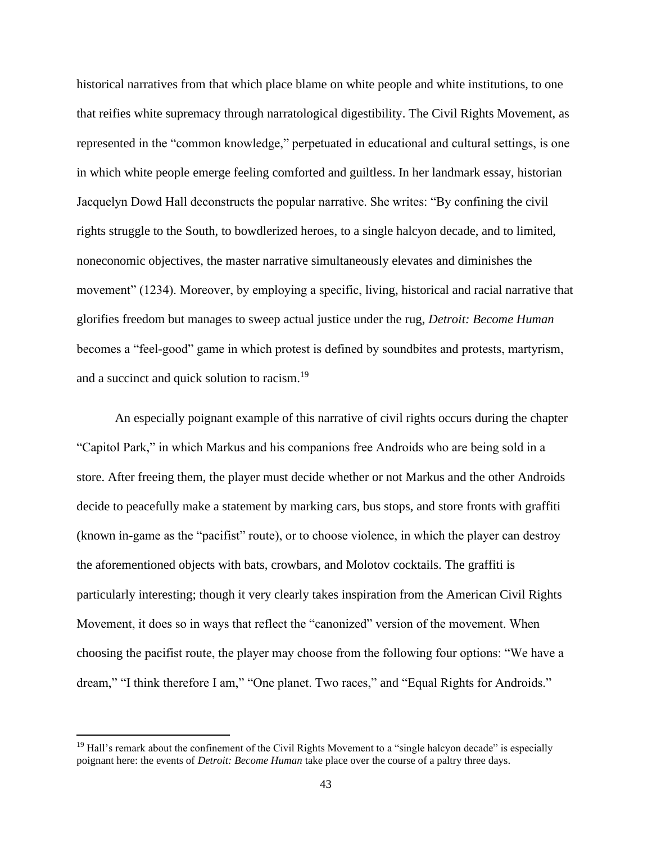historical narratives from that which place blame on white people and white institutions, to one that reifies white supremacy through narratological digestibility. The Civil Rights Movement, as represented in the "common knowledge," perpetuated in educational and cultural settings, is one in which white people emerge feeling comforted and guiltless. In her landmark essay, historian Jacquelyn Dowd Hall deconstructs the popular narrative. She writes: "By confining the civil rights struggle to the South, to bowdlerized heroes, to a single halcyon decade, and to limited, noneconomic objectives, the master narrative simultaneously elevates and diminishes the movement" (1234). Moreover, by employing a specific, living, historical and racial narrative that glorifies freedom but manages to sweep actual justice under the rug, *Detroit: Become Human*  becomes a "feel-good" game in which protest is defined by soundbites and protests, martyrism, and a succinct and quick solution to racism.<sup>19</sup>

An especially poignant example of this narrative of civil rights occurs during the chapter "Capitol Park," in which Markus and his companions free Androids who are being sold in a store. After freeing them, the player must decide whether or not Markus and the other Androids decide to peacefully make a statement by marking cars, bus stops, and store fronts with graffiti (known in-game as the "pacifist" route), or to choose violence, in which the player can destroy the aforementioned objects with bats, crowbars, and Molotov cocktails. The graffiti is particularly interesting; though it very clearly takes inspiration from the American Civil Rights Movement, it does so in ways that reflect the "canonized" version of the movement. When choosing the pacifist route, the player may choose from the following four options: "We have a dream," "I think therefore I am," "One planet. Two races," and "Equal Rights for Androids."

<sup>&</sup>lt;sup>19</sup> Hall's remark about the confinement of the Civil Rights Movement to a "single halcyon decade" is especially poignant here: the events of *Detroit: Become Human* take place over the course of a paltry three days.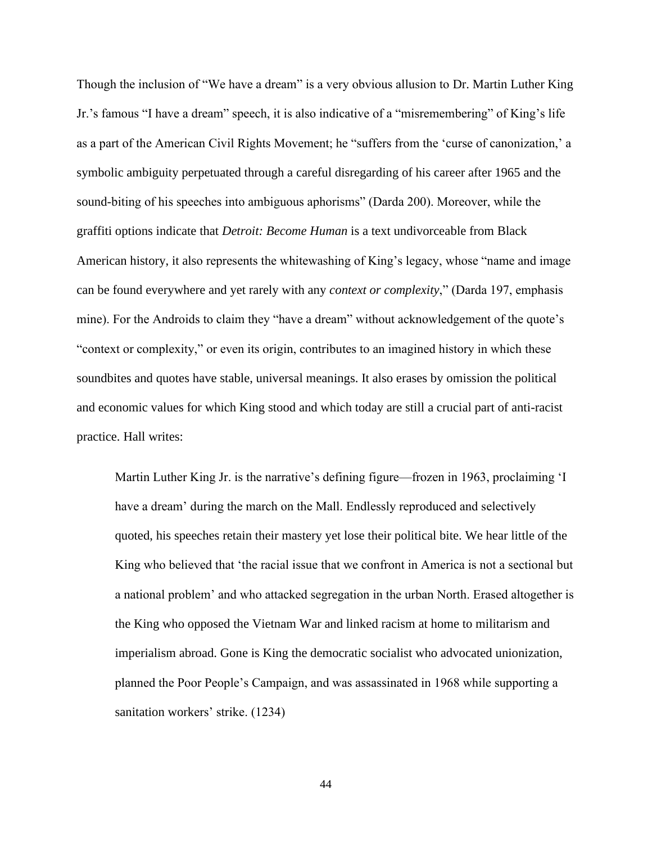Though the inclusion of "We have a dream" is a very obvious allusion to Dr. Martin Luther King Jr.'s famous "I have a dream" speech, it is also indicative of a "misremembering" of King's life as a part of the American Civil Rights Movement; he "suffers from the 'curse of canonization,' a symbolic ambiguity perpetuated through a careful disregarding of his career after 1965 and the sound-biting of his speeches into ambiguous aphorisms" (Darda 200). Moreover, while the graffiti options indicate that *Detroit: Become Human* is a text undivorceable from Black American history, it also represents the whitewashing of King's legacy, whose "name and image can be found everywhere and yet rarely with any *context or complexity*," (Darda 197, emphasis mine). For the Androids to claim they "have a dream" without acknowledgement of the quote's "context or complexity," or even its origin, contributes to an imagined history in which these soundbites and quotes have stable, universal meanings. It also erases by omission the political and economic values for which King stood and which today are still a crucial part of anti-racist practice. Hall writes:

Martin Luther King Jr. is the narrative's defining figure—frozen in 1963, proclaiming 'I have a dream' during the march on the Mall. Endlessly reproduced and selectively quoted, his speeches retain their mastery yet lose their political bite. We hear little of the King who believed that 'the racial issue that we confront in America is not a sectional but a national problem' and who attacked segregation in the urban North. Erased altogether is the King who opposed the Vietnam War and linked racism at home to militarism and imperialism abroad. Gone is King the democratic socialist who advocated unionization, planned the Poor People's Campaign, and was assassinated in 1968 while supporting a sanitation workers' strike. (1234)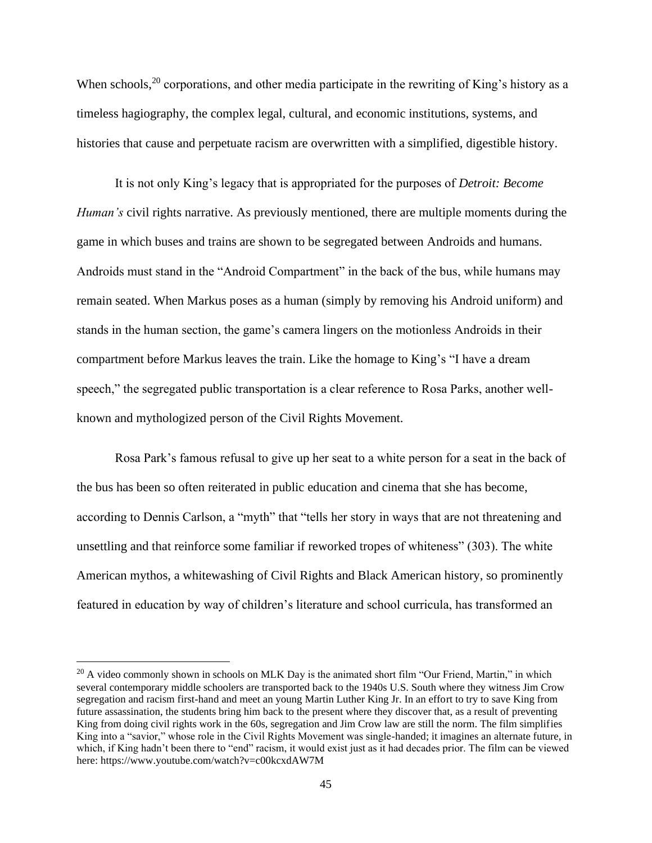When schools,  $^{20}$  corporations, and other media participate in the rewriting of King's history as a timeless hagiography, the complex legal, cultural, and economic institutions, systems, and histories that cause and perpetuate racism are overwritten with a simplified, digestible history.

It is not only King's legacy that is appropriated for the purposes of *Detroit: Become Human's* civil rights narrative. As previously mentioned, there are multiple moments during the game in which buses and trains are shown to be segregated between Androids and humans. Androids must stand in the "Android Compartment" in the back of the bus, while humans may remain seated. When Markus poses as a human (simply by removing his Android uniform) and stands in the human section, the game's camera lingers on the motionless Androids in their compartment before Markus leaves the train. Like the homage to King's "I have a dream speech," the segregated public transportation is a clear reference to Rosa Parks, another wellknown and mythologized person of the Civil Rights Movement.

Rosa Park's famous refusal to give up her seat to a white person for a seat in the back of the bus has been so often reiterated in public education and cinema that she has become, according to Dennis Carlson, a "myth" that "tells her story in ways that are not threatening and unsettling and that reinforce some familiar if reworked tropes of whiteness" (303). The white American mythos, a whitewashing of Civil Rights and Black American history, so prominently featured in education by way of children's literature and school curricula, has transformed an

<sup>&</sup>lt;sup>20</sup> A video commonly shown in schools on MLK Day is the animated short film "Our Friend, Martin," in which several contemporary middle schoolers are transported back to the 1940s U.S. South where they witness Jim Crow segregation and racism first-hand and meet an young Martin Luther King Jr. In an effort to try to save King from future assassination, the students bring him back to the present where they discover that, as a result of preventing King from doing civil rights work in the 60s, segregation and Jim Crow law are still the norm. The film simplifies King into a "savior," whose role in the Civil Rights Movement was single-handed; it imagines an alternate future, in which, if King hadn't been there to "end" racism, it would exist just as it had decades prior. The film can be viewed here: https://www.youtube.com/watch?v=c00kcxdAW7M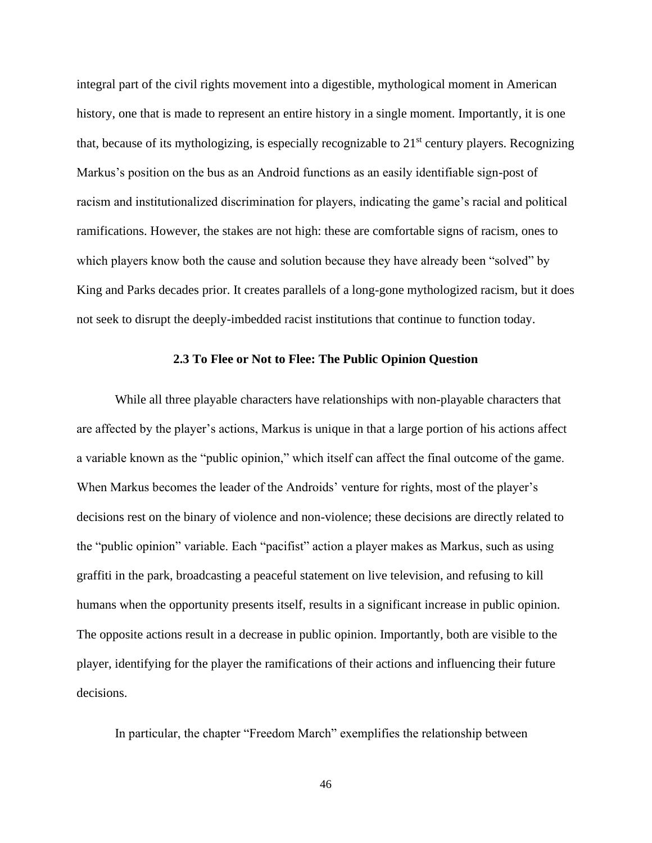integral part of the civil rights movement into a digestible, mythological moment in American history, one that is made to represent an entire history in a single moment. Importantly, it is one that, because of its mythologizing, is especially recognizable to  $21<sup>st</sup>$  century players. Recognizing Markus's position on the bus as an Android functions as an easily identifiable sign-post of racism and institutionalized discrimination for players, indicating the game's racial and political ramifications. However, the stakes are not high: these are comfortable signs of racism, ones to which players know both the cause and solution because they have already been "solved" by King and Parks decades prior. It creates parallels of a long-gone mythologized racism, but it does not seek to disrupt the deeply-imbedded racist institutions that continue to function today.

#### **2.3 To Flee or Not to Flee: The Public Opinion Question**

While all three playable characters have relationships with non-playable characters that are affected by the player's actions, Markus is unique in that a large portion of his actions affect a variable known as the "public opinion," which itself can affect the final outcome of the game. When Markus becomes the leader of the Androids' venture for rights, most of the player's decisions rest on the binary of violence and non-violence; these decisions are directly related to the "public opinion" variable. Each "pacifist" action a player makes as Markus, such as using graffiti in the park, broadcasting a peaceful statement on live television, and refusing to kill humans when the opportunity presents itself, results in a significant increase in public opinion. The opposite actions result in a decrease in public opinion. Importantly, both are visible to the player, identifying for the player the ramifications of their actions and influencing their future decisions.

In particular, the chapter "Freedom March" exemplifies the relationship between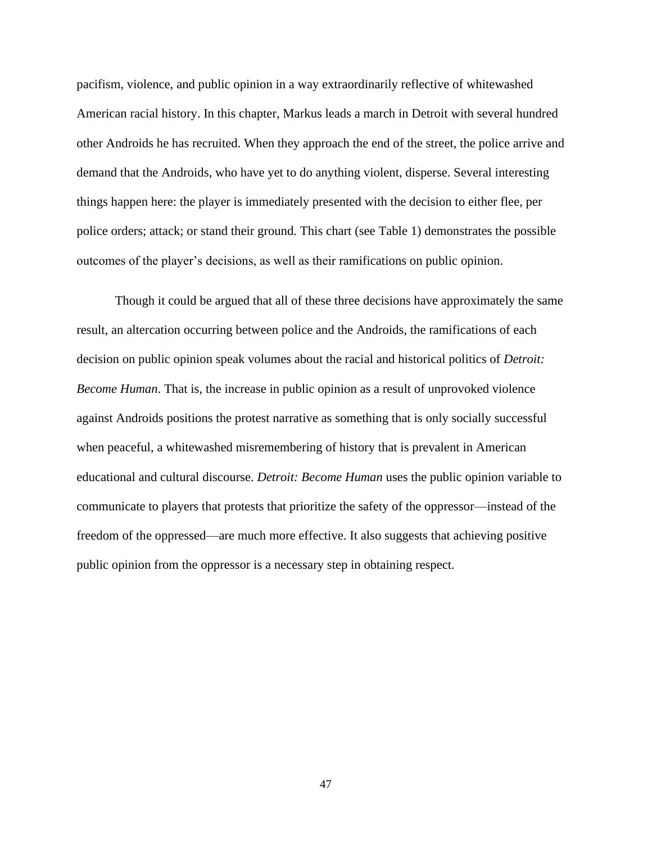pacifism, violence, and public opinion in a way extraordinarily reflective of whitewashed American racial history. In this chapter, Markus leads a march in Detroit with several hundred other Androids he has recruited. When they approach the end of the street, the police arrive and demand that the Androids, who have yet to do anything violent, disperse. Several interesting things happen here: the player is immediately presented with the decision to either flee, per police orders; attack; or stand their ground. This chart (see Table 1) demonstrates the possible outcomes of the player's decisions, as well as their ramifications on public opinion.

Though it could be argued that all of these three decisions have approximately the same result, an altercation occurring between police and the Androids, the ramifications of each decision on public opinion speak volumes about the racial and historical politics of *Detroit: Become Human*. That is, the increase in public opinion as a result of unprovoked violence against Androids positions the protest narrative as something that is only socially successful when peaceful, a whitewashed misremembering of history that is prevalent in American educational and cultural discourse. *Detroit: Become Human* uses the public opinion variable to communicate to players that protests that prioritize the safety of the oppressor—instead of the freedom of the oppressed—are much more effective. It also suggests that achieving positive public opinion from the oppressor is a necessary step in obtaining respect.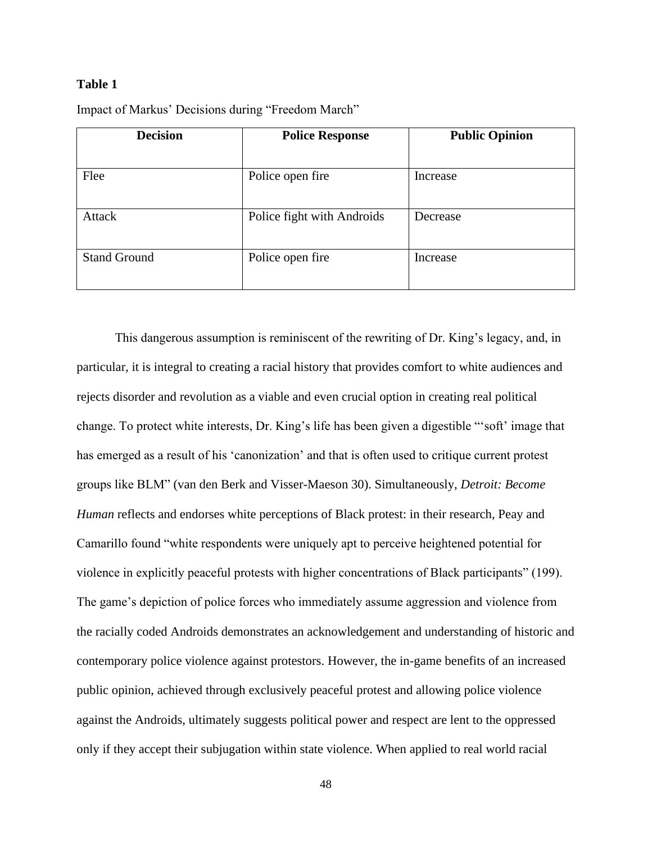#### **Table 1**

| <b>Decision</b>     | <b>Police Response</b>     | <b>Public Opinion</b> |
|---------------------|----------------------------|-----------------------|
|                     |                            |                       |
| Flee                | Police open fire           | Increase              |
| Attack              | Police fight with Androids | Decrease              |
| <b>Stand Ground</b> | Police open fire           | Increase              |

Impact of Markus' Decisions during "Freedom March"

This dangerous assumption is reminiscent of the rewriting of Dr. King's legacy, and, in particular, it is integral to creating a racial history that provides comfort to white audiences and rejects disorder and revolution as a viable and even crucial option in creating real political change. To protect white interests, Dr. King's life has been given a digestible "'soft' image that has emerged as a result of his 'canonization' and that is often used to critique current protest groups like BLM" (van den Berk and Visser-Maeson 30). Simultaneously, *Detroit: Become Human* reflects and endorses white perceptions of Black protest: in their research, Peay and Camarillo found "white respondents were uniquely apt to perceive heightened potential for violence in explicitly peaceful protests with higher concentrations of Black participants" (199). The game's depiction of police forces who immediately assume aggression and violence from the racially coded Androids demonstrates an acknowledgement and understanding of historic and contemporary police violence against protestors. However, the in-game benefits of an increased public opinion, achieved through exclusively peaceful protest and allowing police violence against the Androids, ultimately suggests political power and respect are lent to the oppressed only if they accept their subjugation within state violence. When applied to real world racial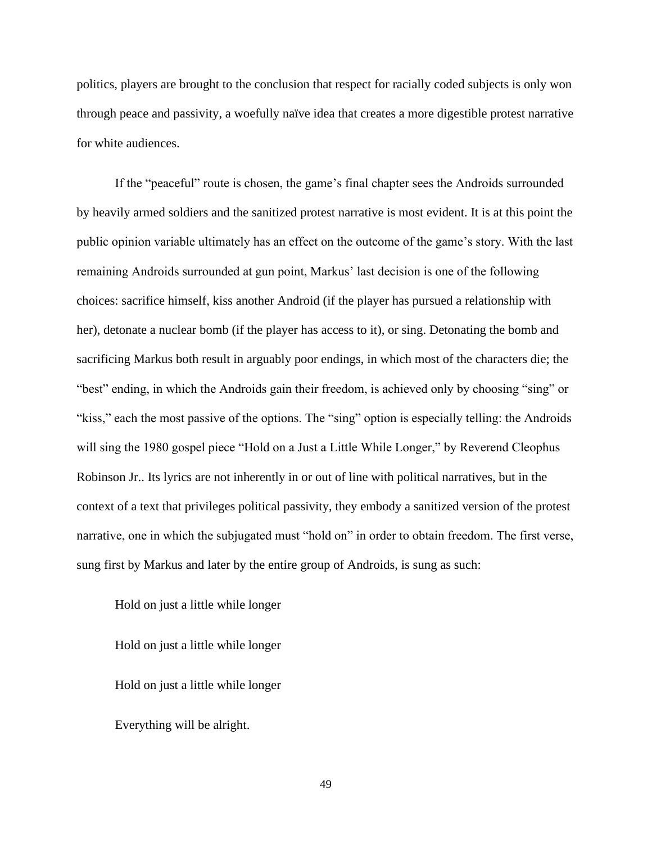politics, players are brought to the conclusion that respect for racially coded subjects is only won through peace and passivity, a woefully naïve idea that creates a more digestible protest narrative for white audiences.

If the "peaceful" route is chosen, the game's final chapter sees the Androids surrounded by heavily armed soldiers and the sanitized protest narrative is most evident. It is at this point the public opinion variable ultimately has an effect on the outcome of the game's story. With the last remaining Androids surrounded at gun point, Markus' last decision is one of the following choices: sacrifice himself, kiss another Android (if the player has pursued a relationship with her), detonate a nuclear bomb (if the player has access to it), or sing. Detonating the bomb and sacrificing Markus both result in arguably poor endings, in which most of the characters die; the "best" ending, in which the Androids gain their freedom, is achieved only by choosing "sing" or "kiss," each the most passive of the options. The "sing" option is especially telling: the Androids will sing the 1980 gospel piece "Hold on a Just a Little While Longer," by Reverend Cleophus Robinson Jr.. Its lyrics are not inherently in or out of line with political narratives, but in the context of a text that privileges political passivity, they embody a sanitized version of the protest narrative, one in which the subjugated must "hold on" in order to obtain freedom. The first verse, sung first by Markus and later by the entire group of Androids, is sung as such:

Hold on just a little while longer Hold on just a little while longer Hold on just a little while longer Everything will be alright.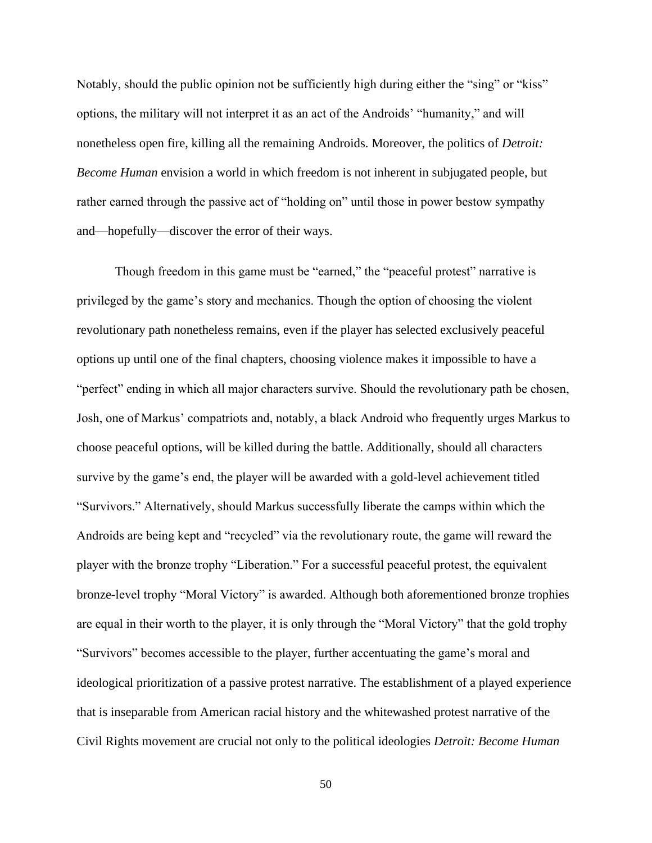Notably, should the public opinion not be sufficiently high during either the "sing" or "kiss" options, the military will not interpret it as an act of the Androids' "humanity," and will nonetheless open fire, killing all the remaining Androids. Moreover, the politics of *Detroit: Become Human* envision a world in which freedom is not inherent in subjugated people, but rather earned through the passive act of "holding on" until those in power bestow sympathy and—hopefully—discover the error of their ways.

Though freedom in this game must be "earned," the "peaceful protest" narrative is privileged by the game's story and mechanics. Though the option of choosing the violent revolutionary path nonetheless remains, even if the player has selected exclusively peaceful options up until one of the final chapters, choosing violence makes it impossible to have a "perfect" ending in which all major characters survive. Should the revolutionary path be chosen, Josh, one of Markus' compatriots and, notably, a black Android who frequently urges Markus to choose peaceful options, will be killed during the battle. Additionally, should all characters survive by the game's end, the player will be awarded with a gold-level achievement titled "Survivors." Alternatively, should Markus successfully liberate the camps within which the Androids are being kept and "recycled" via the revolutionary route, the game will reward the player with the bronze trophy "Liberation." For a successful peaceful protest, the equivalent bronze-level trophy "Moral Victory" is awarded. Although both aforementioned bronze trophies are equal in their worth to the player, it is only through the "Moral Victory" that the gold trophy "Survivors" becomes accessible to the player, further accentuating the game's moral and ideological prioritization of a passive protest narrative. The establishment of a played experience that is inseparable from American racial history and the whitewashed protest narrative of the Civil Rights movement are crucial not only to the political ideologies *Detroit: Become Human*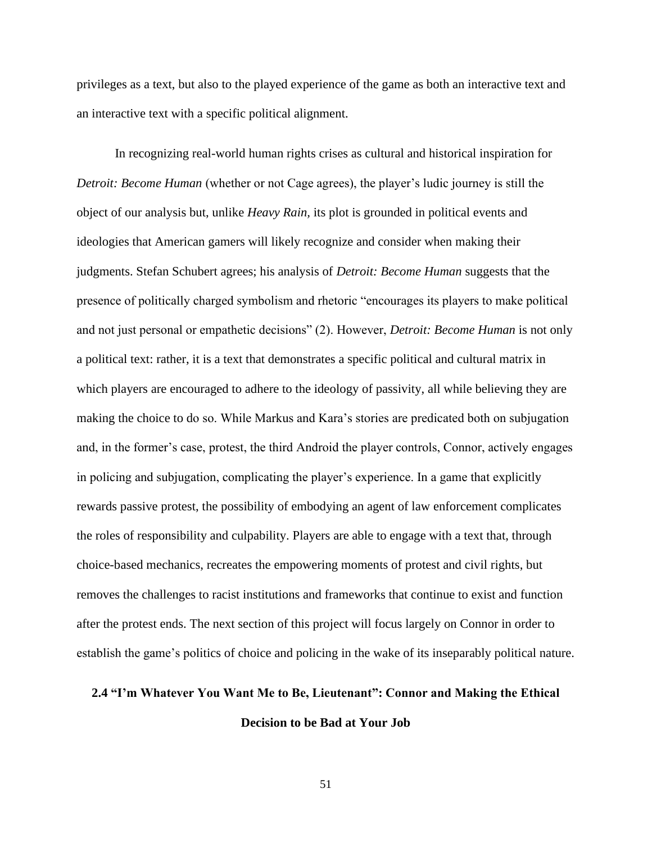privileges as a text, but also to the played experience of the game as both an interactive text and an interactive text with a specific political alignment.

In recognizing real-world human rights crises as cultural and historical inspiration for *Detroit: Become Human* (whether or not Cage agrees), the player's ludic journey is still the object of our analysis but, unlike *Heavy Rain,* its plot is grounded in political events and ideologies that American gamers will likely recognize and consider when making their judgments. Stefan Schubert agrees; his analysis of *Detroit: Become Human* suggests that the presence of politically charged symbolism and rhetoric "encourages its players to make political and not just personal or empathetic decisions" (2). However, *Detroit: Become Human* is not only a political text: rather, it is a text that demonstrates a specific political and cultural matrix in which players are encouraged to adhere to the ideology of passivity, all while believing they are making the choice to do so. While Markus and Kara's stories are predicated both on subjugation and, in the former's case, protest, the third Android the player controls, Connor, actively engages in policing and subjugation, complicating the player's experience. In a game that explicitly rewards passive protest, the possibility of embodying an agent of law enforcement complicates the roles of responsibility and culpability. Players are able to engage with a text that, through choice-based mechanics, recreates the empowering moments of protest and civil rights, but removes the challenges to racist institutions and frameworks that continue to exist and function after the protest ends. The next section of this project will focus largely on Connor in order to establish the game's politics of choice and policing in the wake of its inseparably political nature.

# **2.4 "I'm Whatever You Want Me to Be, Lieutenant": Connor and Making the Ethical Decision to be Bad at Your Job**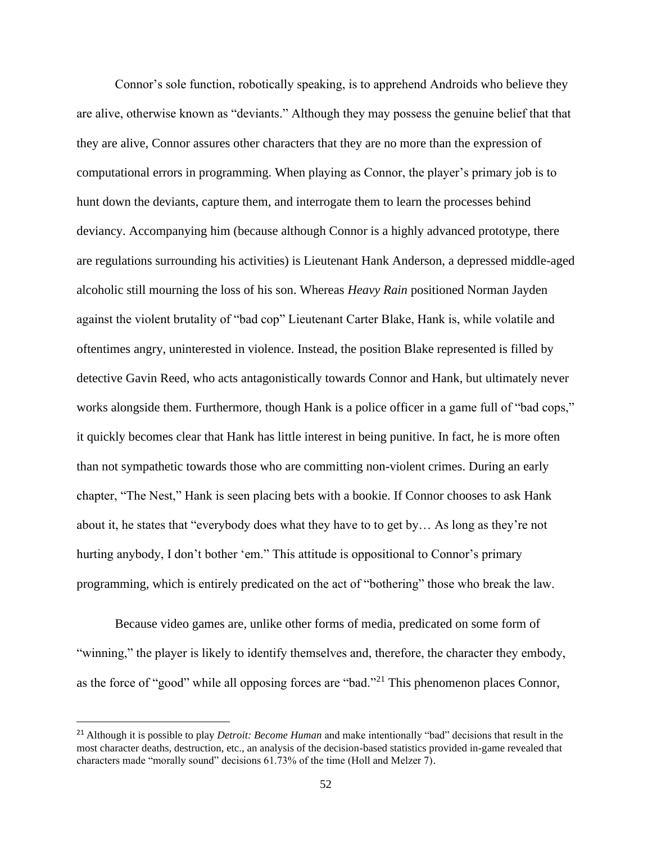Connor's sole function, robotically speaking, is to apprehend Androids who believe they are alive, otherwise known as "deviants." Although they may possess the genuine belief that that they are alive, Connor assures other characters that they are no more than the expression of computational errors in programming. When playing as Connor, the player's primary job is to hunt down the deviants, capture them, and interrogate them to learn the processes behind deviancy. Accompanying him (because although Connor is a highly advanced prototype, there are regulations surrounding his activities) is Lieutenant Hank Anderson, a depressed middle-aged alcoholic still mourning the loss of his son. Whereas *Heavy Rain* positioned Norman Jayden against the violent brutality of "bad cop" Lieutenant Carter Blake, Hank is, while volatile and oftentimes angry, uninterested in violence. Instead, the position Blake represented is filled by detective Gavin Reed, who acts antagonistically towards Connor and Hank, but ultimately never works alongside them. Furthermore, though Hank is a police officer in a game full of "bad cops," it quickly becomes clear that Hank has little interest in being punitive. In fact, he is more often than not sympathetic towards those who are committing non-violent crimes. During an early chapter, "The Nest," Hank is seen placing bets with a bookie. If Connor chooses to ask Hank about it, he states that "everybody does what they have to to get by… As long as they're not hurting anybody, I don't bother 'em." This attitude is oppositional to Connor's primary programming, which is entirely predicated on the act of "bothering" those who break the law.

Because video games are, unlike other forms of media, predicated on some form of "winning," the player is likely to identify themselves and, therefore, the character they embody, as the force of "good" while all opposing forces are "bad."<sup>21</sup> This phenomenon places Connor,

<sup>21</sup> Although it is possible to play *Detroit: Become Human* and make intentionally "bad" decisions that result in the most character deaths, destruction, etc., an analysis of the decision-based statistics provided in-game revealed that characters made "morally sound" decisions  $61.73\%$  of the time (Holl and Melzer 7).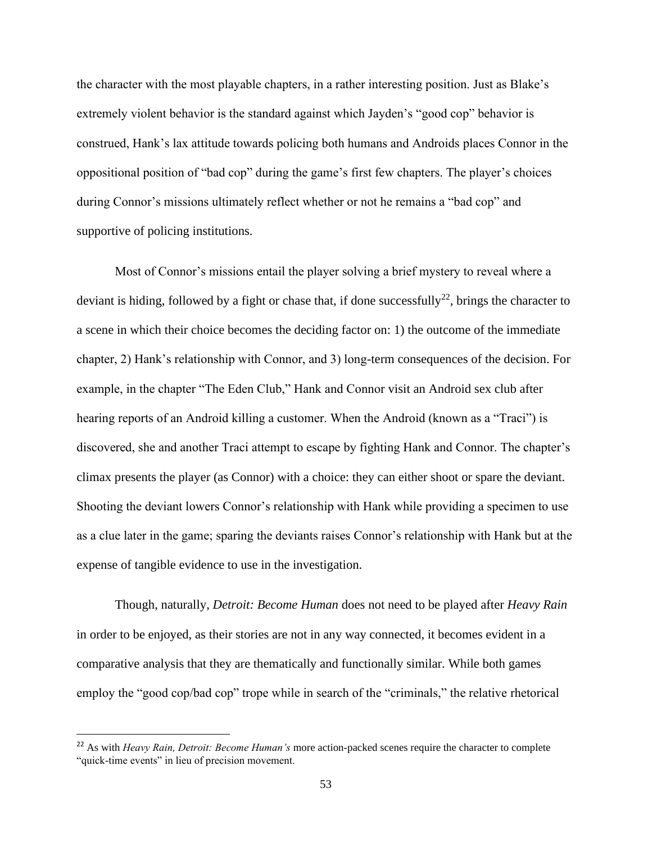the character with the most playable chapters, in a rather interesting position. Just as Blake's extremely violent behavior is the standard against which Jayden's "good cop" behavior is construed, Hank's lax attitude towards policing both humans and Androids places Connor in the oppositional position of "bad cop" during the game's first few chapters. The player's choices during Connor's missions ultimately reflect whether or not he remains a "bad cop" and supportive of policing institutions.

Most of Connor's missions entail the player solving a brief mystery to reveal where a deviant is hiding, followed by a fight or chase that, if done successfully<sup>22</sup>, brings the character to a scene in which their choice becomes the deciding factor on: 1) the outcome of the immediate chapter, 2) Hank's relationship with Connor, and 3) long-term consequences of the decision. For example, in the chapter "The Eden Club," Hank and Connor visit an Android sex club after hearing reports of an Android killing a customer. When the Android (known as a "Traci") is discovered, she and another Traci attempt to escape by fighting Hank and Connor. The chapter's climax presents the player (as Connor) with a choice: they can either shoot or spare the deviant. Shooting the deviant lowers Connor's relationship with Hank while providing a specimen to use as a clue later in the game; sparing the deviants raises Connor's relationship with Hank but at the expense of tangible evidence to use in the investigation.

Though, naturally, *Detroit: Become Human* does not need to be played after *Heavy Rain*  in order to be enjoyed, as their stories are not in any way connected, it becomes evident in a comparative analysis that they are thematically and functionally similar. While both games employ the "good cop/bad cop" trope while in search of the "criminals," the relative rhetorical

<sup>22</sup> As with *Heavy Rain, Detroit: Become Human's* more action-packed scenes require the character to complete "quick-time events" in lieu of precision movement.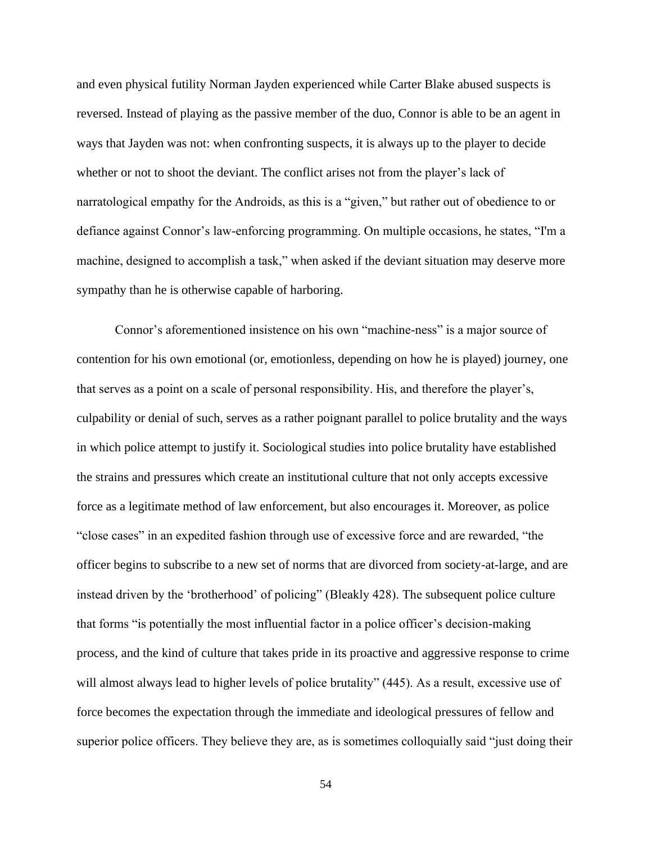and even physical futility Norman Jayden experienced while Carter Blake abused suspects is reversed. Instead of playing as the passive member of the duo, Connor is able to be an agent in ways that Jayden was not: when confronting suspects, it is always up to the player to decide whether or not to shoot the deviant. The conflict arises not from the player's lack of narratological empathy for the Androids, as this is a "given," but rather out of obedience to or defiance against Connor's law-enforcing programming. On multiple occasions, he states, "I'm a machine, designed to accomplish a task," when asked if the deviant situation may deserve more sympathy than he is otherwise capable of harboring.

Connor's aforementioned insistence on his own "machine-ness" is a major source of contention for his own emotional (or, emotionless, depending on how he is played) journey, one that serves as a point on a scale of personal responsibility. His, and therefore the player's, culpability or denial of such, serves as a rather poignant parallel to police brutality and the ways in which police attempt to justify it. Sociological studies into police brutality have established the strains and pressures which create an institutional culture that not only accepts excessive force as a legitimate method of law enforcement, but also encourages it. Moreover, as police "close cases" in an expedited fashion through use of excessive force and are rewarded, "the officer begins to subscribe to a new set of norms that are divorced from society-at-large, and are instead driven by the 'brotherhood' of policing" (Bleakly 428). The subsequent police culture that forms "is potentially the most influential factor in a police officer's decision-making process, and the kind of culture that takes pride in its proactive and aggressive response to crime will almost always lead to higher levels of police brutality" (445). As a result, excessive use of force becomes the expectation through the immediate and ideological pressures of fellow and superior police officers. They believe they are, as is sometimes colloquially said "just doing their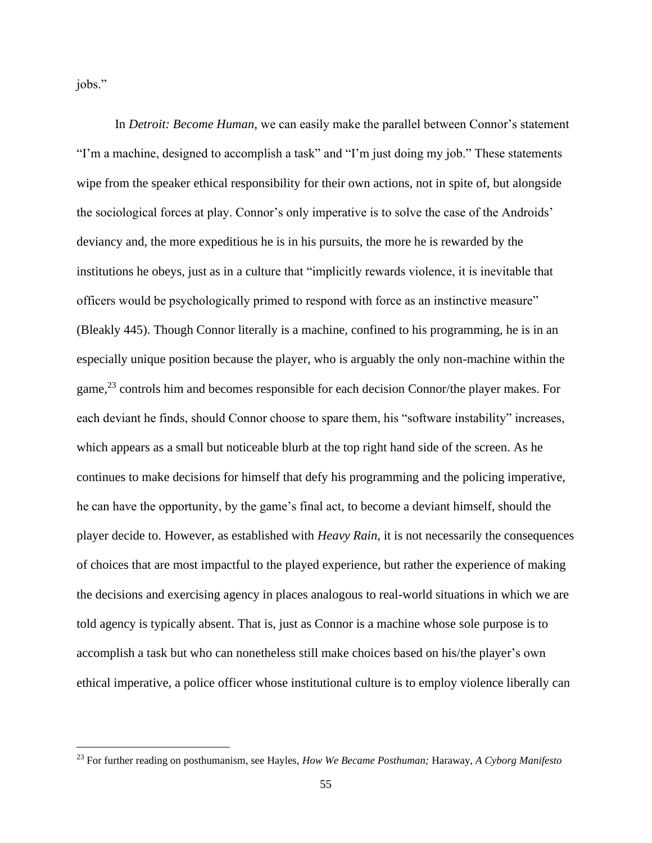jobs."

In *Detroit: Become Human,* we can easily make the parallel between Connor's statement "I'm a machine, designed to accomplish a task" and "I'm just doing my job." These statements wipe from the speaker ethical responsibility for their own actions, not in spite of, but alongside the sociological forces at play. Connor's only imperative is to solve the case of the Androids' deviancy and, the more expeditious he is in his pursuits, the more he is rewarded by the institutions he obeys, just as in a culture that "implicitly rewards violence, it is inevitable that officers would be psychologically primed to respond with force as an instinctive measure" (Bleakly 445). Though Connor literally is a machine, confined to his programming, he is in an especially unique position because the player, who is arguably the only non-machine within the game,<sup>23</sup> controls him and becomes responsible for each decision Connor/the player makes. For each deviant he finds, should Connor choose to spare them, his "software instability" increases, which appears as a small but noticeable blurb at the top right hand side of the screen. As he continues to make decisions for himself that defy his programming and the policing imperative, he can have the opportunity, by the game's final act, to become a deviant himself, should the player decide to. However, as established with *Heavy Rain,* it is not necessarily the consequences of choices that are most impactful to the played experience, but rather the experience of making the decisions and exercising agency in places analogous to real-world situations in which we are told agency is typically absent. That is, just as Connor is a machine whose sole purpose is to accomplish a task but who can nonetheless still make choices based on his/the player's own ethical imperative, a police officer whose institutional culture is to employ violence liberally can

<sup>23</sup> For further reading on posthumanism, see Hayles, *How We Became Posthuman;* Haraway, *A Cyborg Manifesto*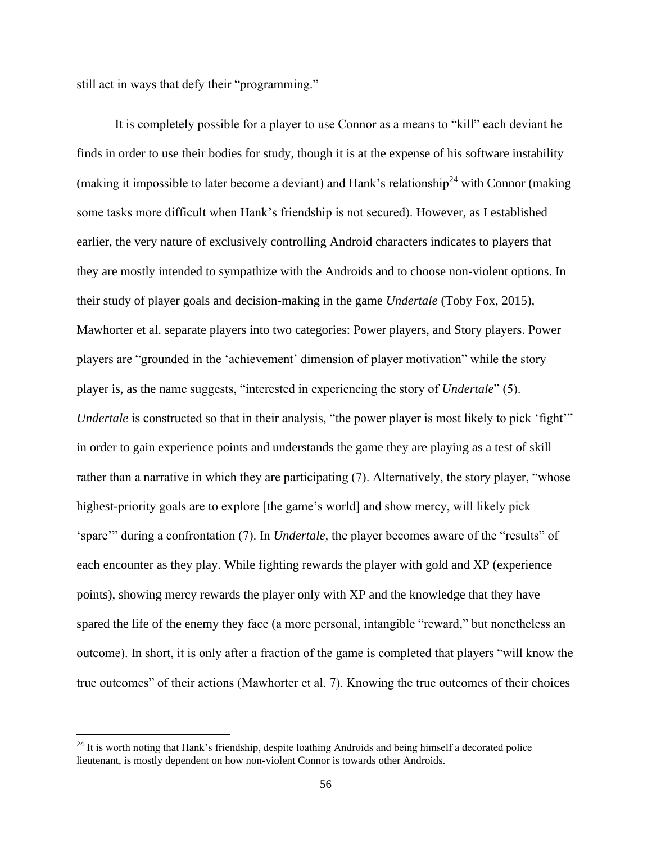still act in ways that defy their "programming."

It is completely possible for a player to use Connor as a means to "kill" each deviant he finds in order to use their bodies for study, though it is at the expense of his software instability (making it impossible to later become a deviant) and Hank's relationship<sup>24</sup> with Connor (making some tasks more difficult when Hank's friendship is not secured). However, as I established earlier, the very nature of exclusively controlling Android characters indicates to players that they are mostly intended to sympathize with the Androids and to choose non-violent options. In their study of player goals and decision-making in the game *Undertale* (Toby Fox, 2015)*,*  Mawhorter et al. separate players into two categories: Power players, and Story players. Power players are "grounded in the 'achievement' dimension of player motivation" while the story player is, as the name suggests, "interested in experiencing the story of *Undertale*" (5). *Undertale* is constructed so that in their analysis, "the power player is most likely to pick 'fight'" in order to gain experience points and understands the game they are playing as a test of skill rather than a narrative in which they are participating (7). Alternatively, the story player, "whose highest-priority goals are to explore [the game's world] and show mercy, will likely pick 'spare'" during a confrontation (7). In *Undertale,* the player becomes aware of the "results" of each encounter as they play. While fighting rewards the player with gold and XP (experience points), showing mercy rewards the player only with XP and the knowledge that they have spared the life of the enemy they face (a more personal, intangible "reward," but nonetheless an outcome). In short, it is only after a fraction of the game is completed that players "will know the true outcomes" of their actions (Mawhorter et al. 7). Knowing the true outcomes of their choices

<sup>&</sup>lt;sup>24</sup> It is worth noting that Hank's friendship, despite loathing Androids and being himself a decorated police lieutenant, is mostly dependent on how non-violent Connor is towards other Androids.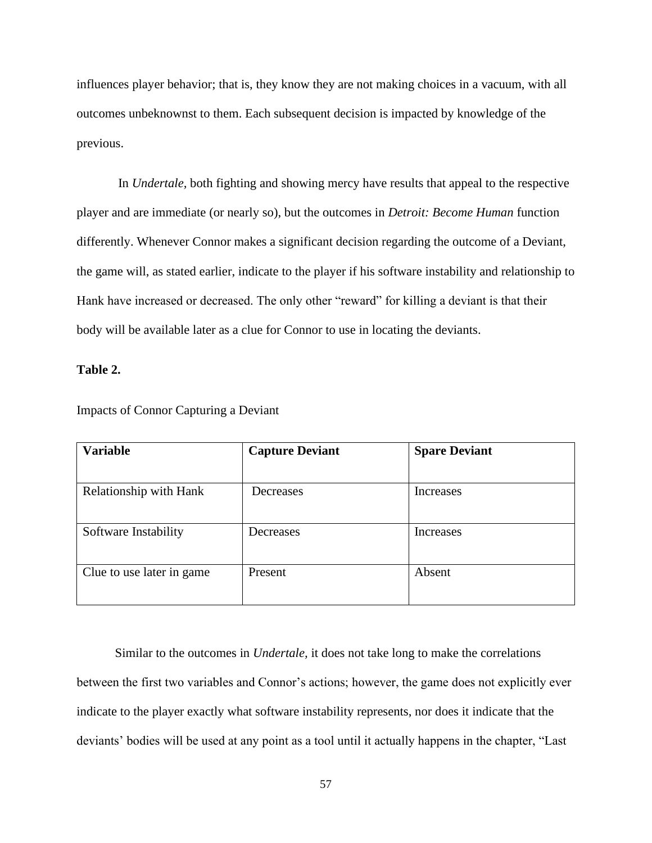influences player behavior; that is, they know they are not making choices in a vacuum, with all outcomes unbeknownst to them. Each subsequent decision is impacted by knowledge of the previous.

In *Undertale,* both fighting and showing mercy have results that appeal to the respective player and are immediate (or nearly so), but the outcomes in *Detroit: Become Human* function differently. Whenever Connor makes a significant decision regarding the outcome of a Deviant, the game will, as stated earlier, indicate to the player if his software instability and relationship to Hank have increased or decreased. The only other "reward" for killing a deviant is that their body will be available later as a clue for Connor to use in locating the deviants.

## **Table 2.**

| <b>Variable</b>           | <b>Capture Deviant</b> | <b>Spare Deviant</b> |
|---------------------------|------------------------|----------------------|
|                           |                        |                      |
| Relationship with Hank    | Decreases              | Increases            |
|                           |                        |                      |
| Software Instability      | Decreases              | Increases            |
|                           |                        |                      |
| Clue to use later in game | Present                | Absent               |
|                           |                        |                      |

Impacts of Connor Capturing a Deviant

Similar to the outcomes in *Undertale,* it does not take long to make the correlations between the first two variables and Connor's actions; however, the game does not explicitly ever indicate to the player exactly what software instability represents, nor does it indicate that the deviants' bodies will be used at any point as a tool until it actually happens in the chapter, "Last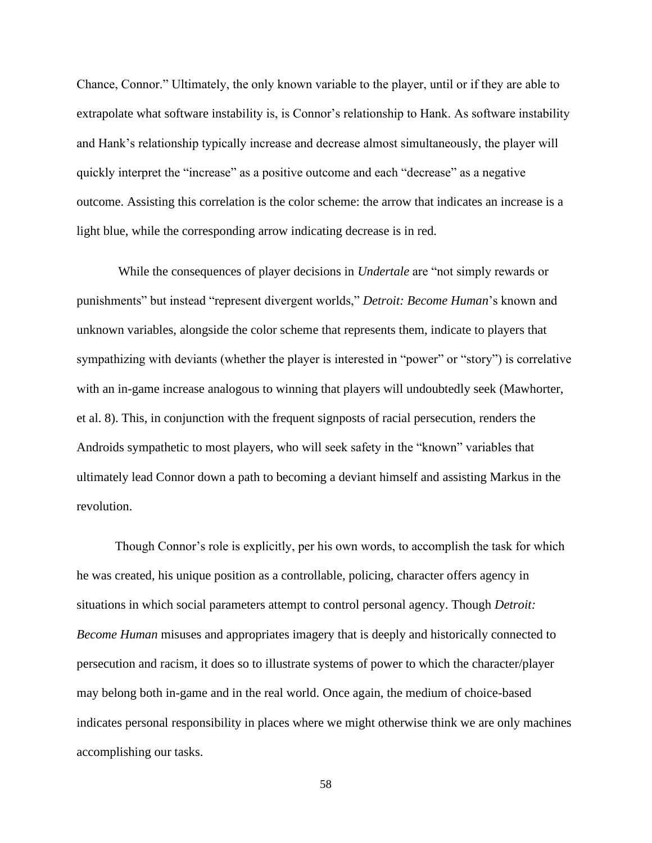Chance, Connor." Ultimately, the only known variable to the player, until or if they are able to extrapolate what software instability is, is Connor's relationship to Hank. As software instability and Hank's relationship typically increase and decrease almost simultaneously, the player will quickly interpret the "increase" as a positive outcome and each "decrease" as a negative outcome. Assisting this correlation is the color scheme: the arrow that indicates an increase is a light blue, while the corresponding arrow indicating decrease is in red.

While the consequences of player decisions in *Undertale* are "not simply rewards or punishments" but instead "represent divergent worlds," *Detroit: Become Human*'s known and unknown variables, alongside the color scheme that represents them, indicate to players that sympathizing with deviants (whether the player is interested in "power" or "story") is correlative with an in-game increase analogous to winning that players will undoubtedly seek (Mawhorter, et al. 8). This, in conjunction with the frequent signposts of racial persecution, renders the Androids sympathetic to most players, who will seek safety in the "known" variables that ultimately lead Connor down a path to becoming a deviant himself and assisting Markus in the revolution.

Though Connor's role is explicitly, per his own words, to accomplish the task for which he was created, his unique position as a controllable, policing, character offers agency in situations in which social parameters attempt to control personal agency. Though *Detroit: Become Human* misuses and appropriates imagery that is deeply and historically connected to persecution and racism, it does so to illustrate systems of power to which the character/player may belong both in-game and in the real world. Once again, the medium of choice-based indicates personal responsibility in places where we might otherwise think we are only machines accomplishing our tasks.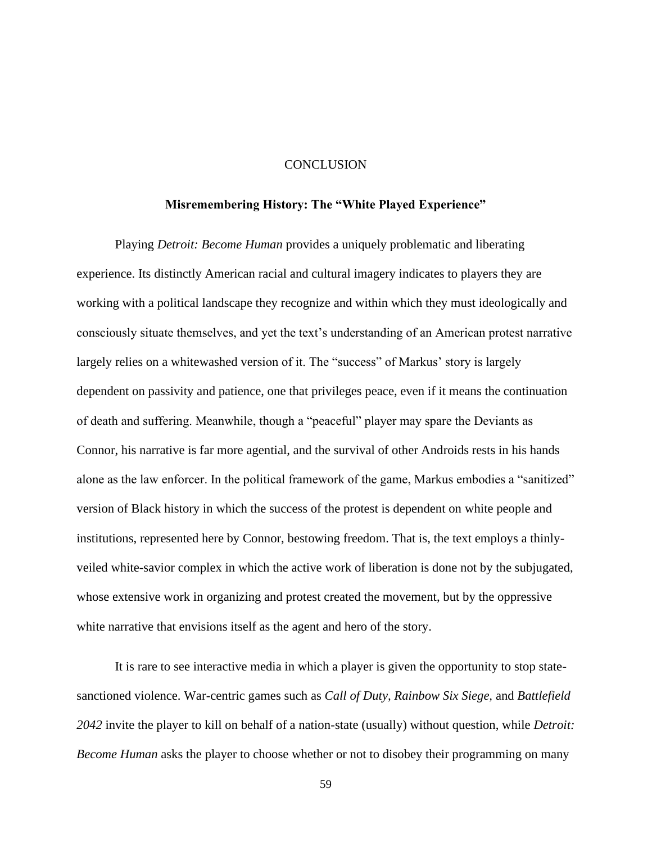## **CONCLUSION**

## **Misremembering History: The "White Played Experience"**

Playing *Detroit: Become Human* provides a uniquely problematic and liberating experience. Its distinctly American racial and cultural imagery indicates to players they are working with a political landscape they recognize and within which they must ideologically and consciously situate themselves, and yet the text's understanding of an American protest narrative largely relies on a whitewashed version of it. The "success" of Markus' story is largely dependent on passivity and patience, one that privileges peace, even if it means the continuation of death and suffering. Meanwhile, though a "peaceful" player may spare the Deviants as Connor, his narrative is far more agential, and the survival of other Androids rests in his hands alone as the law enforcer. In the political framework of the game, Markus embodies a "sanitized" version of Black history in which the success of the protest is dependent on white people and institutions, represented here by Connor, bestowing freedom. That is, the text employs a thinlyveiled white-savior complex in which the active work of liberation is done not by the subjugated, whose extensive work in organizing and protest created the movement, but by the oppressive white narrative that envisions itself as the agent and hero of the story.

It is rare to see interactive media in which a player is given the opportunity to stop statesanctioned violence. War-centric games such as *Call of Duty, Rainbow Six Siege,* and *Battlefield 2042* invite the player to kill on behalf of a nation-state (usually) without question, while *Detroit: Become Human* asks the player to choose whether or not to disobey their programming on many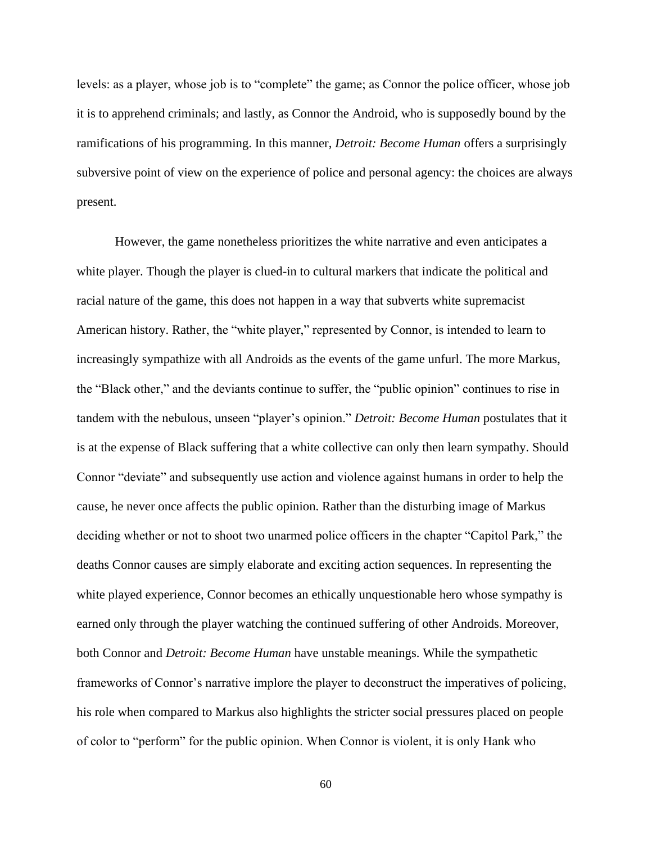levels: as a player, whose job is to "complete" the game; as Connor the police officer, whose job it is to apprehend criminals; and lastly, as Connor the Android, who is supposedly bound by the ramifications of his programming. In this manner, *Detroit: Become Human* offers a surprisingly subversive point of view on the experience of police and personal agency: the choices are always present.

However, the game nonetheless prioritizes the white narrative and even anticipates a white player. Though the player is clued-in to cultural markers that indicate the political and racial nature of the game, this does not happen in a way that subverts white supremacist American history. Rather, the "white player," represented by Connor, is intended to learn to increasingly sympathize with all Androids as the events of the game unfurl. The more Markus, the "Black other," and the deviants continue to suffer, the "public opinion" continues to rise in tandem with the nebulous, unseen "player's opinion." *Detroit: Become Human* postulates that it is at the expense of Black suffering that a white collective can only then learn sympathy. Should Connor "deviate" and subsequently use action and violence against humans in order to help the cause, he never once affects the public opinion. Rather than the disturbing image of Markus deciding whether or not to shoot two unarmed police officers in the chapter "Capitol Park," the deaths Connor causes are simply elaborate and exciting action sequences. In representing the white played experience, Connor becomes an ethically unquestionable hero whose sympathy is earned only through the player watching the continued suffering of other Androids. Moreover, both Connor and *Detroit: Become Human* have unstable meanings. While the sympathetic frameworks of Connor's narrative implore the player to deconstruct the imperatives of policing, his role when compared to Markus also highlights the stricter social pressures placed on people of color to "perform" for the public opinion. When Connor is violent, it is only Hank who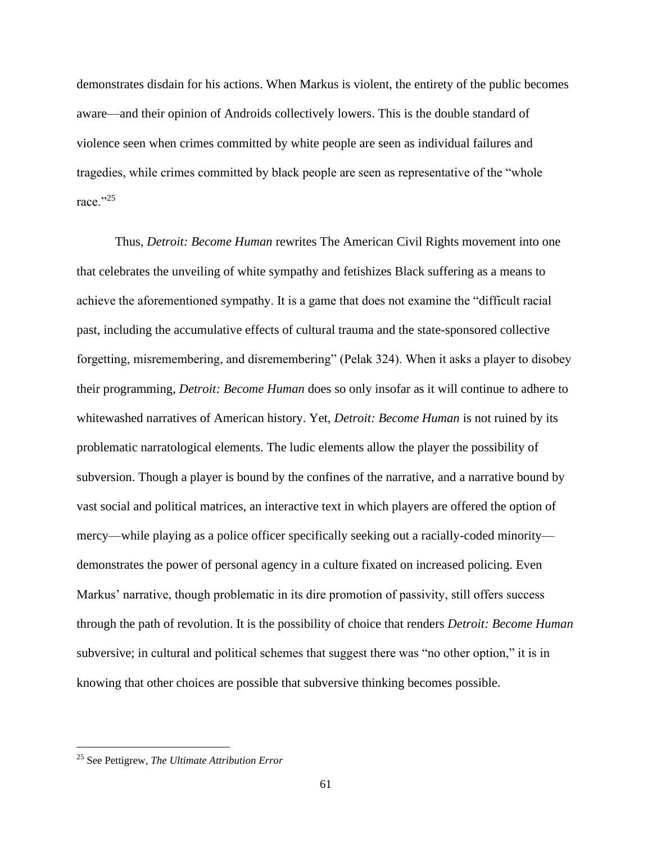demonstrates disdain for his actions. When Markus is violent, the entirety of the public becomes aware—and their opinion of Androids collectively lowers. This is the double standard of violence seen when crimes committed by white people are seen as individual failures and tragedies, while crimes committed by black people are seen as representative of the "whole race."25

Thus, *Detroit: Become Human* rewrites The American Civil Rights movement into one that celebrates the unveiling of white sympathy and fetishizes Black suffering as a means to achieve the aforementioned sympathy. It is a game that does not examine the "difficult racial past, including the accumulative effects of cultural trauma and the state-sponsored collective forgetting, misremembering, and disremembering" (Pelak 324). When it asks a player to disobey their programming, *Detroit: Become Human* does so only insofar as it will continue to adhere to whitewashed narratives of American history. Yet, *Detroit: Become Human* is not ruined by its problematic narratological elements. The ludic elements allow the player the possibility of subversion. Though a player is bound by the confines of the narrative, and a narrative bound by vast social and political matrices, an interactive text in which players are offered the option of mercy—while playing as a police officer specifically seeking out a racially-coded minority demonstrates the power of personal agency in a culture fixated on increased policing. Even Markus' narrative, though problematic in its dire promotion of passivity, still offers success through the path of revolution. It is the possibility of choice that renders *Detroit: Become Human*  subversive; in cultural and political schemes that suggest there was "no other option," it is in knowing that other choices are possible that subversive thinking becomes possible.

<sup>25</sup> See Pettigrew, *The Ultimate Attribution Error*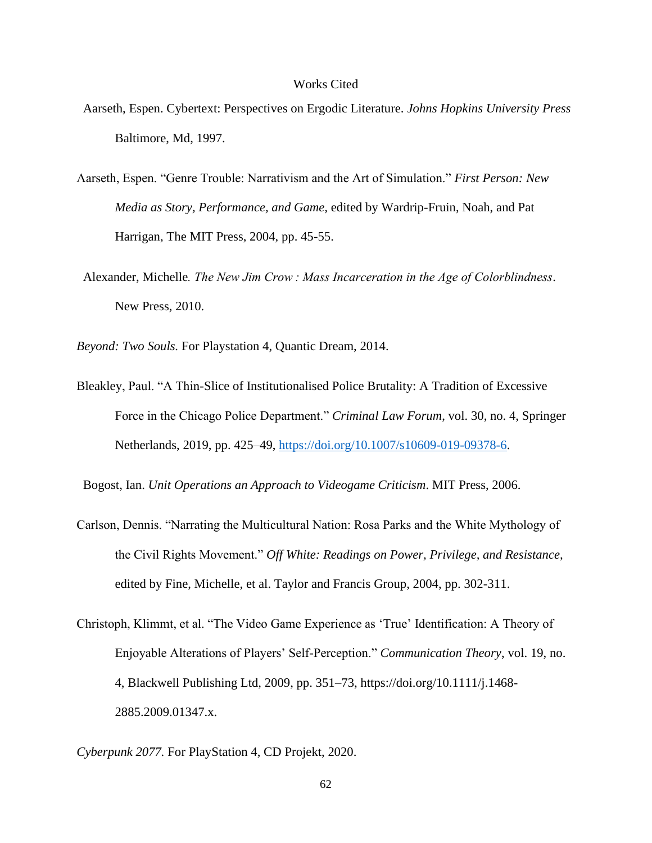### Works Cited

- Aarseth, Espen. Cybertext: Perspectives on Ergodic Literature. *Johns Hopkins University Press* Baltimore, Md, 1997.
- Aarseth, Espen. "Genre Trouble: Narrativism and the Art of Simulation." *First Person: New Media as Story, Performance, and Game,* edited by Wardrip-Fruin, Noah, and Pat Harrigan, The MIT Press, 2004, pp. 45-55.
- Alexander, Michelle*. The New Jim Crow : Mass Incarceration in the Age of Colorblindness*. New Press, 2010.

*Beyond: Two Souls.* For Playstation 4, Quantic Dream, 2014.

Bleakley, Paul. "A Thin-Slice of Institutionalised Police Brutality: A Tradition of Excessive Force in the Chicago Police Department." *Criminal Law Forum*, vol. 30, no. 4, Springer Netherlands, 2019, pp. 425–49, [https://doi.org/10.1007/s10609-019-09378-6.](https://doi.org/10.1007/s10609-019-09378-6)

Bogost, Ian. *Unit Operations an Approach to Videogame Criticism*. MIT Press, 2006.

- Carlson, Dennis. "Narrating the Multicultural Nation: Rosa Parks and the White Mythology of the Civil Rights Movement." *Off White: Readings on Power, Privilege, and Resistance,*  edited by Fine, Michelle, et al. Taylor and Francis Group, 2004, pp. 302-311.
- Christoph, Klimmt, et al. "The Video Game Experience as 'True' Identification: A Theory of Enjoyable Alterations of Players' Self-Perception." *Communication Theory*, vol. 19, no. 4, Blackwell Publishing Ltd, 2009, pp. 351–73, https://doi.org/10.1111/j.1468- 2885.2009.01347.x.
- *Cyberpunk 2077.* For PlayStation 4, CD Projekt, 2020.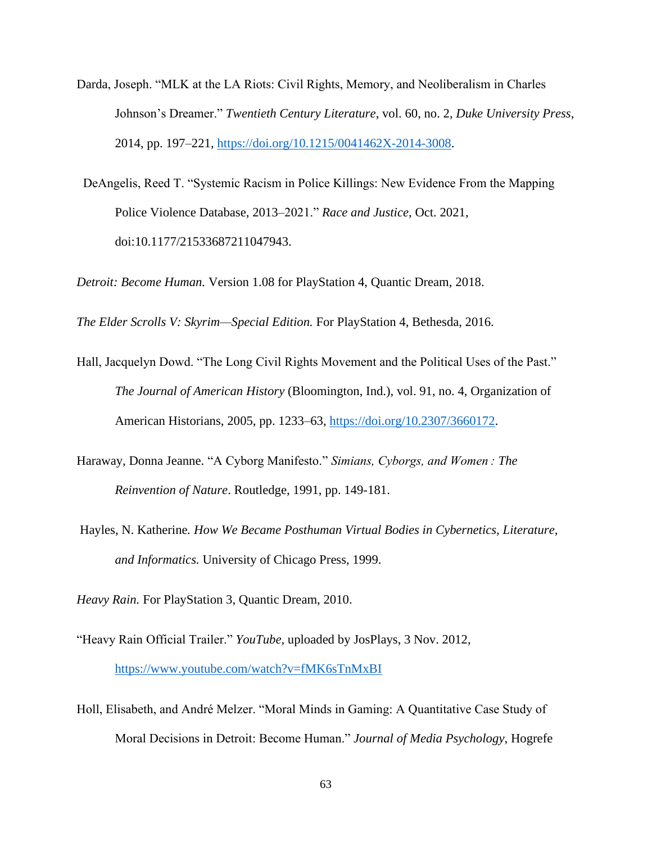- Darda, Joseph. "MLK at the LA Riots: Civil Rights, Memory, and Neoliberalism in Charles Johnson's Dreamer." *Twentieth Century Literature*, vol. 60, no. 2, *Duke University Press*, 2014, pp. 197–221, [https://doi.org/10.1215/0041462X-2014-3008.](https://doi.org/10.1215/0041462X-2014-3008)
- DeAngelis, Reed T. "Systemic Racism in Police Killings: New Evidence From the Mapping Police Violence Database, 2013–2021." *Race and Justice*, Oct. 2021, doi:10.1177/21533687211047943.

*Detroit: Become Human.* Version 1.08 for PlayStation 4, Quantic Dream, 2018.

*The Elder Scrolls V: Skyrim—Special Edition.* For PlayStation 4, Bethesda, 2016.

- Hall, Jacquelyn Dowd. "The Long Civil Rights Movement and the Political Uses of the Past." *The Journal of American History* (Bloomington, Ind.), vol. 91, no. 4, Organization of American Historians, 2005, pp. 1233–63, [https://doi.org/10.2307/3660172.](https://doi.org/10.2307/3660172)
- Haraway, Donna Jeanne. "A Cyborg Manifesto." *Simians, Cyborgs, and Women : The Reinvention of Nature*. Routledge, 1991, pp. 149-181.
- Hayles, N. Katherine*. How We Became Posthuman Virtual Bodies in Cybernetics, Literature, and Informatics.* University of Chicago Press, 1999.

*Heavy Rain.* For PlayStation 3, Quantic Dream, 2010.

- "Heavy Rain Official Trailer." *YouTube,* uploaded by JosPlays, 3 Nov. 2012, <https://www.youtube.com/watch?v=fMK6sTnMxBI>
- Holl, Elisabeth, and André Melzer. "Moral Minds in Gaming: A Quantitative Case Study of Moral Decisions in Detroit: Become Human." *Journal of Media Psychology*, Hogrefe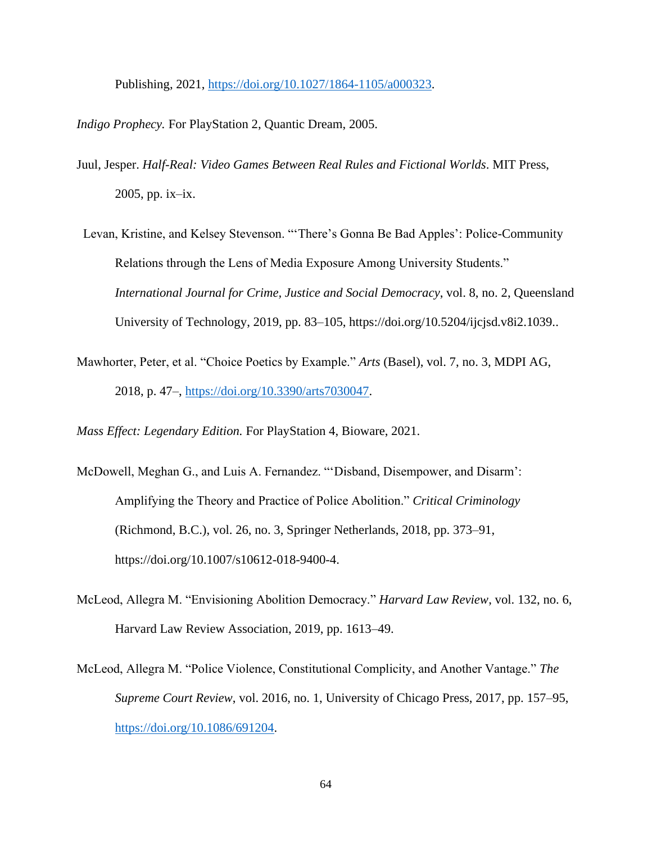Publishing, 2021, [https://doi.org/10.1027/1864-1105/a000323.](https://doi.org/10.1027/1864-1105/a000323)

*Indigo Prophecy.* For PlayStation 2, Quantic Dream, 2005.

- Juul, Jesper. *Half-Real: Video Games Between Real Rules and Fictional Worlds*. MIT Press, 2005, pp. ix–ix.
- Levan, Kristine, and Kelsey Stevenson. "'There's Gonna Be Bad Apples': Police-Community Relations through the Lens of Media Exposure Among University Students." *International Journal for Crime, Justice and Social Democracy*, vol. 8, no. 2, Queensland University of Technology, 2019, pp. 83–105, https://doi.org/10.5204/ijcjsd.v8i2.1039..
- Mawhorter, Peter, et al. "Choice Poetics by Example." *Arts* (Basel), vol. 7, no. 3, MDPI AG, 2018, p. 47–, [https://doi.org/10.3390/arts7030047.](https://doi.org/10.3390/arts7030047)

*Mass Effect: Legendary Edition.* For PlayStation 4, Bioware, 2021.

- McDowell, Meghan G., and Luis A. Fernandez. "'Disband, Disempower, and Disarm': Amplifying the Theory and Practice of Police Abolition." *Critical Criminology* (Richmond, B.C.), vol. 26, no. 3, Springer Netherlands, 2018, pp. 373–91, https://doi.org/10.1007/s10612-018-9400-4.
- McLeod, Allegra M. "Envisioning Abolition Democracy." *Harvard Law Review*, vol. 132, no. 6, Harvard Law Review Association, 2019, pp. 1613–49.
- McLeod, Allegra M. "Police Violence, Constitutional Complicity, and Another Vantage." *The Supreme Court Review*, vol. 2016, no. 1, University of Chicago Press, 2017, pp. 157–95, [https://doi.org/10.1086/691204.](https://doi.org/10.1086/691204)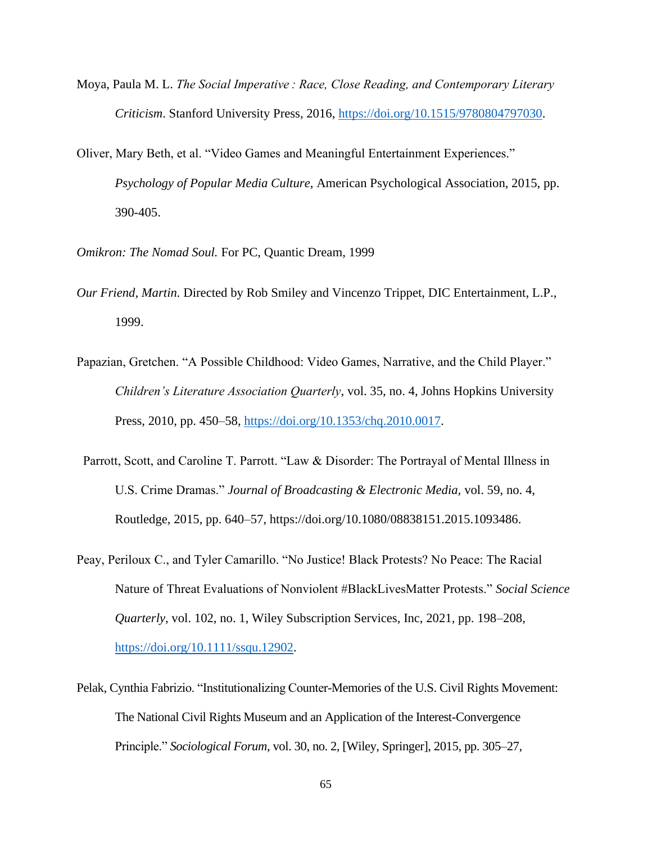- Moya, Paula M. L. *The Social Imperative : Race, Close Reading, and Contemporary Literary Criticism*. Stanford University Press, 2016, [https://doi.org/10.1515/9780804797030.](https://doi.org/10.1515/9780804797030)
- Oliver, Mary Beth, et al. "Video Games and Meaningful Entertainment Experiences." *Psychology of Popular Media Culture*, American Psychological Association, 2015, pp. 390-405.
- *Omikron: The Nomad Soul.* For PC, Quantic Dream, 1999
- *Our Friend, Martin.* Directed by Rob Smiley and Vincenzo Trippet, DIC Entertainment, L.P., 1999.
- Papazian, Gretchen. "A Possible Childhood: Video Games, Narrative, and the Child Player." *Children's Literature Association Quarterly*, vol. 35, no. 4, Johns Hopkins University Press, 2010, pp. 450–58, [https://doi.org/10.1353/chq.2010.0017.](https://doi.org/10.1353/chq.2010.0017)
- Parrott, Scott, and Caroline T. Parrott. "Law & Disorder: The Portrayal of Mental Illness in U.S. Crime Dramas." *Journal of Broadcasting & Electronic Media,* vol. 59, no. 4, Routledge, 2015, pp. 640–57, https://doi.org/10.1080/08838151.2015.1093486.
- Peay, Periloux C., and Tyler Camarillo. "No Justice! Black Protests? No Peace: The Racial Nature of Threat Evaluations of Nonviolent #BlackLivesMatter Protests." *Social Science Quarterly*, vol. 102, no. 1, Wiley Subscription Services, Inc, 2021, pp. 198–208, [https://doi.org/10.1111/ssqu.12902.](https://doi.org/10.1111/ssqu.12902)
- Pelak, Cynthia Fabrizio. "Institutionalizing Counter-Memories of the U.S. Civil Rights Movement: The National Civil Rights Museum and an Application of the Interest-Convergence Principle." *Sociological Forum*, vol. 30, no. 2, [Wiley, Springer], 2015, pp. 305–27,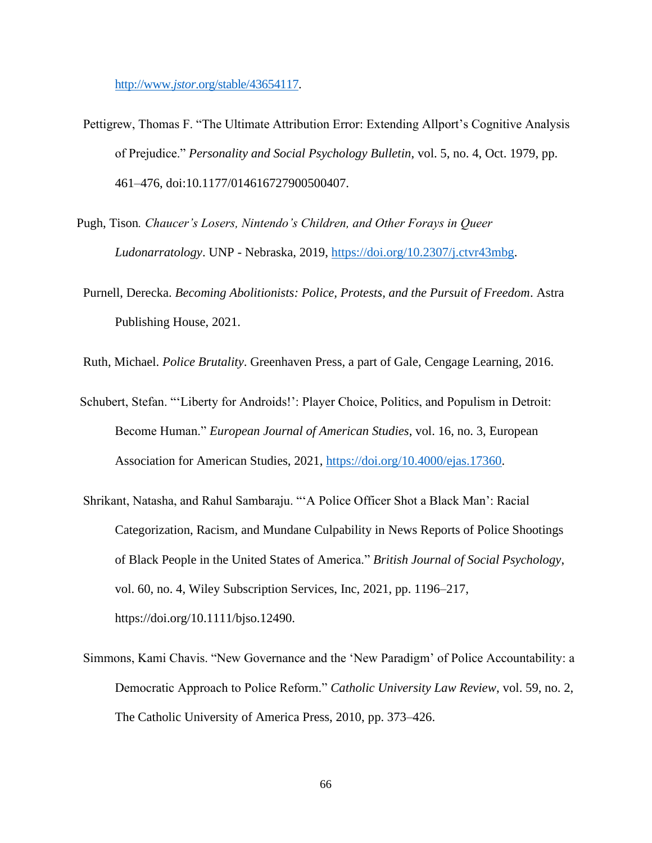http://www.*jstor*[.org/stable/43654117.](http://www.jstor.org/stable/43654117)

- Pettigrew, Thomas F. "The Ultimate Attribution Error: Extending Allport's Cognitive Analysis of Prejudice." *Personality and Social Psychology Bulletin*, vol. 5, no. 4, Oct. 1979, pp. 461–476, doi:10.1177/014616727900500407.
- Pugh, Tison*. Chaucer's Losers, Nintendo's Children, and Other Forays in Queer Ludonarratology*. UNP - Nebraska, 2019, [https://doi.org/10.2307/j.ctvr43mbg.](https://doi.org/10.2307/j.ctvr43mbg)
- Purnell, Derecka. *Becoming Abolitionists: Police, Protests, and the Pursuit of Freedom*. Astra Publishing House, 2021.
- Ruth, Michael. *Police Brutality*. Greenhaven Press, a part of Gale, Cengage Learning, 2016.
- Schubert, Stefan. "'Liberty for Androids!': Player Choice, Politics, and Populism in Detroit: Become Human." *European Journal of American Studies*, vol. 16, no. 3, European Association for American Studies, 2021, [https://doi.org/10.4000/ejas.17360.](https://doi.org/10.4000/ejas.17360)
- Shrikant, Natasha, and Rahul Sambaraju. "'A Police Officer Shot a Black Man': Racial Categorization, Racism, and Mundane Culpability in News Reports of Police Shootings of Black People in the United States of America." *British Journal of Social Psychology*, vol. 60, no. 4, Wiley Subscription Services, Inc, 2021, pp. 1196–217, https://doi.org/10.1111/bjso.12490.
- Simmons, Kami Chavis. "New Governance and the 'New Paradigm' of Police Accountability: a Democratic Approach to Police Reform." *Catholic University Law Review*, vol. 59, no. 2, The Catholic University of America Press, 2010, pp. 373–426.